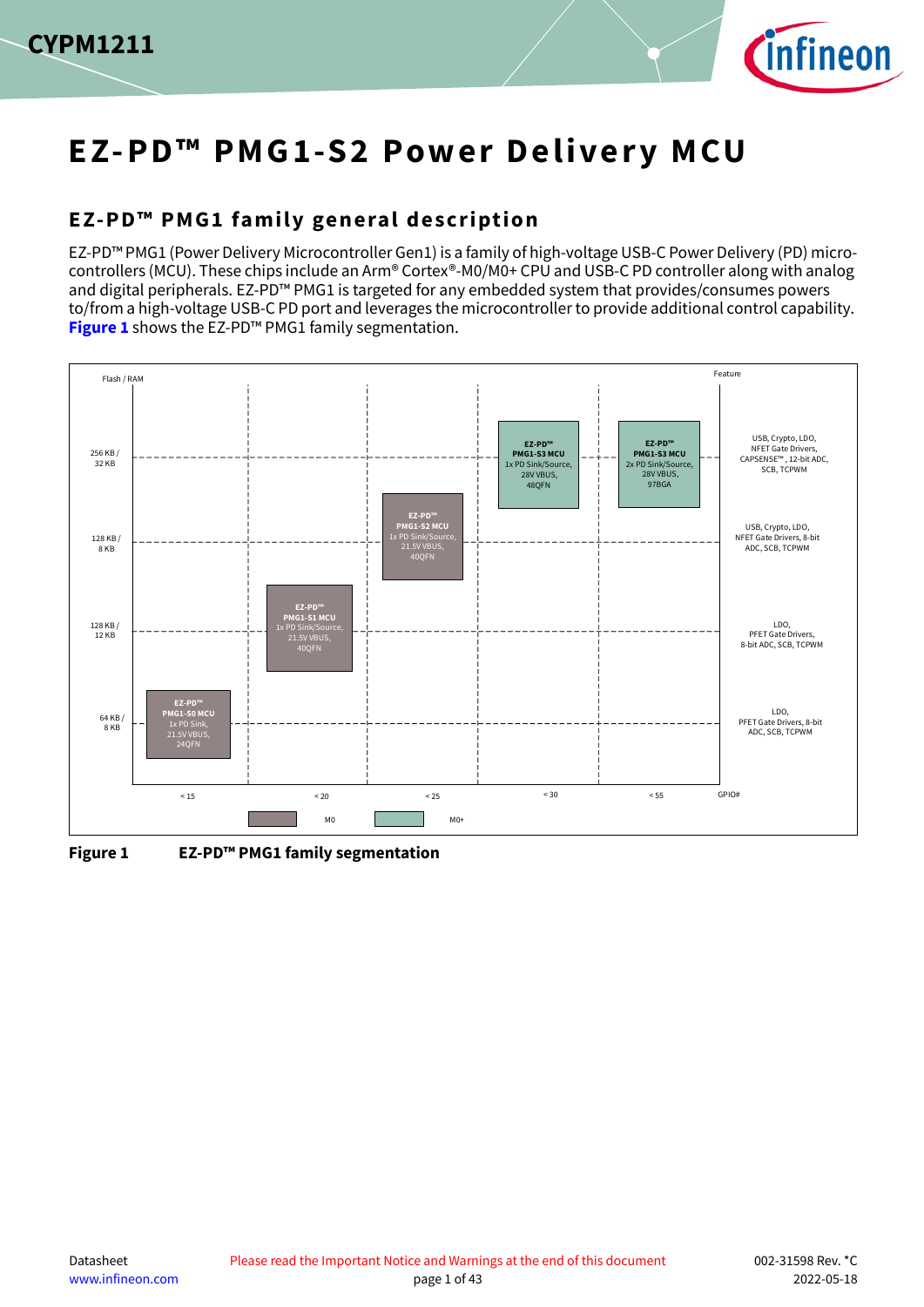



# **EZ-PD™ PMG1-S2 Power Delivery MCU**

## <span id="page-0-1"></span>**EZ-PD™ PMG1 family general description**

EZ-PD™ PMG1 (Power Delivery Microcontroller Gen1) is a family of high-voltage USB-C Power Delivery (PD) microcontrollers (MCU). These chips include an Arm® Cortex®-M0/M0+ CPU and USB-C PD controller along with analog and digital peripherals. EZ-PD™ PMG1 is targeted for any embedded system that provides/consumes powers to/from a high-voltage USB-C PD port and leverages the microcontroller to provide additional control capability. **[Figure 1](#page-0-0)** shows the EZ-PD™ PMG1 family segmentation.



<span id="page-0-0"></span>**Figure 1 EZ-PD™ PMG1 family segmentation**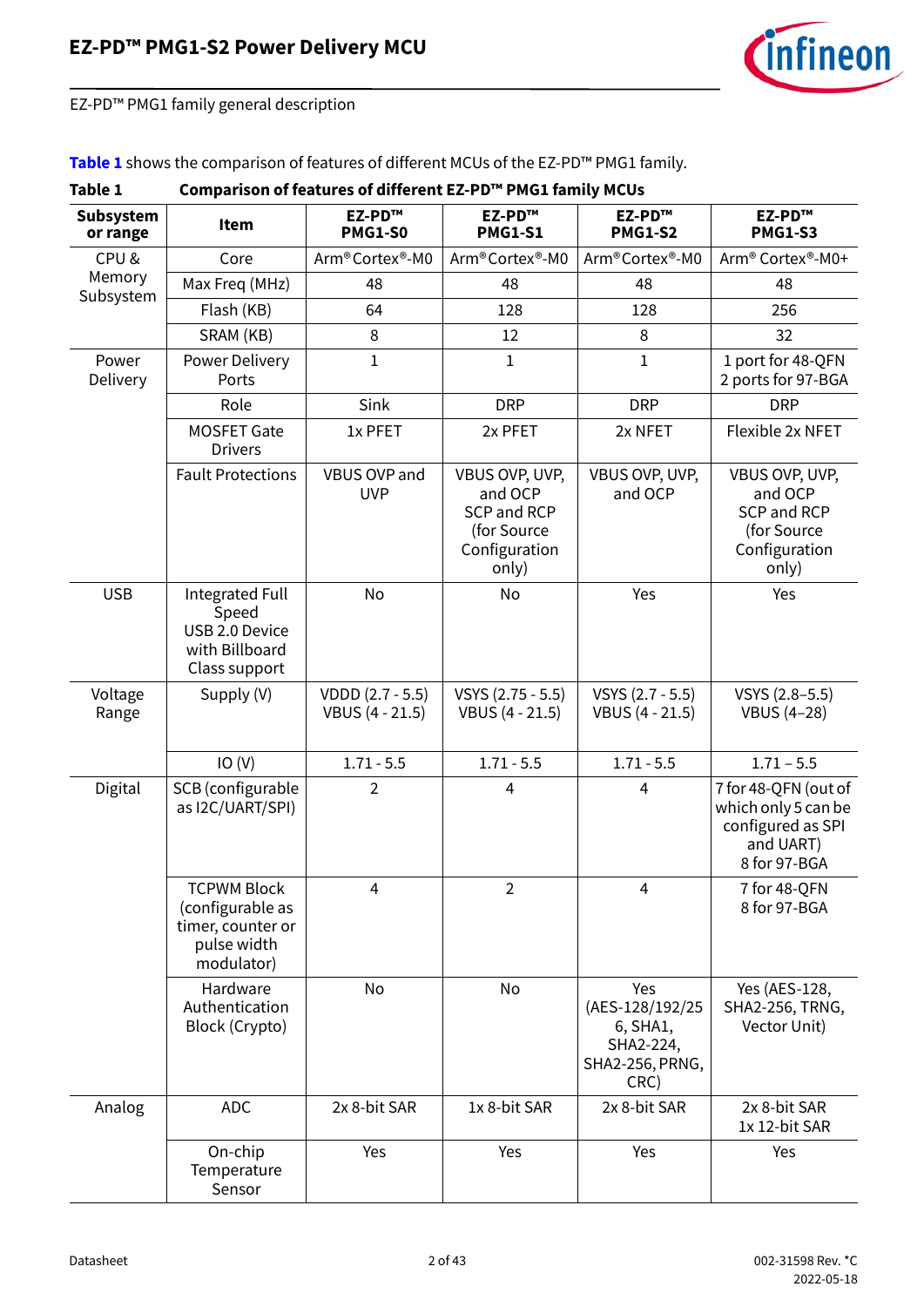

EZ-PD™ PMG1 family general description

#### **[Table 1](#page-1-0)** shows the comparison of features of different MCUs of the EZ-PD™ PMG1 family.

<span id="page-1-0"></span>

| Table 1               | Comparison of features of different EZ-PD™ PMG1 family MCUs                              |                                     |                                                                                   |                                                                            |                                                                                               |  |  |  |
|-----------------------|------------------------------------------------------------------------------------------|-------------------------------------|-----------------------------------------------------------------------------------|----------------------------------------------------------------------------|-----------------------------------------------------------------------------------------------|--|--|--|
| Subsystem<br>or range | Item                                                                                     | EZ-PD™<br><b>PMG1-S0</b>            | EZ-PD™<br><b>PMG1-S1</b>                                                          | EZ-PD™<br><b>PMG1-S2</b>                                                   | EZ-PD™<br><b>PMG1-S3</b>                                                                      |  |  |  |
| CPU&                  | Core                                                                                     | Arm® Cortex®-M0                     | Arm®Cortex®-M0                                                                    | Arm®Cortex®-M0                                                             | Arm® Cortex®-M0+                                                                              |  |  |  |
| Memory<br>Subsystem   | Max Freq (MHz)                                                                           | 48                                  | 48                                                                                | 48                                                                         | 48                                                                                            |  |  |  |
|                       | Flash (KB)                                                                               | 64                                  | 128                                                                               | 128                                                                        | 256                                                                                           |  |  |  |
|                       | SRAM (KB)                                                                                | 8                                   | 12                                                                                | 8                                                                          | 32                                                                                            |  |  |  |
| Power<br>Delivery     | Power Delivery<br>Ports                                                                  | $\mathbf{1}$                        | $\mathbf{1}$                                                                      | $\mathbf{1}$                                                               | 1 port for 48-QFN<br>2 ports for 97-BGA                                                       |  |  |  |
|                       | Role                                                                                     | Sink                                | <b>DRP</b>                                                                        | <b>DRP</b>                                                                 | <b>DRP</b>                                                                                    |  |  |  |
|                       | <b>MOSFET Gate</b><br><b>Drivers</b>                                                     | 1x PFET                             | 2x PFET                                                                           | 2x NFET                                                                    | Flexible 2x NFET                                                                              |  |  |  |
|                       | <b>Fault Protections</b>                                                                 | VBUS OVP and<br><b>UVP</b>          | VBUS OVP, UVP,<br>and OCP<br>SCP and RCP<br>(for Source<br>Configuration<br>only) | VBUS OVP, UVP,<br>and OCP                                                  | VBUS OVP, UVP,<br>and OCP<br><b>SCP and RCP</b><br>(for Source<br>Configuration<br>only)      |  |  |  |
| <b>USB</b>            | No<br>Integrated Full<br>Speed<br>USB 2.0 Device<br>with Billboard<br>Class support      |                                     | Yes<br>No                                                                         |                                                                            | Yes                                                                                           |  |  |  |
| Voltage<br>Range      | Supply (V)                                                                               | VDDD (2.7 - 5.5)<br>VBUS (4 - 21.5) | VSYS (2.75 - 5.5)<br>VBUS (4 - 21.5)                                              | VSYS (2.7 - 5.5)<br>VBUS (4 - 21.5)                                        | VSYS (2.8-5.5)<br><b>VBUS (4-28)</b>                                                          |  |  |  |
|                       | IO(V)                                                                                    | $1.71 - 5.5$                        | $1.71 - 5.5$                                                                      | $1.71 - 5.5$                                                               | $1.71 - 5.5$                                                                                  |  |  |  |
| Digital               | SCB (configurable<br>as I2C/UART/SPI)                                                    | $\overline{2}$                      | 4                                                                                 | $\overline{4}$                                                             | 7 for 48-QFN (out of<br>which only 5 can be<br>configured as SPI<br>and UART)<br>8 for 97-BGA |  |  |  |
|                       | <b>TCPWM Block</b><br>(configurable as<br>timer, counter or<br>pulse width<br>modulator) | $\overline{4}$                      | $\overline{2}$                                                                    | $\overline{4}$                                                             | 7 for 48-QFN<br>8 for 97-BGA                                                                  |  |  |  |
|                       | Hardware<br>Authentication<br>Block (Crypto)                                             | No                                  | No                                                                                | Yes<br>(AES-128/192/25<br>6, SHA1,<br>SHA2-224,<br>SHA2-256, PRNG,<br>CRC) | Yes (AES-128,<br>SHA2-256, TRNG,<br>Vector Unit)                                              |  |  |  |
| Analog                | <b>ADC</b>                                                                               | 2x 8-bit SAR                        | 1x 8-bit SAR                                                                      | 2x 8-bit SAR                                                               | 2x 8-bit SAR<br>1x 12-bit SAR                                                                 |  |  |  |
|                       | On-chip<br>Temperature<br>Sensor                                                         | Yes                                 | Yes                                                                               | Yes                                                                        | Yes                                                                                           |  |  |  |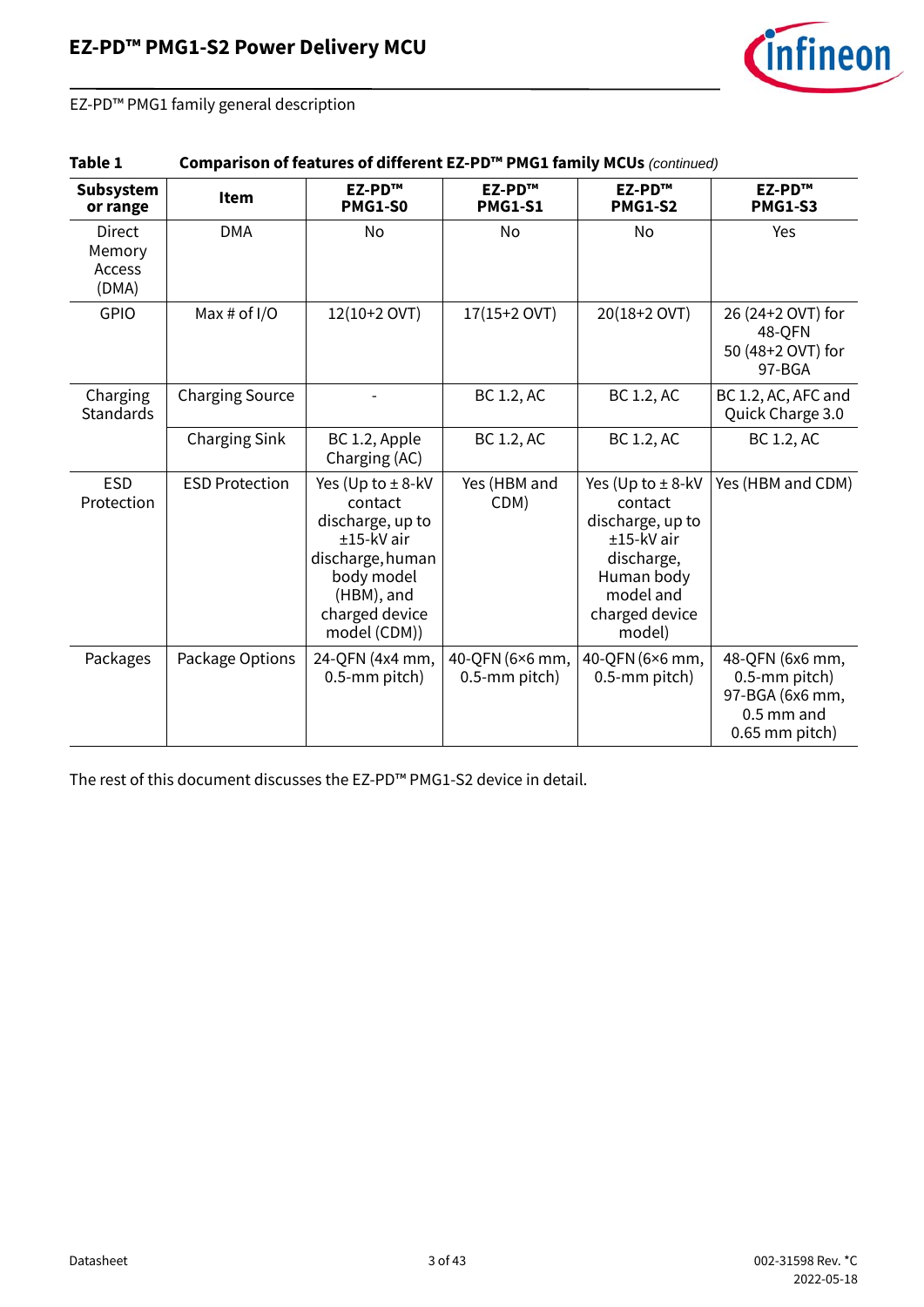

EZ-PD™ PMG1 family general description

| Table 1 | Comparison of features of different EZ-PD™ PMG1 family MCUs (continued) |
|---------|-------------------------------------------------------------------------|
|---------|-------------------------------------------------------------------------|

| Subsystem<br>or range               | Item                   | EZ-PD™<br><b>PMG1-S0</b>                                                                                                                               | EZ-PD™<br><b>PMG1-S1</b>         | EZ-PD™<br><b>PMG1-S2</b>                                                                                                                | EZ-PD™<br><b>PMG1-S3</b>                                                                |
|-------------------------------------|------------------------|--------------------------------------------------------------------------------------------------------------------------------------------------------|----------------------------------|-----------------------------------------------------------------------------------------------------------------------------------------|-----------------------------------------------------------------------------------------|
| Direct<br>Memory<br>Access<br>(DMA) | <b>DMA</b>             | No                                                                                                                                                     | No                               | No                                                                                                                                      | Yes                                                                                     |
| <b>GPIO</b>                         | Max # of $I/O$         | 12(10+2 OVT)                                                                                                                                           | 17(15+2 OVT)                     | 20(18+2 OVT)                                                                                                                            | 26 (24+2 OVT) for<br>48-QFN<br>50 (48+2 OVT) for<br>97-BGA                              |
| Charging<br><b>Standards</b>        | <b>Charging Source</b> |                                                                                                                                                        | BC 1.2, AC                       | BC 1.2, AC                                                                                                                              | BC 1.2, AC, AFC and<br>Quick Charge 3.0                                                 |
|                                     | <b>Charging Sink</b>   | BC 1.2, Apple<br>Charging (AC)                                                                                                                         | BC 1.2, AC                       | BC 1.2, AC                                                                                                                              | BC 1.2, AC                                                                              |
| <b>ESD</b><br>Protection            | <b>ESD Protection</b>  | Yes (Up to $\pm$ 8-kV<br>contact<br>discharge, up to<br>$±15-kV$ air<br>discharge, human<br>body model<br>(HBM), and<br>charged device<br>model (CDM)) | Yes (HBM and<br>CDM)             | Yes (Up to $\pm$ 8-kV<br>contact<br>discharge, up to<br>±15-kV air<br>discharge,<br>Human body<br>model and<br>charged device<br>model) | Yes (HBM and CDM)                                                                       |
| Packages                            | Package Options        | 24-QFN (4x4 mm,<br>0.5-mm pitch)                                                                                                                       | 40-QFN (6×6 mm,<br>0.5-mm pitch) | 40-QFN (6×6 mm,<br>0.5-mm pitch)                                                                                                        | 48-QFN (6x6 mm,<br>0.5-mm pitch)<br>97-BGA (6x6 mm,<br>$0.5$ mm and<br>$0.65$ mm pitch) |

The rest of this document discusses the EZ-PD™ PMG1-S2 device in detail.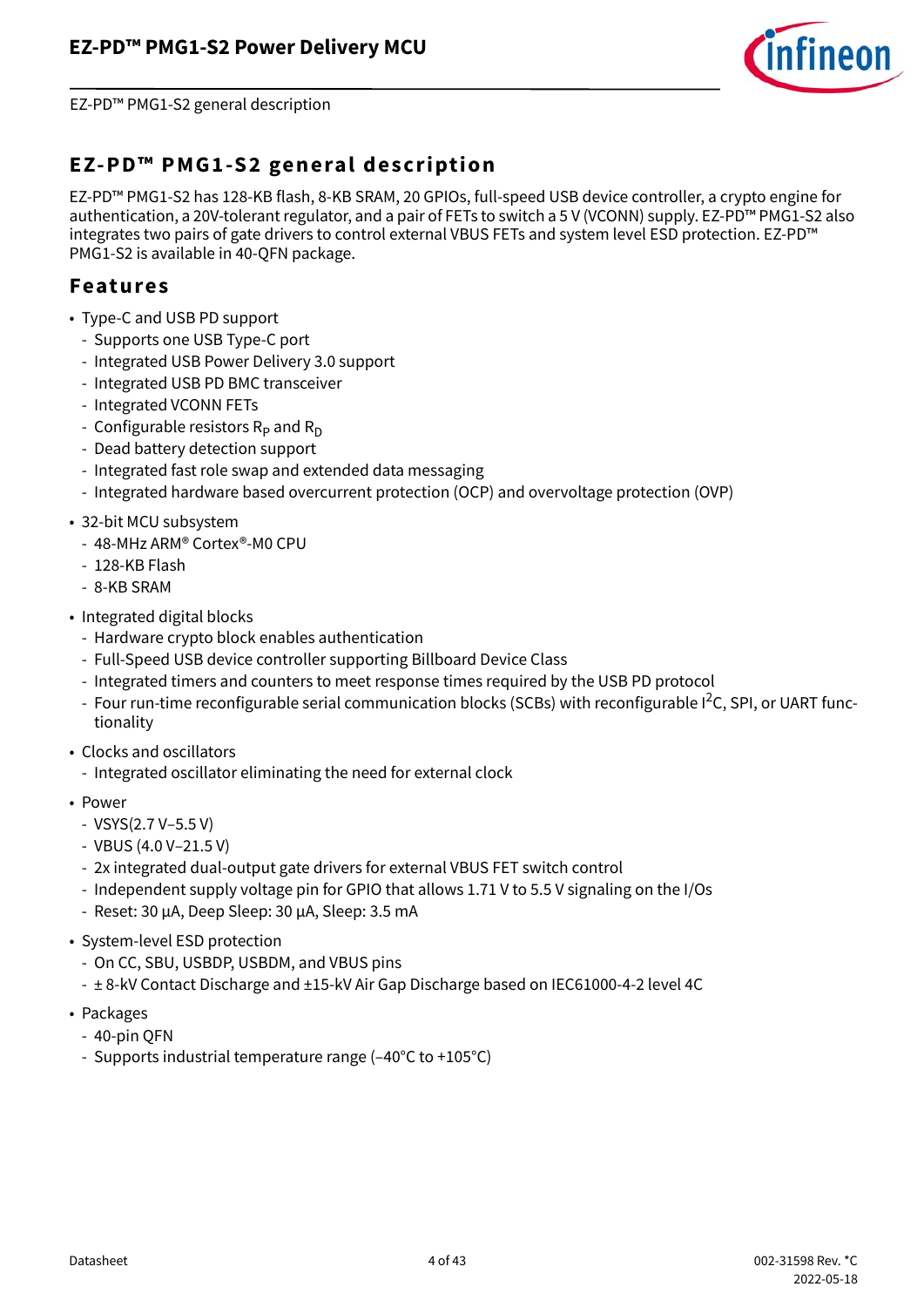

EZ-PD™ PMG1-S2 general description

## <span id="page-3-0"></span>**EZ-PD™ PMG1-S2 general description**

EZ-PD™ PMG1-S2 has 128-KB flash, 8-KB SRAM, 20 GPIOs, full-speed USB device controller, a crypto engine for authentication, a 20V-tolerant regulator, and a pair of FETs to switch a 5 V (VCONN) supply. EZ-PD™ PMG1-S2 also integrates two pairs of gate drivers to control external VBUS FETs and system level ESD protection. EZ-PD™ PMG1-S2 is available in 40-QFN package.

### <span id="page-3-1"></span>**Features**

- Type-C and USB PD support
	- Supports one USB Type-C port
	- Integrated USB Power Delivery 3.0 support
	- Integrated USB PD BMC transceiver
	- Integrated VCONN FETs
	- Configurable resistors  $R_D$  and  $R_D$
	- Dead battery detection support
	- Integrated fast role swap and extended data messaging
	- Integrated hardware based overcurrent protection (OCP) and overvoltage protection (OVP)
- 32-bit MCU subsystem
	- 48-MHz ARM® Cortex®-M0 CPU
	- 128-KB Flash
	- 8-KB SRAM
- Integrated digital blocks
	- Hardware crypto block enables authentication
	- Full-Speed USB device controller supporting Billboard Device Class
	- Integrated timers and counters to meet response times required by the USB PD protocol
	- Four run-time reconfigurable serial communication blocks (SCBs) with reconfigurable I<sup>2</sup>C, SPI, or UART functionality
- Clocks and oscillators
	- Integrated oscillator eliminating the need for external clock
- Power
	- VSYS(2.7 V–5.5 V)
	- VBUS (4.0 V–21.5 V)
	- 2x integrated dual-output gate drivers for external VBUS FET switch control
	- Independent supply voltage pin for GPIO that allows 1.71 V to 5.5 V signaling on the I/Os
	- Reset: 30 µA, Deep Sleep: 30 µA, Sleep: 3.5 mA
- System-level ESD protection
	- On CC, SBU, USBDP, USBDM, and VBUS pins
	- ± 8-kV Contact Discharge and ±15-kV Air Gap Discharge based on IEC61000-4-2 level 4C
- Packages
	- 40-pin QFN
	- Supports industrial temperature range (–40°C to +105°C)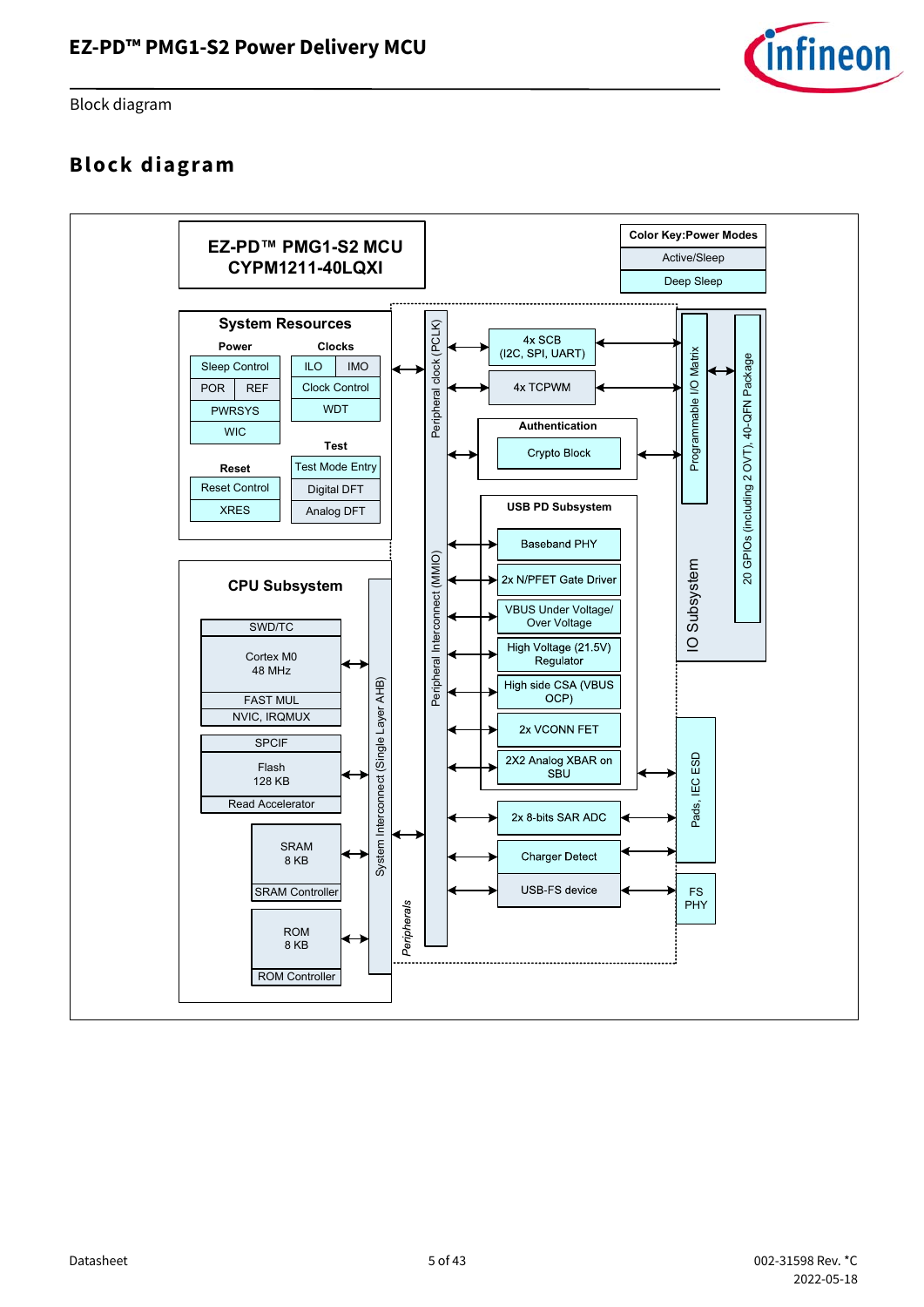

Block diagram

## <span id="page-4-0"></span>**Block diagram**

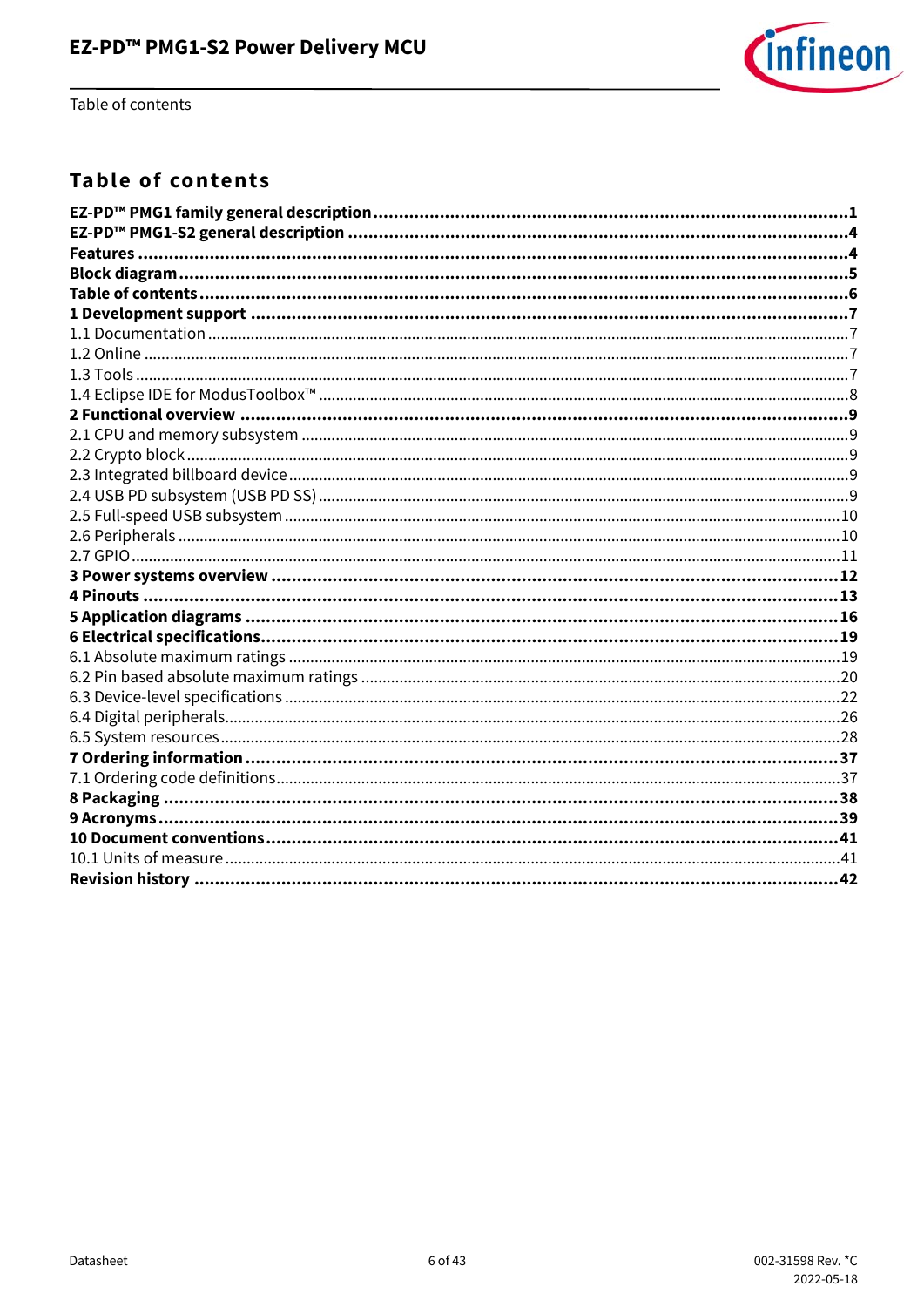

Table of contents

## <span id="page-5-0"></span>**Table of contents**

| EZ-PD™ PMG1 family general description……………………………………………………………………………………………1 |  |
|----------------------------------------------------------------------------|--|
|                                                                            |  |
|                                                                            |  |
|                                                                            |  |
|                                                                            |  |
|                                                                            |  |
|                                                                            |  |
|                                                                            |  |
|                                                                            |  |
|                                                                            |  |
|                                                                            |  |
|                                                                            |  |
|                                                                            |  |
|                                                                            |  |
|                                                                            |  |
|                                                                            |  |
|                                                                            |  |
|                                                                            |  |
|                                                                            |  |
|                                                                            |  |
|                                                                            |  |
|                                                                            |  |
|                                                                            |  |
|                                                                            |  |
|                                                                            |  |
|                                                                            |  |
|                                                                            |  |
|                                                                            |  |
|                                                                            |  |
|                                                                            |  |
|                                                                            |  |
|                                                                            |  |
|                                                                            |  |
|                                                                            |  |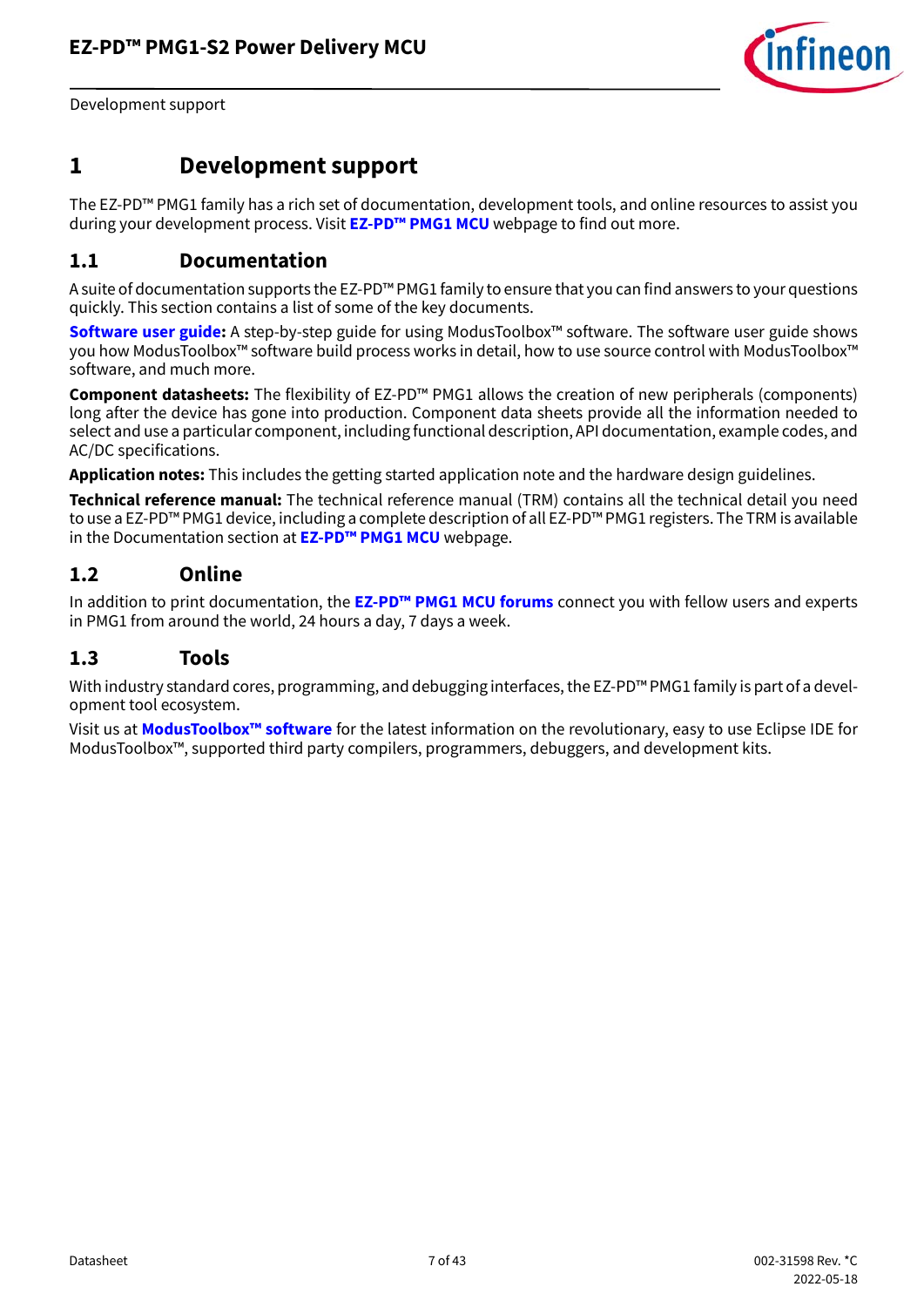

Development support

## <span id="page-6-0"></span>**1 Development support**

The EZ-PD™ PMG1 family has a rich set of documentation, development tools, and online resources to assist you during your development process. Visit **[EZ-PD™ PMG1 MCU](https://www.infineon.com/cms/en/product/universal-serial-bus-usb-power-delivery-controller/usb-c-and-power-delivery/ez-pd-pmg1-portfolio-high-voltage-mcus-usb-c-power-delivery/)** webpage to find out more.

### <span id="page-6-1"></span>**1.1 Documentation**

A suite of documentation supports the EZ-PD™ PMG1 family to ensure that you can find answers to your questions quickly. This section contains a list of some of the key documents.

**[Software user guide:](https://www.infineon.com/dgdl/Infineon-ModusToolbox_2.2_User_Guide-Software-v02_40-EN.pdf?fileId=8ac78c8c7e7124d1017e912544870cb3)** A step-by-step guide for using ModusToolbox™ software. The software user guide shows you how ModusToolbox™ software build process works in detail, how to use source control with ModusToolbox™ software, and much more.

**Component datasheets:** The flexibility of EZ-PD™ PMG1 allows the creation of new peripherals (components) long after the device has gone into production. Component data sheets provide all the information needed to select and use a particular component, including functional description, API documentation, example codes, and AC/DC specifications.

**Application notes:** This includes the getting started application note and the hardware design guidelines.

**Technical reference manual:** The technical reference manual (TRM) contains all the technical detail you need to use a EZ-PD™ PMG1 device, including a complete description of all EZ-PD™ PMG1 registers. The TRM is available in the Documentation section at **[EZ-PD™ PMG1 MCU](https://www.infineon.com/cms/en/product/universal-serial-bus-usb-power-delivery-controller/usb-c-and-power-delivery/ez-pd-pmg1-portfolio-high-voltage-mcus-usb-c-power-delivery/)** webpage.

### <span id="page-6-2"></span>**1.2 Online**

In addition to print documentation, the **[EZ-PD™ PMG1 MCU forums](https://community.infineon.com/t5/USB-EZ-PD-Type-C/bd-p/USBEZPDTypeC)** connect you with fellow users and experts in PMG1 from around the world, 24 hours a day, 7 days a week.

### <span id="page-6-3"></span>**1.3 Tools**

With industry standard cores, programming, and debugging interfaces, the EZ-PD™ PMG1 family is part of a development tool ecosystem.

Visit us at **[ModusToolbox™ software](https://www.infineon.com/cms/en/design-support/tools/sdk/modustoolbox-software/)** for the latest information on the revolutionary, easy to use Eclipse IDE for ModusToolbox™, supported third party compilers, programmers, debuggers, and development kits.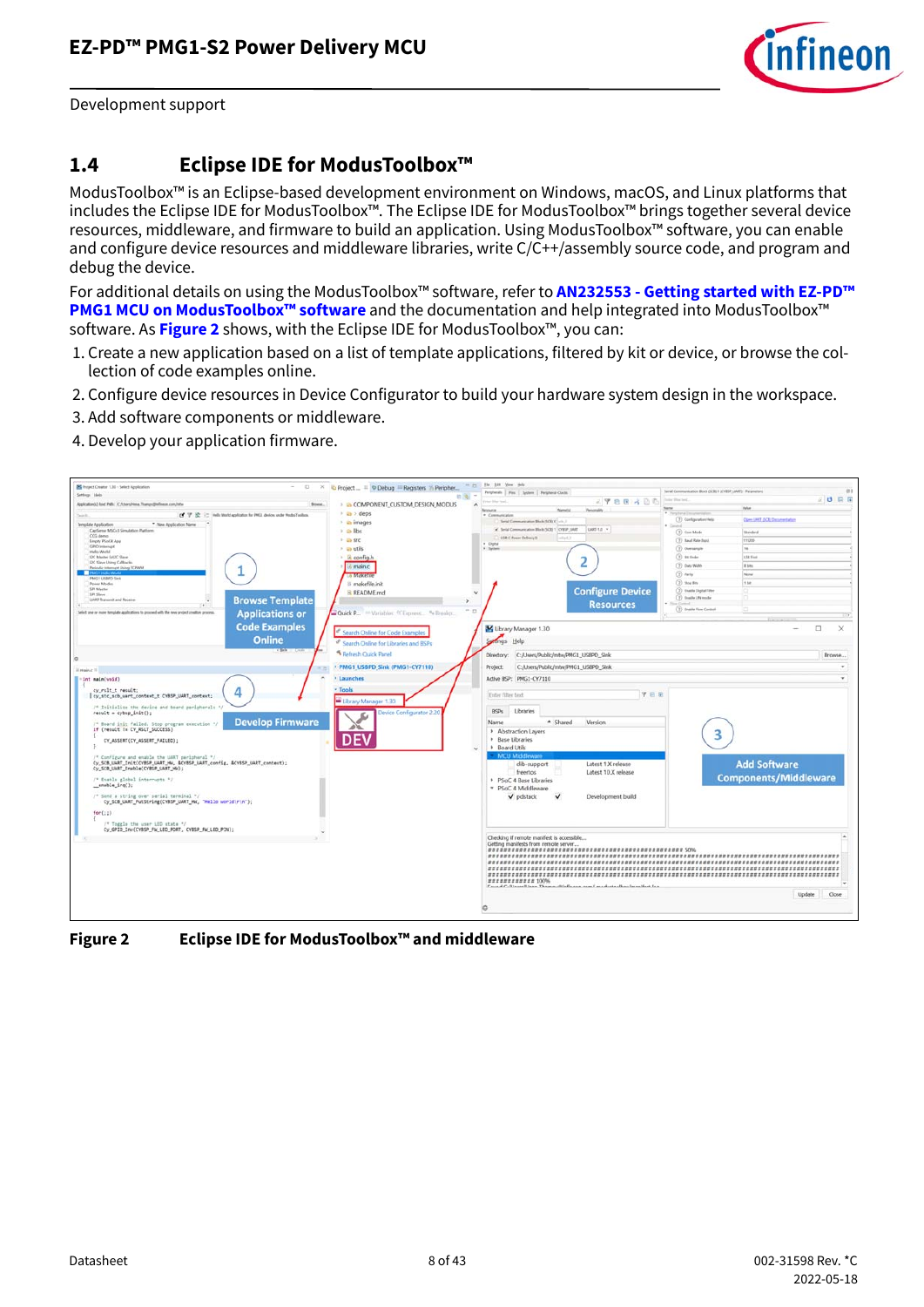

Development support

### <span id="page-7-0"></span>**1.4 Eclipse IDE for ModusToolbox™**

ModusToolbox™ is an Eclipse-based development environment on Windows, macOS, and Linux platforms that includes the Eclipse IDE for ModusToolbox™. The Eclipse IDE for ModusToolbox™ brings together several device resources, middleware, and firmware to build an application. Using ModusToolbox™ software, you can enable and configure device resources and middleware libraries, write C/C++/assembly source code, and program and debug the device.

For additional details on using the ModusToolbox™ software, refer to **[AN232553 - Getting started with EZ-PD™](https://www.infineon.com/dgdl/Infineon-AN232553_Getting_started_with_EZ-PD_PMG1_MCU_on_ModusToolbox_software-ApplicationNotes-v02_00-EN.pdf?fileId=8ac78c8c7cdc391c017d0d3e98ed67ea)  [PMG1 MCU on ModusToolbox™ software](https://www.infineon.com/dgdl/Infineon-AN232553_Getting_started_with_EZ-PD_PMG1_MCU_on_ModusToolbox_software-ApplicationNotes-v02_00-EN.pdf?fileId=8ac78c8c7cdc391c017d0d3e98ed67ea)** and the documentation and help integrated into ModusToolbox™ software. As **[Figure 2](#page-7-1)** shows, with the Eclipse IDE for ModusToolbox™, you can:

- 1. Create a new application based on a list of template applications, filtered by kit or device, or browse the collection of code examples online.
- 2. Configure device resources in Device Configurator to build your hardware system design in the workspace.
- 3. Add software components or middleware.
- 4. Develop your application firmware.

<span id="page-7-1"></span>

**Figure 2 Eclipse IDE for ModusToolbox™ and middleware**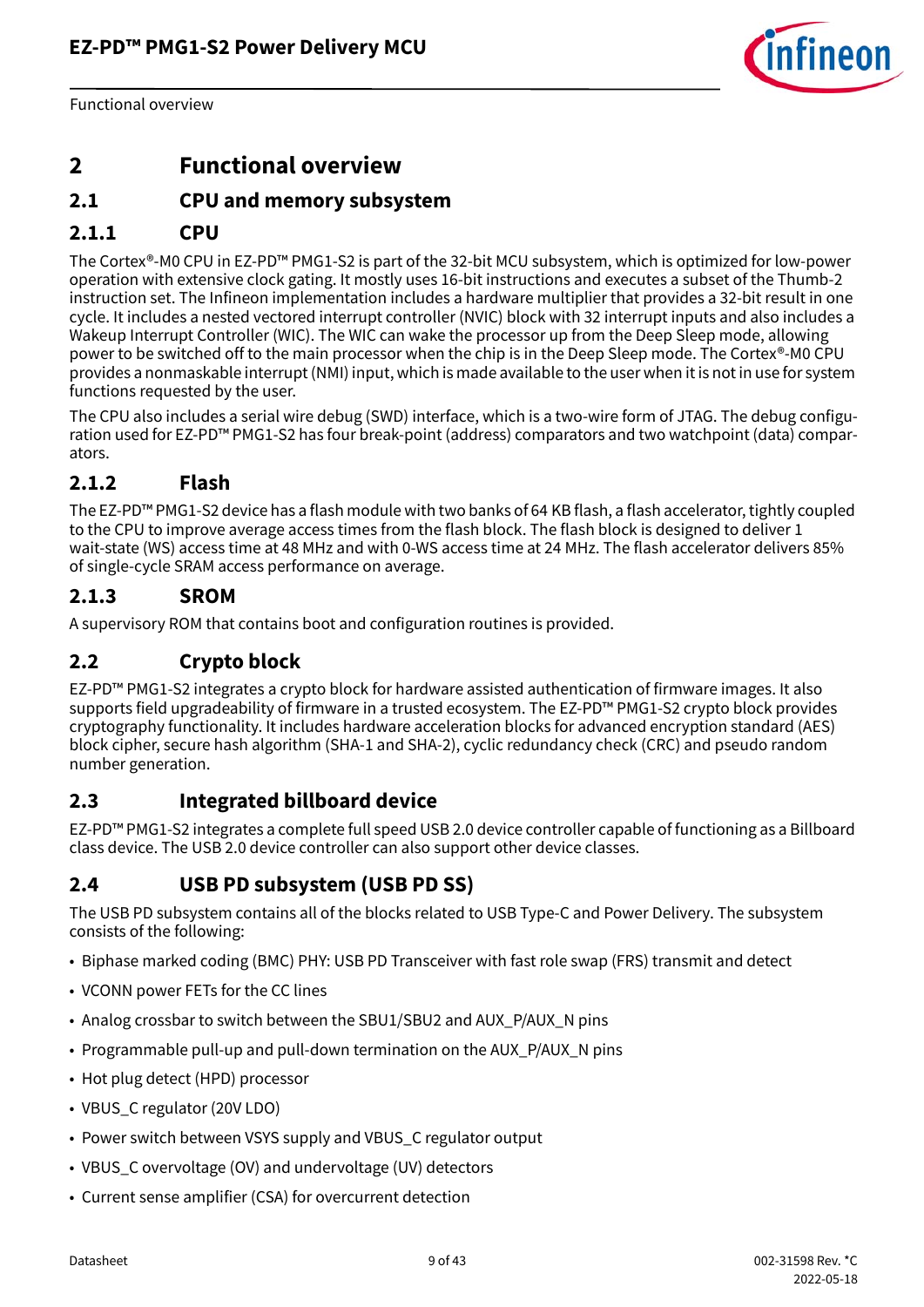

Functional overview

## <span id="page-8-0"></span>**2 Functional overview**

### <span id="page-8-1"></span>**2.1 CPU and memory subsystem**

### **2.1.1 CPU**

The Cortex®-M0 CPU in EZ-PD™ PMG1-S2 is part of the 32-bit MCU subsystem, which is optimized for low-power operation with extensive clock gating. It mostly uses 16-bit instructions and executes a subset of the Thumb-2 instruction set. The Infineon implementation includes a hardware multiplier that provides a 32-bit result in one cycle. It includes a nested vectored interrupt controller (NVIC) block with 32 interrupt inputs and also includes a Wakeup Interrupt Controller (WIC). The WIC can wake the processor up from the Deep Sleep mode, allowing power to be switched off to the main processor when the chip is in the Deep Sleep mode. The Cortex®-M0 CPU provides a nonmaskable interrupt (NMI) input, which is made available to the user when it is not in use for system functions requested by the user.

The CPU also includes a serial wire debug (SWD) interface, which is a two-wire form of JTAG. The debug configuration used for EZ-PD™ PMG1-S2 has four break-point (address) comparators and two watchpoint (data) comparators.

### **2.1.2 Flash**

The EZ-PD™ PMG1-S2 device has a flash module with two banks of 64 KB flash, a flash accelerator, tightly coupled to the CPU to improve average access times from the flash block. The flash block is designed to deliver 1 wait-state (WS) access time at 48 MHz and with 0-WS access time at 24 MHz. The flash accelerator delivers 85% of single-cycle SRAM access performance on average.

### **2.1.3 SROM**

A supervisory ROM that contains boot and configuration routines is provided.

### <span id="page-8-2"></span>**2.2 Crypto block**

EZ-PD™ PMG1-S2 integrates a crypto block for hardware assisted authentication of firmware images. It also supports field upgradeability of firmware in a trusted ecosystem. The EZ-PD™ PMG1-S2 crypto block provides cryptography functionality. It includes hardware acceleration blocks for advanced encryption standard (AES) block cipher, secure hash algorithm (SHA-1 and SHA-2), cyclic redundancy check (CRC) and pseudo random number generation.

### <span id="page-8-3"></span>**2.3 Integrated billboard device**

EZ-PD™ PMG1-S2 integrates a complete full speed USB 2.0 device controller capable of functioning as a Billboard class device. The USB 2.0 device controller can also support other device classes.

### <span id="page-8-4"></span>**2.4 USB PD subsystem (USB PD SS)**

The USB PD subsystem contains all of the blocks related to USB Type-C and Power Delivery. The subsystem consists of the following:

- Biphase marked coding (BMC) PHY: USB PD Transceiver with fast role swap (FRS) transmit and detect
- VCONN power FETs for the CC lines
- Analog crossbar to switch between the SBU1/SBU2 and AUX\_P/AUX\_N pins
- Programmable pull-up and pull-down termination on the AUX\_P/AUX\_N pins
- Hot plug detect (HPD) processor
- VBUS\_C regulator (20V LDO)
- Power switch between VSYS supply and VBUS\_C regulator output
- VBUS C overvoltage (OV) and undervoltage (UV) detectors
- Current sense amplifier (CSA) for overcurrent detection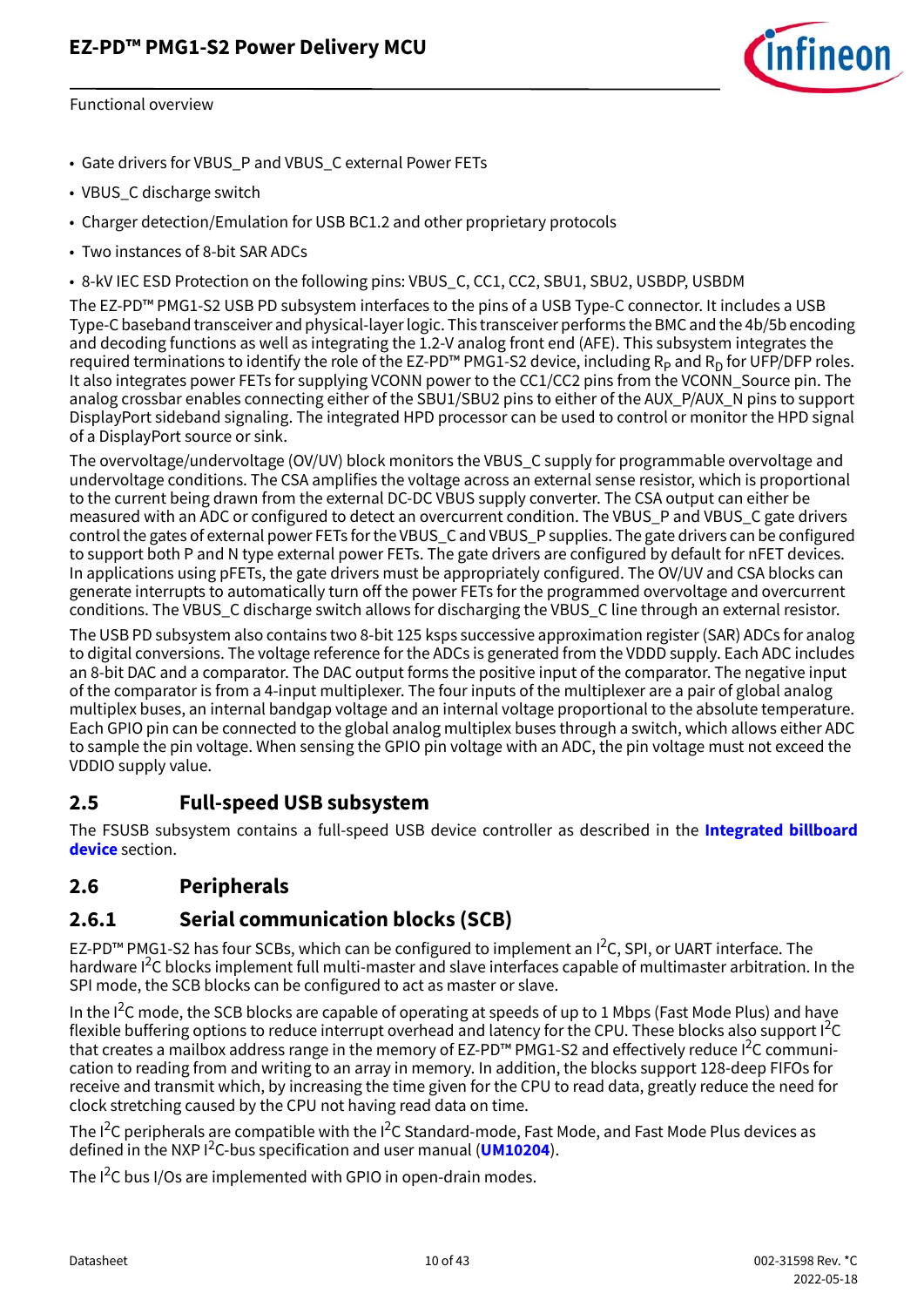

Functional overview

- Gate drivers for VBUS\_P and VBUS\_C external Power FETs
- VBUS\_C discharge switch
- Charger detection/Emulation for USB BC1.2 and other proprietary protocols
- Two instances of 8-bit SAR ADCs
- 8-kV IEC ESD Protection on the following pins: VBUS\_C, CC1, CC2, SBU1, SBU2, USBDP, USBDM

The EZ-PD™ PMG1-S2 USB PD subsystem interfaces to the pins of a USB Type-C connector. It includes a USB Type-C baseband transceiver and physical-layer logic. This transceiver performs the BMC and the 4b/5b encoding and decoding functions as well as integrating the 1.2-V analog front end (AFE). This subsystem integrates the required terminations to identify the role of the EZ-PD<sup>™</sup> PMG1-S2 device, including  $R<sub>P</sub>$  and  $R<sub>D</sub>$  for UFP/DFP roles. It also integrates power FETs for supplying VCONN power to the CC1/CC2 pins from the VCONN\_Source pin. The analog crossbar enables connecting either of the SBU1/SBU2 pins to either of the AUX\_P/AUX\_N pins to support DisplayPort sideband signaling. The integrated HPD processor can be used to control or monitor the HPD signal of a DisplayPort source or sink.

The overvoltage/undervoltage (OV/UV) block monitors the VBUS\_C supply for programmable overvoltage and undervoltage conditions. The CSA amplifies the voltage across an external sense resistor, which is proportional to the current being drawn from the external DC-DC VBUS supply converter. The CSA output can either be measured with an ADC or configured to detect an overcurrent condition. The VBUS\_P and VBUS\_C gate drivers control the gates of external power FETs for the VBUS\_C and VBUS\_P supplies. The gate drivers can be configured to support both P and N type external power FETs. The gate drivers are configured by default for nFET devices. In applications using pFETs, the gate drivers must be appropriately configured. The OV/UV and CSA blocks can generate interrupts to automatically turn off the power FETs for the programmed overvoltage and overcurrent conditions. The VBUS\_C discharge switch allows for discharging the VBUS\_C line through an external resistor.

The USB PD subsystem also contains two 8-bit 125 ksps successive approximation register (SAR) ADCs for analog to digital conversions. The voltage reference for the ADCs is generated from the VDDD supply. Each ADC includes an 8-bit DAC and a comparator. The DAC output forms the positive input of the comparator. The negative input of the comparator is from a 4-input multiplexer. The four inputs of the multiplexer are a pair of global analog multiplex buses, an internal bandgap voltage and an internal voltage proportional to the absolute temperature. Each GPIO pin can be connected to the global analog multiplex buses through a switch, which allows either ADC to sample the pin voltage. When sensing the GPIO pin voltage with an ADC, the pin voltage must not exceed the VDDIO supply value.

#### <span id="page-9-0"></span>**2.5 Full-speed USB subsystem**

The FSUSB subsystem contains a full-speed USB device controller as described in the **[Integrated billboard](#page-8-3) [device](#page-8-3)** section.

#### <span id="page-9-1"></span>**2.6 Peripherals**

### **2.6.1 Serial communication blocks (SCB)**

EZ-PD™ PMG1-S2 has four SCBs, which can be configured to implement an I<sup>2</sup>C, SPI, or UART interface. The hardware I<sup>2</sup>C blocks implement full multi-master and slave interfaces capable of multimaster arbitration. In the SPI mode, the SCB blocks can be configured to act as master or slave.

In the I<sup>2</sup>C mode, the SCB blocks are capable of operating at speeds of up to 1 Mbps (Fast Mode Plus) and have flexible buffering options to reduce interrupt overhead and latency for the CPU. These blocks also support I<sup>2</sup>C that creates a mailbox address range in the memory of EZ-PD™ PMG1-S2 and effectively reduce I<sup>2</sup>C communication to reading from and writing to an array in memory. In addition, the blocks support 128-deep FIFOs for receive and transmit which, by increasing the time given for the CPU to read data, greatly reduce the need for clock stretching caused by the CPU not having read data on time.

The I<sup>2</sup>C peripherals are compatible with the I<sup>2</sup>C Standard-mode, Fast Mode, and Fast Mode Plus devices as defined in the NXP I2 C-bus specification and user manual (**[UM10204](http://www.nxp.com/documents/user_manual/UM10204.pdf)**).

The  $I^2C$  bus I/Os are implemented with GPIO in open-drain modes.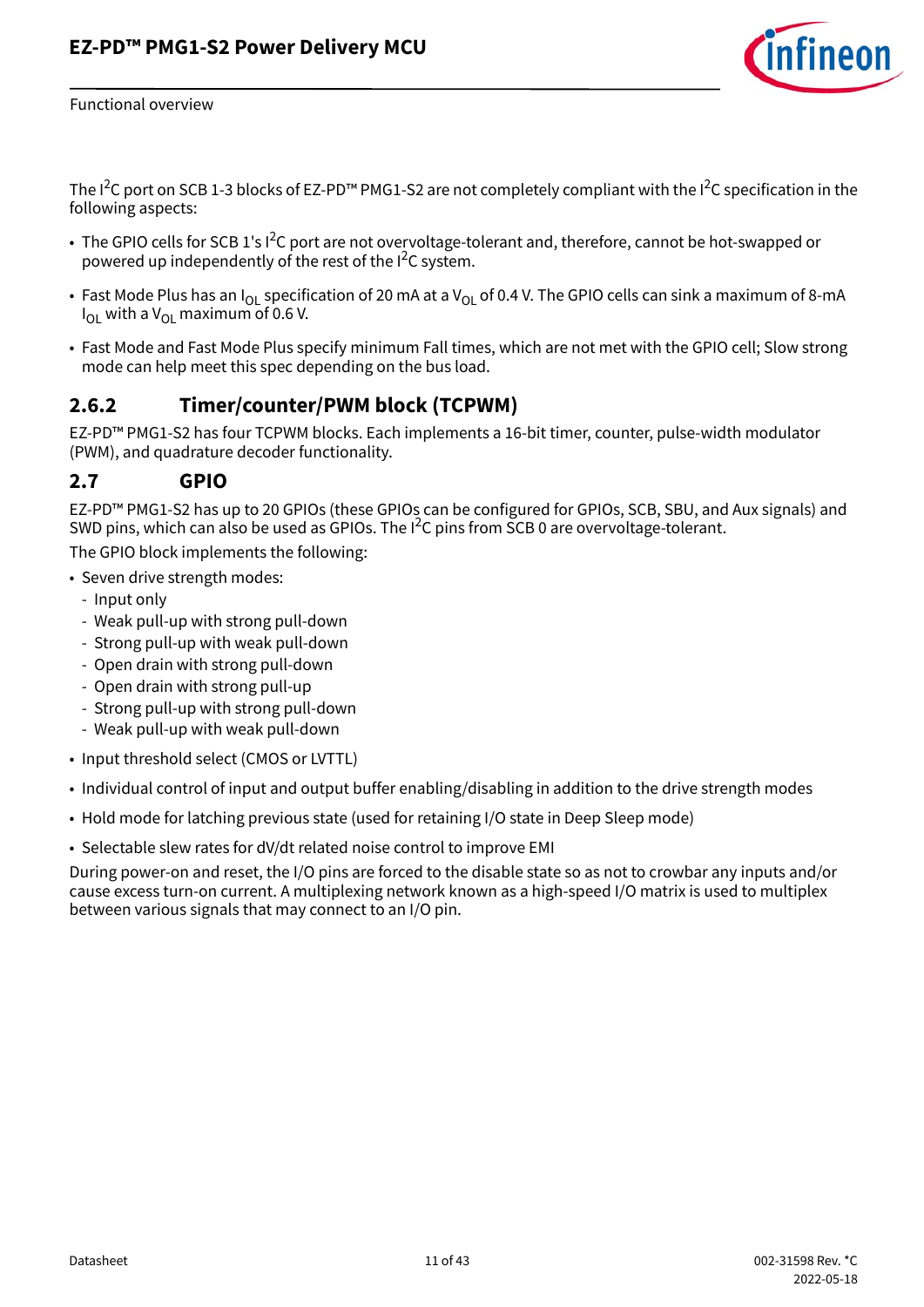

Functional overview

The I<sup>2</sup>C port on SCB 1-3 blocks of EZ-PD™ PMG1-S2 are not completely compliant with the I<sup>2</sup>C specification in the following aspects:

- The GPIO cells for SCB 1's I<sup>2</sup>C port are not overvoltage-tolerant and, therefore, cannot be hot-swapped or powered up independently of the rest of the I<sup>2</sup>C system.
- Fast Mode Plus has an  $I_{\text{O}1}$  specification of 20 mA at a  $V_{\text{O}1}$  of 0.4 V. The GPIO cells can sink a maximum of 8-mA  $I_{\Omega}$  with a V<sub>OL</sub> maximum of 0.6 V.
- Fast Mode and Fast Mode Plus specify minimum Fall times, which are not met with the GPIO cell; Slow strong mode can help meet this spec depending on the bus load.

### **2.6.2 Timer/counter/PWM block (TCPWM)**

EZ-PD™ PMG1-S2 has four TCPWM blocks. Each implements a 16-bit timer, counter, pulse-width modulator (PWM), and quadrature decoder functionality.

#### <span id="page-10-0"></span>**2.7 GPIO**

EZ-PD™ PMG1-S2 has up to 20 GPIOs (these GPIOs can be configured for GPIOs, SCB, SBU, and Aux signals) and SWD pins, which can also be used as GPIOs. The  $I^2C$  pins from SCB 0 are overvoltage-tolerant.

The GPIO block implements the following:

- Seven drive strength modes:
	- Input only
	- Weak pull-up with strong pull-down
	- Strong pull-up with weak pull-down
	- Open drain with strong pull-down
	- Open drain with strong pull-up
	- Strong pull-up with strong pull-down
	- Weak pull-up with weak pull-down
- Input threshold select (CMOS or LVTTL)
- Individual control of input and output buffer enabling/disabling in addition to the drive strength modes
- Hold mode for latching previous state (used for retaining I/O state in Deep Sleep mode)
- Selectable slew rates for dV/dt related noise control to improve EMI

During power-on and reset, the I/O pins are forced to the disable state so as not to crowbar any inputs and/or cause excess turn-on current. A multiplexing network known as a high-speed I/O matrix is used to multiplex between various signals that may connect to an I/O pin.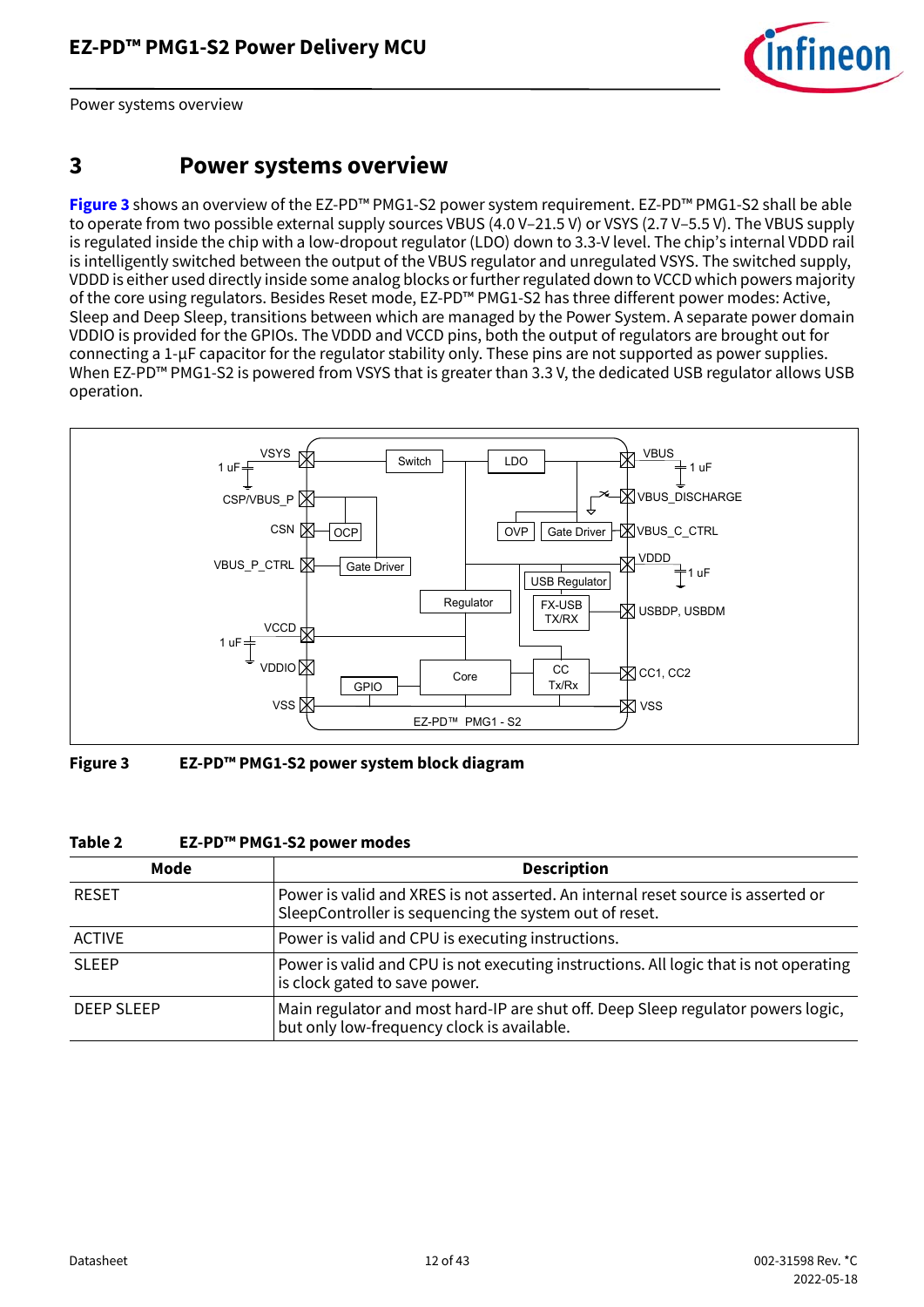

Power systems overview

## <span id="page-11-0"></span>**3 Power systems overview**

**[Figure 3](#page-11-1)** shows an overview of the EZ-PD™ PMG1-S2 power system requirement. EZ-PD™ PMG1-S2 shall be able to operate from two possible external supply sources VBUS (4.0 V–21.5 V) or VSYS (2.7 V–5.5 V). The VBUS supply is regulated inside the chip with a low-dropout regulator (LDO) down to 3.3-V level. The chip's internal VDDD rail is intelligently switched between the output of the VBUS regulator and unregulated VSYS. The switched supply, VDDD is either used directly inside some analog blocks or further regulated down to VCCD which powers majority of the core using regulators. Besides Reset mode, EZ-PD™ PMG1-S2 has three different power modes: Active, Sleep and Deep Sleep, transitions between which are managed by the Power System. A separate power domain VDDIO is provided for the GPIOs. The VDDD and VCCD pins, both the output of regulators are brought out for connecting a 1-µF capacitor for the regulator stability only. These pins are not supported as power supplies. When EZ-PD™ PMG1-S2 is powered from VSYS that is greater than 3.3 V, the dedicated USB regulator allows USB operation.



<span id="page-11-1"></span>**Figure 3 EZ-PD™ PMG1-S2 power system block diagram**

#### **Table 2 EZ-PD™ PMG1-S2 power modes**

| Mode              | <b>Description</b>                                                                                                                         |
|-------------------|--------------------------------------------------------------------------------------------------------------------------------------------|
| <b>RESET</b>      | Power is valid and XRES is not asserted. An internal reset source is asserted or<br>SleepController is sequencing the system out of reset. |
| <b>ACTIVE</b>     | Power is valid and CPU is executing instructions.                                                                                          |
| <b>SLEEP</b>      | Power is valid and CPU is not executing instructions. All logic that is not operating<br>is clock gated to save power.                     |
| <b>DEEP SLEEP</b> | Main regulator and most hard-IP are shut off. Deep Sleep regulator powers logic,<br>but only low-frequency clock is available.             |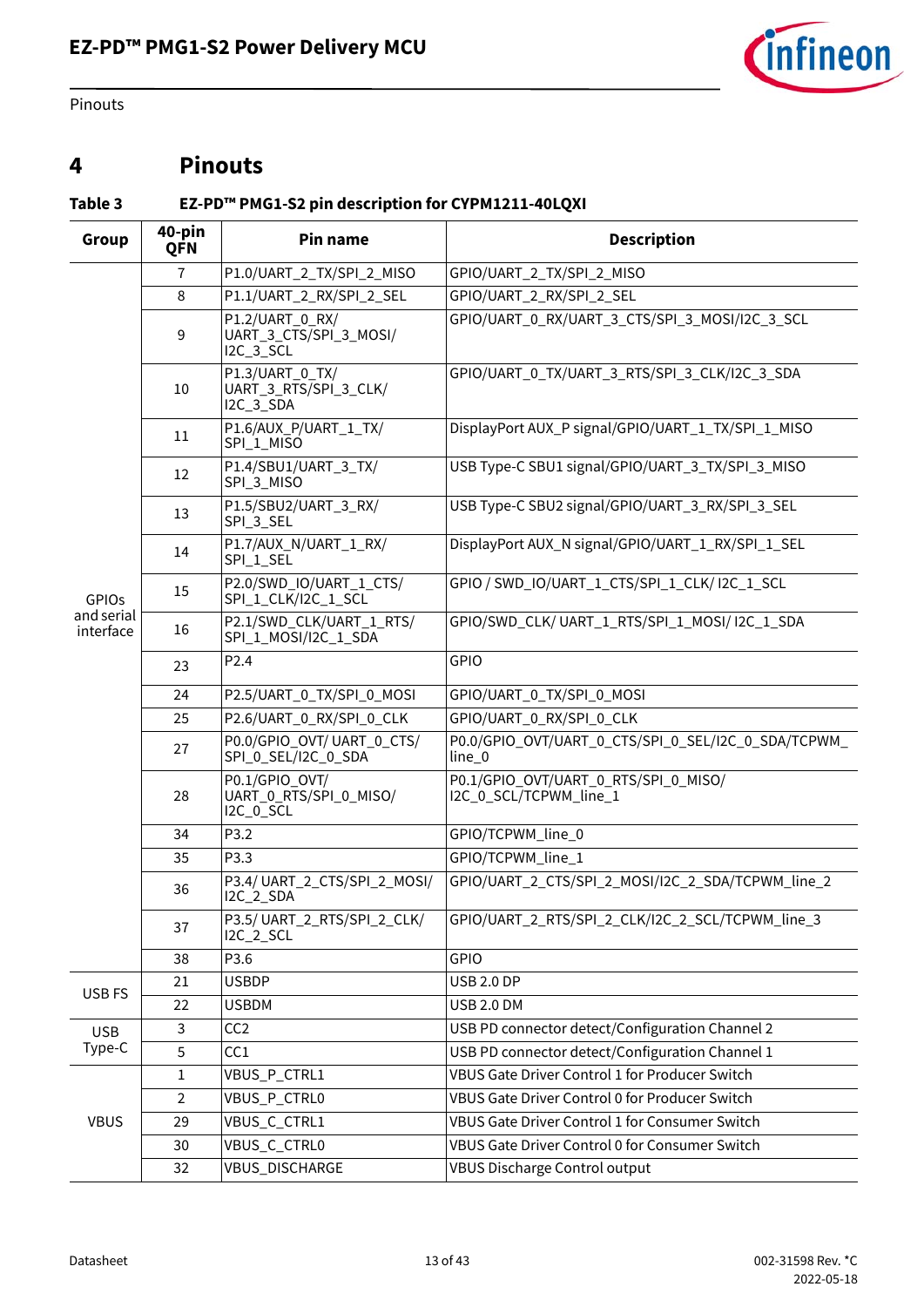

Pinouts

## <span id="page-12-0"></span>**4 Pinouts**

## <span id="page-12-1"></span>**Table 3 EZ-PD™ PMG1-S2 pin description for CYPM1211-40LQXI**

| 40-pin<br>Pin name<br><b>Description</b><br>Group<br><b>QFN</b> |                |                                                        |                                                                |  |  |
|-----------------------------------------------------------------|----------------|--------------------------------------------------------|----------------------------------------------------------------|--|--|
|                                                                 | 7              | P1.0/UART_2_TX/SPI_2_MISO                              | GPIO/UART_2_TX/SPI_2_MISO                                      |  |  |
|                                                                 | 8              | P1.1/UART_2_RX/SPI_2_SEL                               | GPIO/UART_2_RX/SPI_2_SEL                                       |  |  |
|                                                                 | 9              | P1.2/UART_0_RX/<br>UART_3_CTS/SPI_3_MOSI/<br>I2C_3_SCL | GPIO/UART_0_RX/UART_3_CTS/SPI_3_MOSI/I2C_3_SCL                 |  |  |
|                                                                 | 10             | P1.3/UART_0_TX/<br>UART_3_RTS/SPI_3_CLK/<br>I2C_3_SDA  | GPIO/UART_0_TX/UART_3_RTS/SPI_3_CLK/I2C_3_SDA                  |  |  |
|                                                                 | 11             | P1.6/AUX_P/UART_1_TX/<br>SPI_1_MISO                    | DisplayPort AUX_P signal/GPIO/UART_1_TX/SPI_1_MISO             |  |  |
|                                                                 | 12             | P1.4/SBU1/UART_3_TX/<br>SPI_3_MISO                     | USB Type-C SBU1 signal/GPIO/UART_3_TX/SPI_3_MISO               |  |  |
| <b>GPIOS</b>                                                    | 13             | P1.5/SBU2/UART_3_RX/<br>SPI_3_SEL                      | USB Type-C SBU2 signal/GPIO/UART_3_RX/SPI_3_SEL                |  |  |
|                                                                 | 14             | P1.7/AUX_N/UART_1_RX/<br>SPI_1_SEL                     | DisplayPort AUX_N signal/GPIO/UART_1_RX/SPI_1_SEL              |  |  |
|                                                                 | 15             | P2.0/SWD_IO/UART_1_CTS/<br>SPI_1_CLK/I2C_1_SCL         | GPIO / SWD_IO/UART_1_CTS/SPI_1_CLK/ I2C_1_SCL                  |  |  |
| and serial<br>interface                                         | 16             | P2.1/SWD_CLK/UART_1_RTS/<br>SPI_1_MOSI/I2C_1_SDA       | GPIO/SWD_CLK/ UART_1_RTS/SPI_1_MOSI/ I2C_1_SDA                 |  |  |
|                                                                 | 23             | P <sub>2.4</sub>                                       | GPIO                                                           |  |  |
|                                                                 | 24             | P2.5/UART_0_TX/SPI_0_MOSI                              | GPIO/UART_0_TX/SPI_0_MOSI                                      |  |  |
|                                                                 | 25             | P2.6/UART_0_RX/SPI_0_CLK                               | GPIO/UART_0_RX/SPI_0_CLK                                       |  |  |
|                                                                 | 27             | P0.0/GPIO_OVT/ UART_0_CTS/<br>SPI_0_SEL/I2C_0_SDA      | P0.0/GPIO_OVT/UART_0_CTS/SPI_0_SEL/I2C_0_SDA/TCPWM_<br>line_0  |  |  |
|                                                                 | 28             | P0.1/GPIO_OVT/<br>UART_0_RTS/SPI_0_MISO/<br>I2C_0_SCL  | P0.1/GPIO_OVT/UART_0_RTS/SPI_0_MISO/<br>I2C_0_SCL/TCPWM_line_1 |  |  |
|                                                                 | 34             | P3.2                                                   | GPIO/TCPWM_line_0                                              |  |  |
|                                                                 | 35             | P3.3                                                   | GPIO/TCPWM_line_1                                              |  |  |
|                                                                 | 36             | P3.4/UART_2_CTS/SPI_2_MOSI/<br><b>I2C_2_SDA</b>        | GPIO/UART_2_CTS/SPI_2_MOSI/I2C_2_SDA/TCPWM_line_2              |  |  |
|                                                                 | 37             | P3.5/UART_2_RTS/SPI_2_CLK/<br><b>I2C_2_SCL</b>         | GPIO/UART_2_RTS/SPI_2_CLK/I2C_2_SCL/TCPWM_line_3               |  |  |
|                                                                 | 38             | P3.6                                                   | GPIO                                                           |  |  |
| USB FS                                                          | 21             | <b>USBDP</b>                                           | <b>USB 2.0 DP</b>                                              |  |  |
|                                                                 | 22             | <b>USBDM</b>                                           | <b>USB 2.0 DM</b>                                              |  |  |
| <b>USB</b>                                                      | $\mathbf{3}$   | CC <sub>2</sub>                                        | USB PD connector detect/Configuration Channel 2                |  |  |
| Type-C                                                          | 5              | CC1                                                    | USB PD connector detect/Configuration Channel 1                |  |  |
|                                                                 | $\mathbf{1}$   | VBUS_P_CTRL1                                           | VBUS Gate Driver Control 1 for Producer Switch                 |  |  |
|                                                                 | $\overline{2}$ | VBUS_P_CTRL0                                           | VBUS Gate Driver Control 0 for Producer Switch                 |  |  |
| <b>VBUS</b>                                                     | 29             | VBUS_C_CTRL1                                           | VBUS Gate Driver Control 1 for Consumer Switch                 |  |  |
|                                                                 | 30             | VBUS_C_CTRL0                                           | VBUS Gate Driver Control 0 for Consumer Switch                 |  |  |
|                                                                 | 32             | VBUS_DISCHARGE                                         | VBUS Discharge Control output                                  |  |  |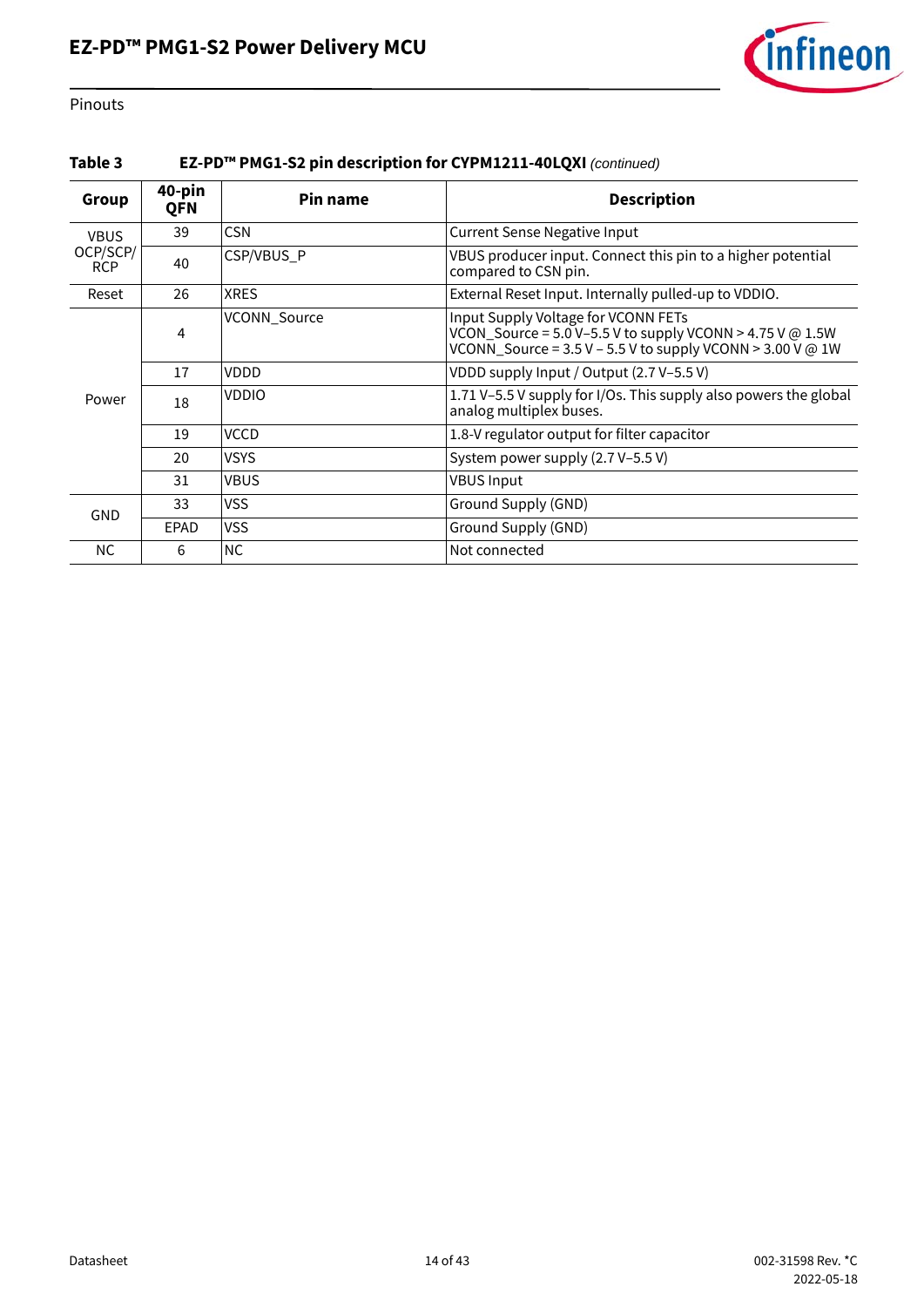

Pinouts

#### **Table 3 EZ-PD™ PMG1-S2 pin description for CYPM1211-40LQXI** *(continued)*

| Group                  | 40-pin     | Pin name     | <b>Description</b>                                                                                                                                                     |
|------------------------|------------|--------------|------------------------------------------------------------------------------------------------------------------------------------------------------------------------|
|                        | <b>QFN</b> |              |                                                                                                                                                                        |
| <b>VBUS</b>            | 39         | <b>CSN</b>   | <b>Current Sense Negative Input</b>                                                                                                                                    |
| OCP/SCP/<br><b>RCP</b> | 40         | CSP/VBUS_P   | VBUS producer input. Connect this pin to a higher potential<br>compared to CSN pin.                                                                                    |
| Reset                  | 26         | <b>XRES</b>  | External Reset Input. Internally pulled-up to VDDIO.                                                                                                                   |
|                        | 4          | VCONN_Source | Input Supply Voltage for VCONN FETs<br>VCON_Source = $5.0$ V-5.5 V to supply VCONN > 4.75 V @ 1.5W<br>VCONN_Source = $3.5$ V - $5.5$ V to supply VCONN > $3.00$ V @ 1W |
|                        | 17         | VDDD         | VDDD supply Input / Output (2.7 V-5.5 V)                                                                                                                               |
| Power                  | 18         | <b>VDDIO</b> | 1.71 V-5.5 V supply for I/Os. This supply also powers the global<br>analog multiplex buses.                                                                            |
|                        | 19         | <b>VCCD</b>  | 1.8-V regulator output for filter capacitor                                                                                                                            |
|                        | 20         | <b>VSYS</b>  | System power supply (2.7 V-5.5 V)                                                                                                                                      |
|                        | 31         | <b>VBUS</b>  | <b>VBUS Input</b>                                                                                                                                                      |
| <b>GND</b>             | 33         | <b>VSS</b>   | Ground Supply (GND)                                                                                                                                                    |
|                        | EPAD       | <b>VSS</b>   | Ground Supply (GND)                                                                                                                                                    |
| <b>NC</b>              | 6          | <b>NC</b>    | Not connected                                                                                                                                                          |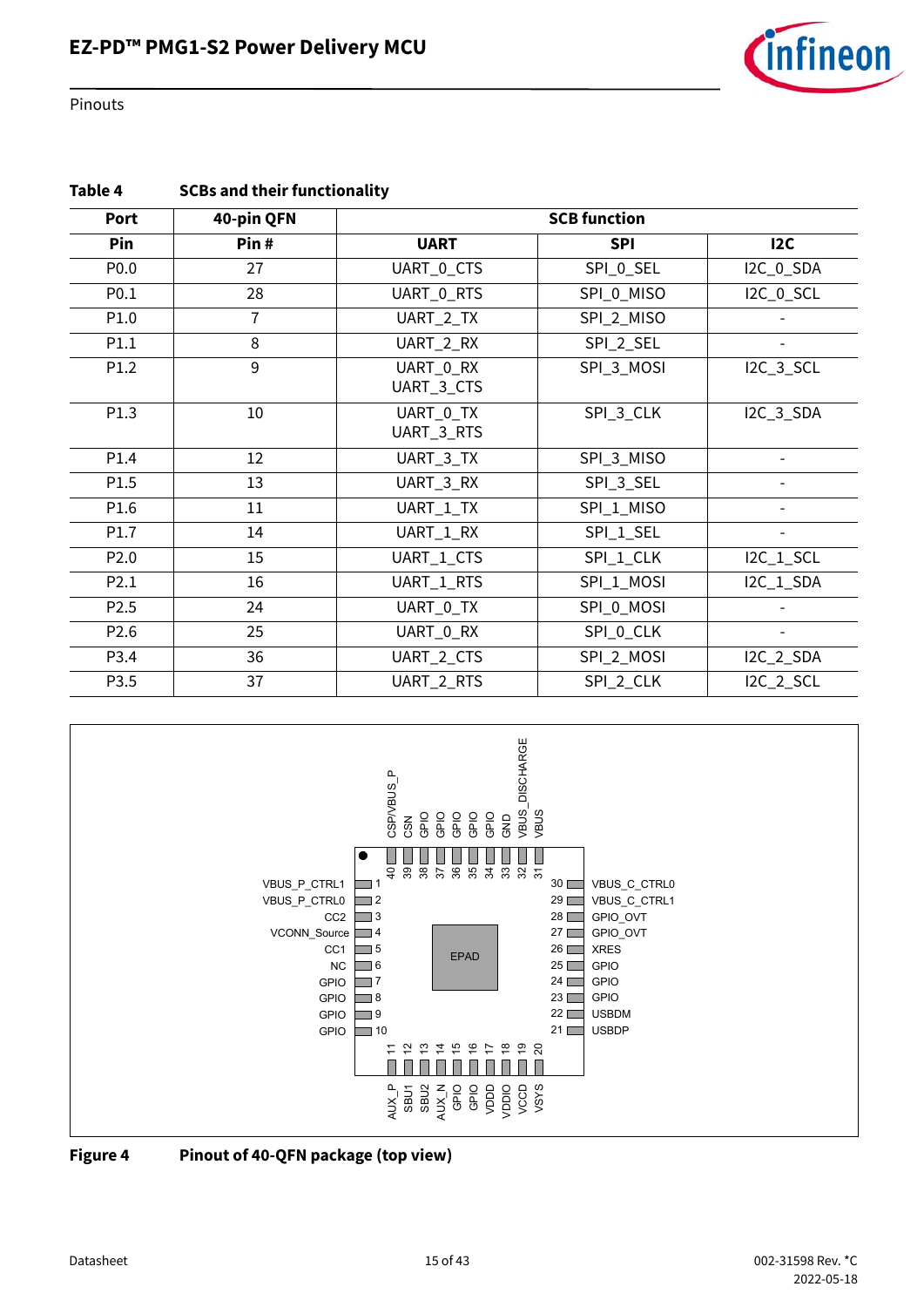

Pinouts

| Table 4 | <b>SCBs and their functionality</b> |
|---------|-------------------------------------|
|         |                                     |

| Port             | 40-pin QFN | <b>SCB function</b>     |            |                  |
|------------------|------------|-------------------------|------------|------------------|
| Pin              | Pin#       | <b>UART</b>             | <b>SPI</b> | 12C              |
| P <sub>0.0</sub> | 27         | UART_0_CTS              | SPI_0_SEL  | I2C_0_SDA        |
| P <sub>0.1</sub> | 28         | UART_0_RTS              | SPI_0_MISO | I2C_0_SCL        |
| P1.0             | 7          | UART_2_TX               | SPI_2_MISO |                  |
| P1.1             | 8          | UART_2_RX               | SPI_2_SEL  |                  |
| P1.2             | 9          | UART 0 RX<br>UART_3_CTS | SPI 3 MOSI | <b>I2C_3_SCL</b> |
| P1.3             | 10         | UART_0_TX<br>UART_3_RTS | SPI_3_CLK  | I2C_3_SDA        |
| P1.4             | 12         | UART_3_TX               | SPI_3_MISO |                  |
| P1.5             | 13         | UART_3_RX               | SPI_3_SEL  |                  |
| P1.6             | 11         | SPI_1_MISO<br>UART_1_TX |            |                  |
| P1.7             | 14         | UART_1_RX<br>SPI_1_SEL  |            |                  |
| P <sub>2.0</sub> | 15         | UART_1_CTS              | SPI_1_CLK  | I2C_1_SCL        |
| P2.1             | 16         | UART_1_RTS              | SPI_1_MOSI | I2C_1_SDA        |
| P <sub>2.5</sub> | 24         | UART_0_TX<br>SPI_0_MOSI |            |                  |
| P <sub>2.6</sub> | 25         | UART_0_RX               | SPI_0_CLK  |                  |
| P3.4             | 36         | UART_2_CTS              | SPI_2_MOSI | <b>I2C_2_SDA</b> |
| P3.5             | 37         | UART_2_RTS              | SPI_2_CLK  | <b>I2C_2_SCL</b> |



**Figure 4 Pinout of 40-QFN package (top view)**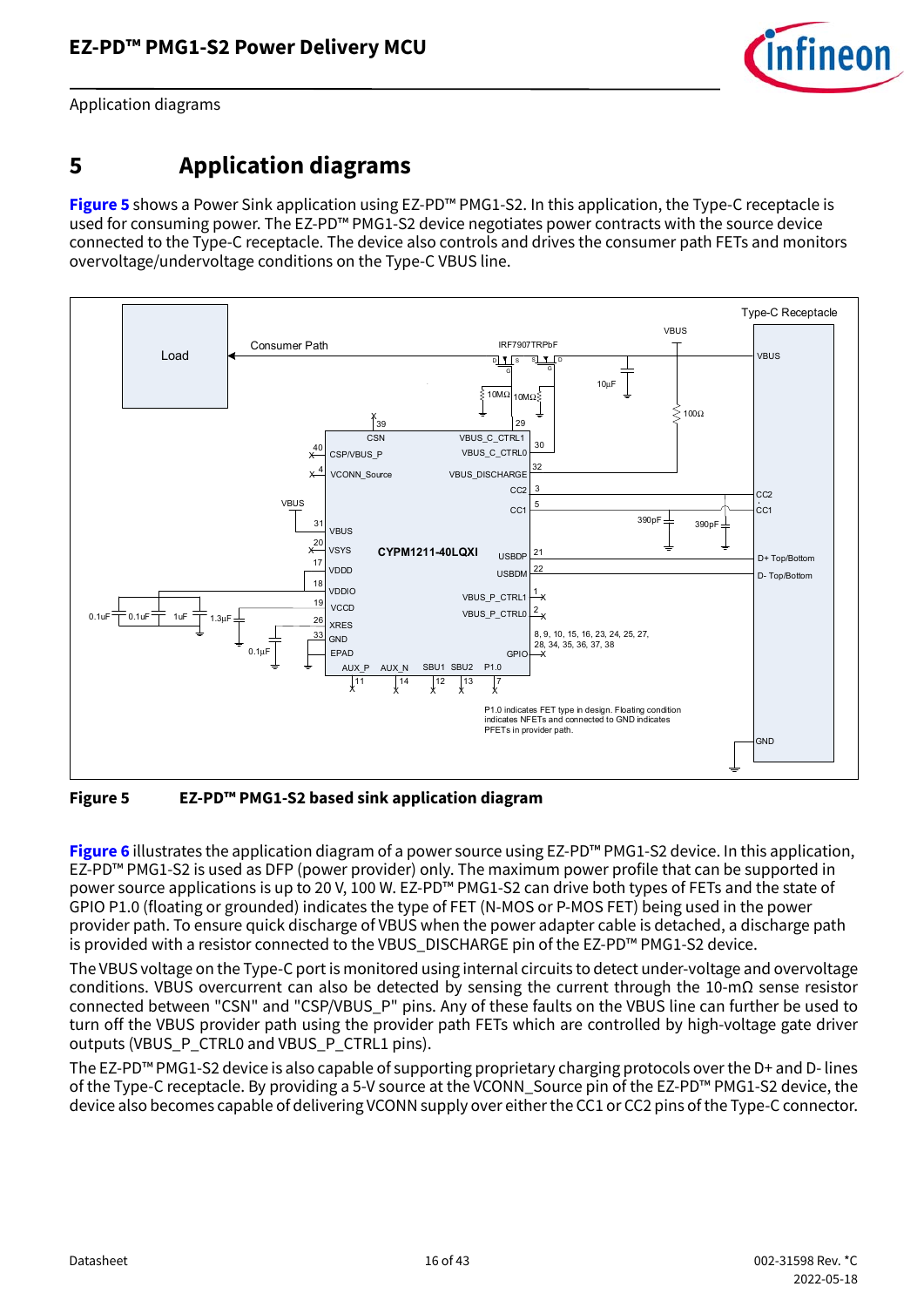

Application diagrams

## <span id="page-15-0"></span>**5 Application diagrams**

**[Figure 5](#page-15-1)** shows a Power Sink application using EZ-PD™ PMG1-S2. In this application, the Type-C receptacle is used for consuming power. The EZ-PD™ PMG1-S2 device negotiates power contracts with the source device connected to the Type-C receptacle. The device also controls and drives the consumer path FETs and monitors overvoltage/undervoltage conditions on the Type-C VBUS line.



<span id="page-15-1"></span>**Figure 5 EZ-PD™ PMG1-S2 based sink application diagram**

**[Figure 6](#page-16-0)** illustrates the application diagram of a power source using EZ-PD™ PMG1-S2 device. In this application, EZ-PD™ PMG1-S2 is used as DFP (power provider) only. The maximum power profile that can be supported in power source applications is up to 20 V, 100 W. EZ-PD™ PMG1-S2 can drive both types of FETs and the state of GPIO P1.0 (floating or grounded) indicates the type of FET (N-MOS or P-MOS FET) being used in the power provider path. To ensure quick discharge of VBUS when the power adapter cable is detached, a discharge path is provided with a resistor connected to the VBUS\_DISCHARGE pin of the EZ-PD™ PMG1-S2 device.

The VBUS voltage on the Type-C port is monitored using internal circuits to detect under-voltage and overvoltage conditions. VBUS overcurrent can also be detected by sensing the current through the 10-mΩ sense resistor connected between "CSN" and "CSP/VBUS\_P" pins. Any of these faults on the VBUS line can further be used to turn off the VBUS provider path using the provider path FETs which are controlled by high-voltage gate driver outputs (VBUS\_P\_CTRL0 and VBUS\_P\_CTRL1 pins).

The EZ-PD™ PMG1-S2 device is also capable of supporting proprietary charging protocols over the D+ and D- lines of the Type-C receptacle. By providing a 5-V source at the VCONN\_Source pin of the EZ-PD™ PMG1-S2 device, the device also becomes capable of delivering VCONN supply over either the CC1 or CC2 pins of the Type-C connector.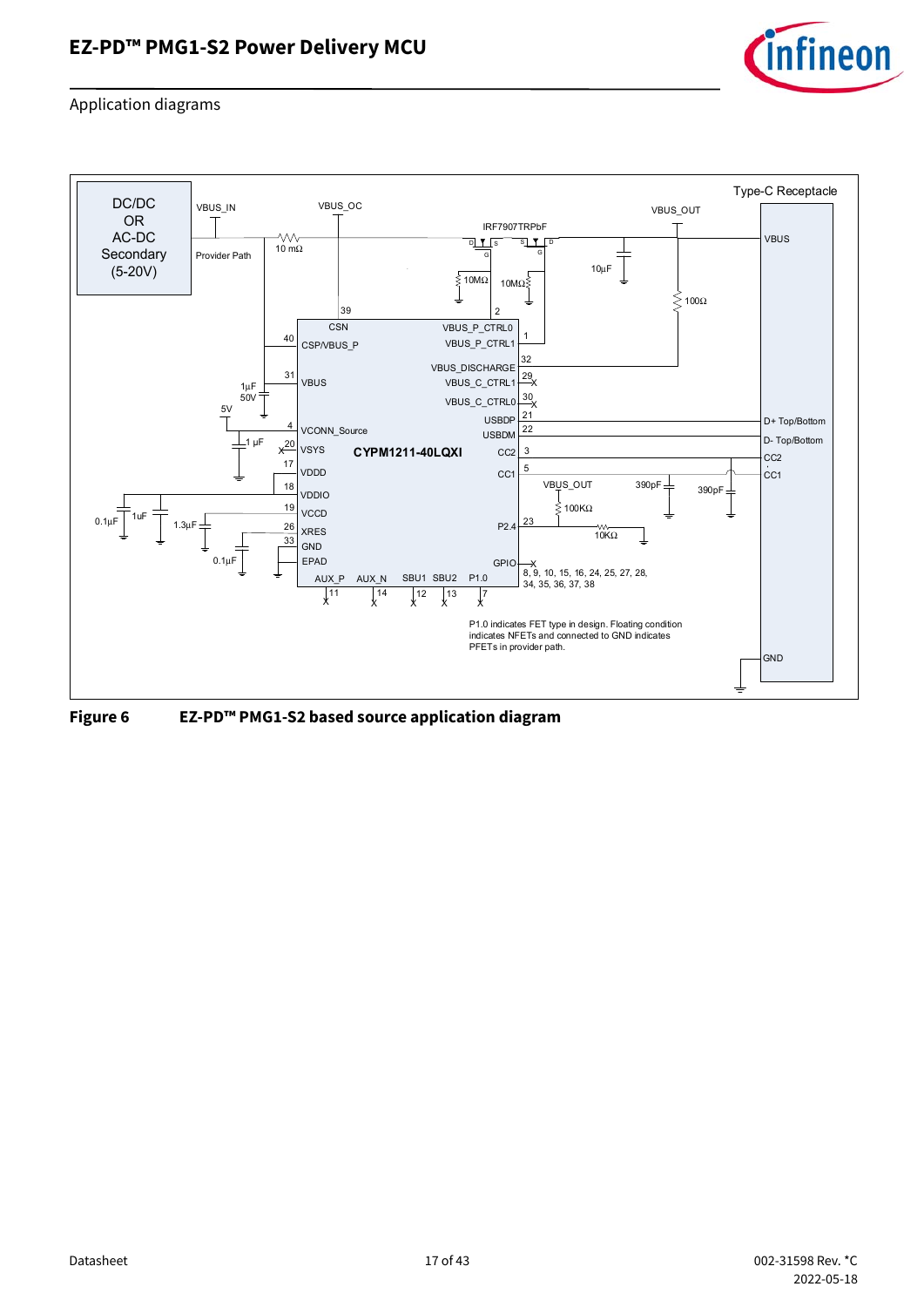

Application diagrams



<span id="page-16-0"></span>**Figure 6 EZ-PD™ PMG1-S2 based source application diagram**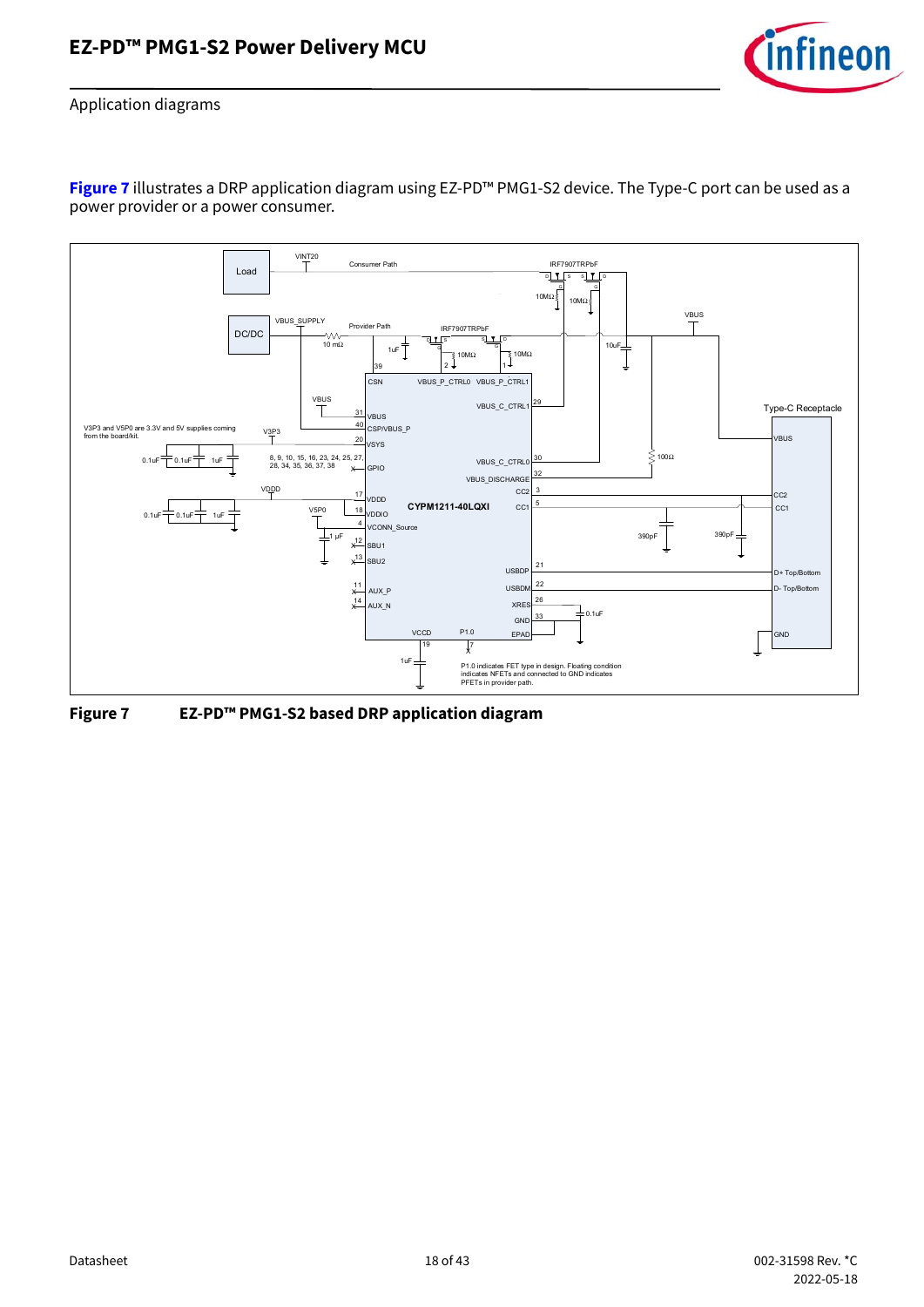

Application diagrams

**[Figure 7](#page-17-0)** illustrates a DRP application diagram using EZ-PD™ PMG1-S2 device. The Type-C port can be used as a power provider or a power consumer.



<span id="page-17-0"></span>**Figure 7 EZ-PD™ PMG1-S2 based DRP application diagram**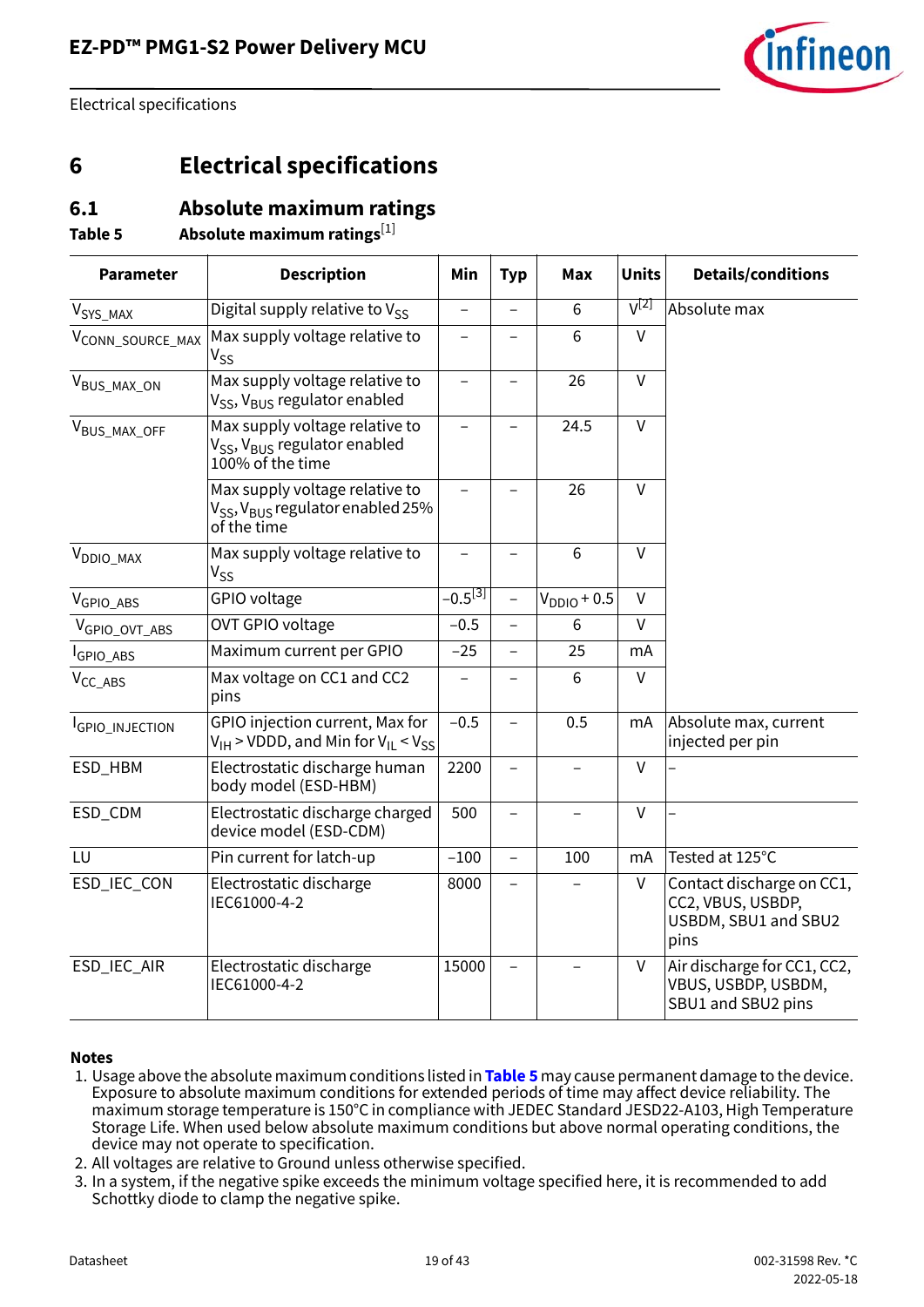

## <span id="page-18-0"></span>**6 Electrical specifications**

### <span id="page-18-1"></span>**6.1 Absolute maximum ratings**

<span id="page-18-5"></span>**Table 5 Absolute maximum ratings**[\[1](#page-18-2)]

| <b>Parameter</b>          | <b>Description</b>                                                                                         | Min                      | <b>Typ</b>               | <b>Max</b>        | <b>Units</b>   | <b>Details/conditions</b>                                                      |
|---------------------------|------------------------------------------------------------------------------------------------------------|--------------------------|--------------------------|-------------------|----------------|--------------------------------------------------------------------------------|
| $V_{\text{SYS\_MAX}}$     | Digital supply relative to $V_{SS}$                                                                        | $\overline{a}$           |                          | 6                 | $V^{[2]}$      | Absolute max                                                                   |
| VCONN_SOURCE_MAX          | Max supply voltage relative to<br>$V_{SS}$                                                                 |                          |                          | 6                 | $\vee$         |                                                                                |
| $V_{\text{BUS\_MAX\_ON}}$ | Max supply voltage relative to<br>V <sub>SS</sub> , V <sub>BUS</sub> regulator enabled                     | $\overline{\phantom{0}}$ |                          | 26                | $\vee$         |                                                                                |
| VBUS_MAX_OFF              | Max supply voltage relative to<br>V <sub>SS</sub> , V <sub>BUS</sub> regulator enabled<br>100% of the time | $\overline{a}$           |                          | 24.5              | $\vee$         |                                                                                |
|                           | Max supply voltage relative to<br>V <sub>SS</sub> , V <sub>BUS</sub> regulator enabled 25%<br>of the time  |                          |                          | 26                | $\overline{V}$ |                                                                                |
| V <sub>DDIO_MAX</sub>     | Max supply voltage relative to<br>$V_{SS}$                                                                 | $\overline{\phantom{0}}$ | $\overline{\phantom{0}}$ | 6                 | $\vee$         |                                                                                |
| $V_{GPIO\_ABS}$           | GPIO voltage                                                                                               | $-0.5^{[3]}$             | $\overline{\phantom{0}}$ | $VDDIO + 0.5$     | $\mathsf{V}$   |                                                                                |
| $V_{GPIO\_OVT\_ABS}$      | OVT GPIO voltage                                                                                           | $-0.5$                   | $\overline{\phantom{0}}$ | 6                 | V              |                                                                                |
| GPIO_ABS                  | Maximum current per GPIO                                                                                   | $-25$                    |                          | 25                | mA             |                                                                                |
| $V_{CC\_ABS}$             | Max voltage on CC1 and CC2<br>pins                                                                         |                          |                          | 6                 | V              |                                                                                |
| GPIO_INJECTION            | GPIO injection current, Max for<br>$V_{\text{IH}}$ > VDDD, and Min for $V_{\text{IL}}$ < $V_{SS}$          | $-0.5$                   |                          | 0.5               | mA             | Absolute max, current<br>injected per pin                                      |
| ESD_HBM                   | Electrostatic discharge human<br>body model (ESD-HBM)                                                      | 2200                     | $\overline{\phantom{a}}$ | $\qquad \qquad -$ | v              |                                                                                |
| ESD_CDM                   | 500<br>$\vee$<br>Electrostatic discharge charged<br>$\overline{\phantom{0}}$<br>device model (ESD-CDM)     |                          |                          |                   |                |                                                                                |
| LU                        | Pin current for latch-up                                                                                   | $-100$                   | $\overline{\phantom{0}}$ | 100               | mA             | Tested at 125°C                                                                |
| ESD_IEC_CON               | Electrostatic discharge<br>IEC61000-4-2                                                                    | 8000                     |                          |                   | $\mathsf{V}$   | Contact discharge on CC1,<br>CC2, VBUS, USBDP,<br>USBDM, SBU1 and SBU2<br>pins |
| ESD_IEC_AIR               | Electrostatic discharge<br>IEC61000-4-2                                                                    | 15000                    |                          |                   | V              | Air discharge for CC1, CC2,<br>VBUS, USBDP, USBDM,<br>SBU1 and SBU2 pins       |

#### **Notes**

- <span id="page-18-2"></span>1. Usage above the absolute maximum conditions listed in **[Table 5](#page-18-5)** may cause permanent damage to the device. Exposure to absolute maximum conditions for extended periods of time may affect device reliability. The maximum storage temperature is 150°C in compliance with JEDEC Standard JESD22-A103, High Temperature Storage Life. When used below absolute maximum conditions but above normal operating conditions, the device may not operate to specification.
- <span id="page-18-3"></span>2. All voltages are relative to Ground unless otherwise specified.
- <span id="page-18-4"></span>3. In a system, if the negative spike exceeds the minimum voltage specified here, it is recommended to add Schottky diode to clamp the negative spike.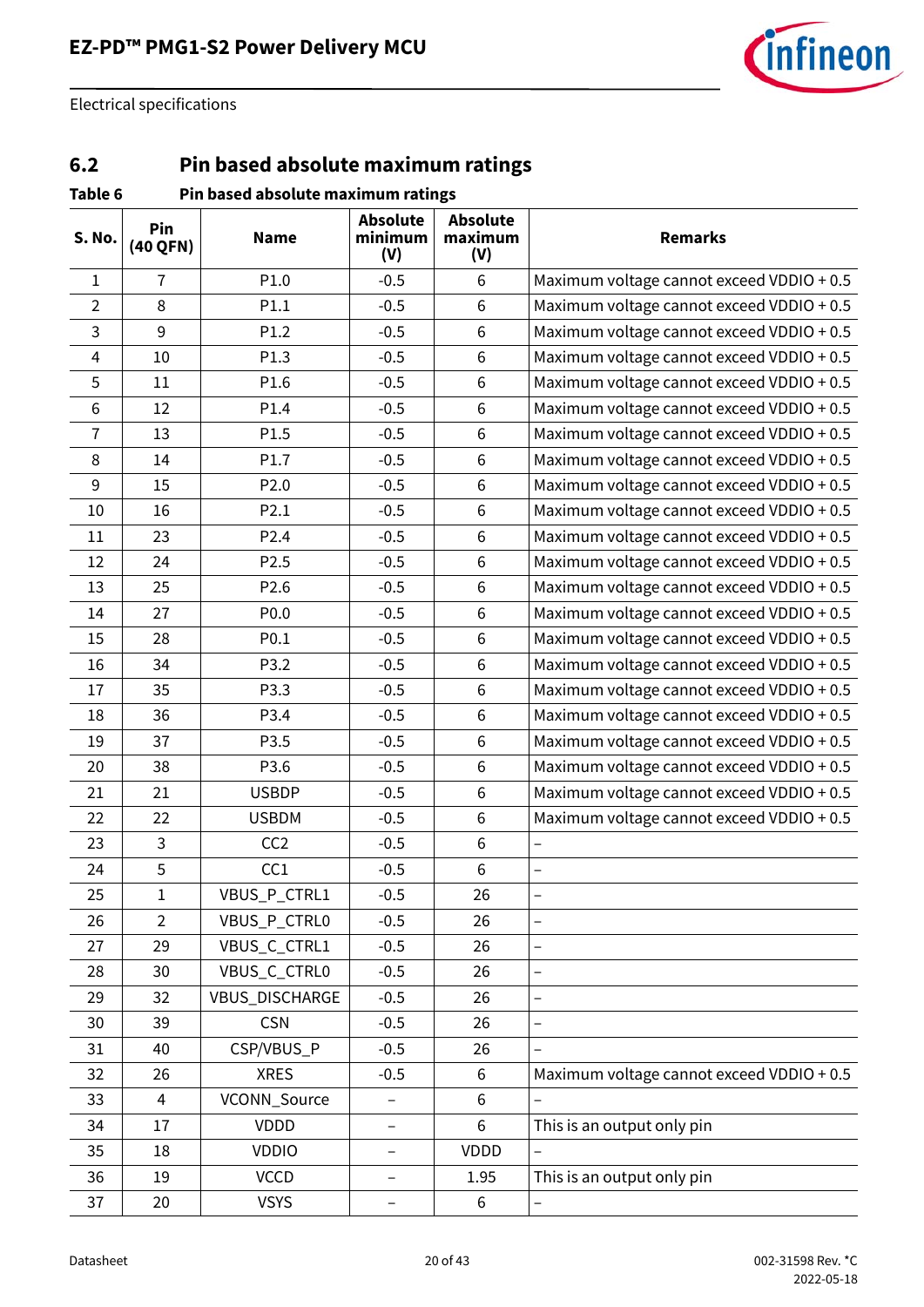

## <span id="page-19-0"></span>**6.2 Pin based absolute maximum ratings**

| Table 6        |                 | Pin based absolute maximum ratings |                                   |                                   |                                           |
|----------------|-----------------|------------------------------------|-----------------------------------|-----------------------------------|-------------------------------------------|
| S. No.         | Pin<br>(40 QFN) | <b>Name</b>                        | <b>Absolute</b><br>minimum<br>(V) | <b>Absolute</b><br>maximum<br>(V) | <b>Remarks</b>                            |
| $\mathbf{1}$   | 7               | P1.0                               | $-0.5$                            | 6                                 | Maximum voltage cannot exceed VDDIO + 0.5 |
| $\overline{2}$ | 8               | P1.1                               | $-0.5$                            | 6                                 | Maximum voltage cannot exceed VDDIO + 0.5 |
| 3              | 9               | P1.2                               | $-0.5$                            | 6                                 | Maximum voltage cannot exceed VDDIO + 0.5 |
| 4              | 10              | P1.3                               | $-0.5$                            | $6\phantom{1}6$                   | Maximum voltage cannot exceed VDDIO + 0.5 |
| 5              | 11              | P1.6                               | $-0.5$                            | $6\phantom{1}6$                   | Maximum voltage cannot exceed VDDIO + 0.5 |
| 6              | 12              | P1.4                               | $-0.5$                            | 6                                 | Maximum voltage cannot exceed VDDIO + 0.5 |
| 7              | 13              | P1.5                               | $-0.5$                            | $\,6\,$                           | Maximum voltage cannot exceed VDDIO + 0.5 |
| 8              | 14              | P1.7                               | $-0.5$                            | $6\,$                             | Maximum voltage cannot exceed VDDIO + 0.5 |
| 9              | 15              | P <sub>2.0</sub>                   | $-0.5$                            | $6\phantom{1}6$                   | Maximum voltage cannot exceed VDDIO + 0.5 |
| 10             | 16              | P2.1                               | $-0.5$                            | $\,6$                             | Maximum voltage cannot exceed VDDIO + 0.5 |
| 11             | 23              | P <sub>2.4</sub>                   | $-0.5$                            | 6                                 | Maximum voltage cannot exceed VDDIO + 0.5 |
| 12             | 24              | P <sub>2.5</sub>                   | $-0.5$                            | $6\phantom{1}6$                   | Maximum voltage cannot exceed VDDIO + 0.5 |
| 13             | 25              | P2.6                               | $-0.5$                            | $\,6\,$                           | Maximum voltage cannot exceed VDDIO + 0.5 |
| 14             | 27              | P0.0                               | $-0.5$                            | 6                                 | Maximum voltage cannot exceed VDDIO + 0.5 |
| 15             | 28              | P0.1                               | $-0.5$                            | $6\phantom{1}6$                   | Maximum voltage cannot exceed VDDIO + 0.5 |
| 16             | 34              | P3.2                               | $-0.5$                            | $6\,$                             | Maximum voltage cannot exceed VDDIO + 0.5 |
| 17             | 35              | P3.3                               | $-0.5$                            | $6\phantom{1}6$                   | Maximum voltage cannot exceed VDDIO + 0.5 |
| 18             | 36              | P3.4                               | $-0.5$                            | $\,6$                             | Maximum voltage cannot exceed VDDIO + 0.5 |
| 19             | 37              | P3.5                               | $-0.5$                            | 6                                 | Maximum voltage cannot exceed VDDIO + 0.5 |
| 20             | 38              | P3.6                               | $-0.5$                            | $\,6\,$                           | Maximum voltage cannot exceed VDDIO + 0.5 |
| 21             | 21              | <b>USBDP</b>                       | $-0.5$                            | $\,6\,$                           | Maximum voltage cannot exceed VDDIO + 0.5 |
| 22             | 22              | <b>USBDM</b>                       | $-0.5$                            | $6\,$                             | Maximum voltage cannot exceed VDDIO + 0.5 |
| 23             | 3               | CC <sub>2</sub>                    | $-0.5$                            | $\,6$                             | $\overline{\phantom{0}}$                  |
| 24             | 5               | CC1                                | $-0.5$                            | $6\,$                             | $\overline{\phantom{0}}$                  |
| 25             | $\mathbf 1$     | VBUS_P_CTRL1                       | $-0.5$                            | 26                                |                                           |
| 26             | $\overline{2}$  | VBUS_P_CTRL0                       | $-0.5$                            | 26                                | $\overline{a}$                            |
| 27             | 29              | VBUS_C_CTRL1                       | $-0.5$                            | 26                                | $\overline{\phantom{0}}$                  |
| 28             | 30              | VBUS_C_CTRL0                       | $-0.5$                            | 26                                | $\qquad \qquad -$                         |
| 29             | 32              | <b>VBUS DISCHARGE</b>              | $-0.5$                            | 26                                | $\overline{\phantom{0}}$                  |
| 30             | 39              | <b>CSN</b>                         | $-0.5$                            | 26                                | $\overline{a}$                            |
| 31             | 40              | CSP/VBUS_P                         | $-0.5$                            | 26                                |                                           |
| 32             | 26              | <b>XRES</b>                        | $-0.5$                            | 6                                 | Maximum voltage cannot exceed VDDIO + 0.5 |
| 33             | 4               | VCONN_Source                       | -                                 | $6\,$                             |                                           |
| 34             | 17              | <b>VDDD</b>                        | $\qquad \qquad -$                 | 6                                 | This is an output only pin                |
| 35             | 18              | <b>VDDIO</b>                       | -                                 | VDDD                              | $\qquad \qquad -$                         |
| 36             | 19              | <b>VCCD</b>                        | -                                 | 1.95                              | This is an output only pin                |
| 37             | 20              | <b>VSYS</b>                        | -                                 | 6                                 | $\overline{\phantom{0}}$                  |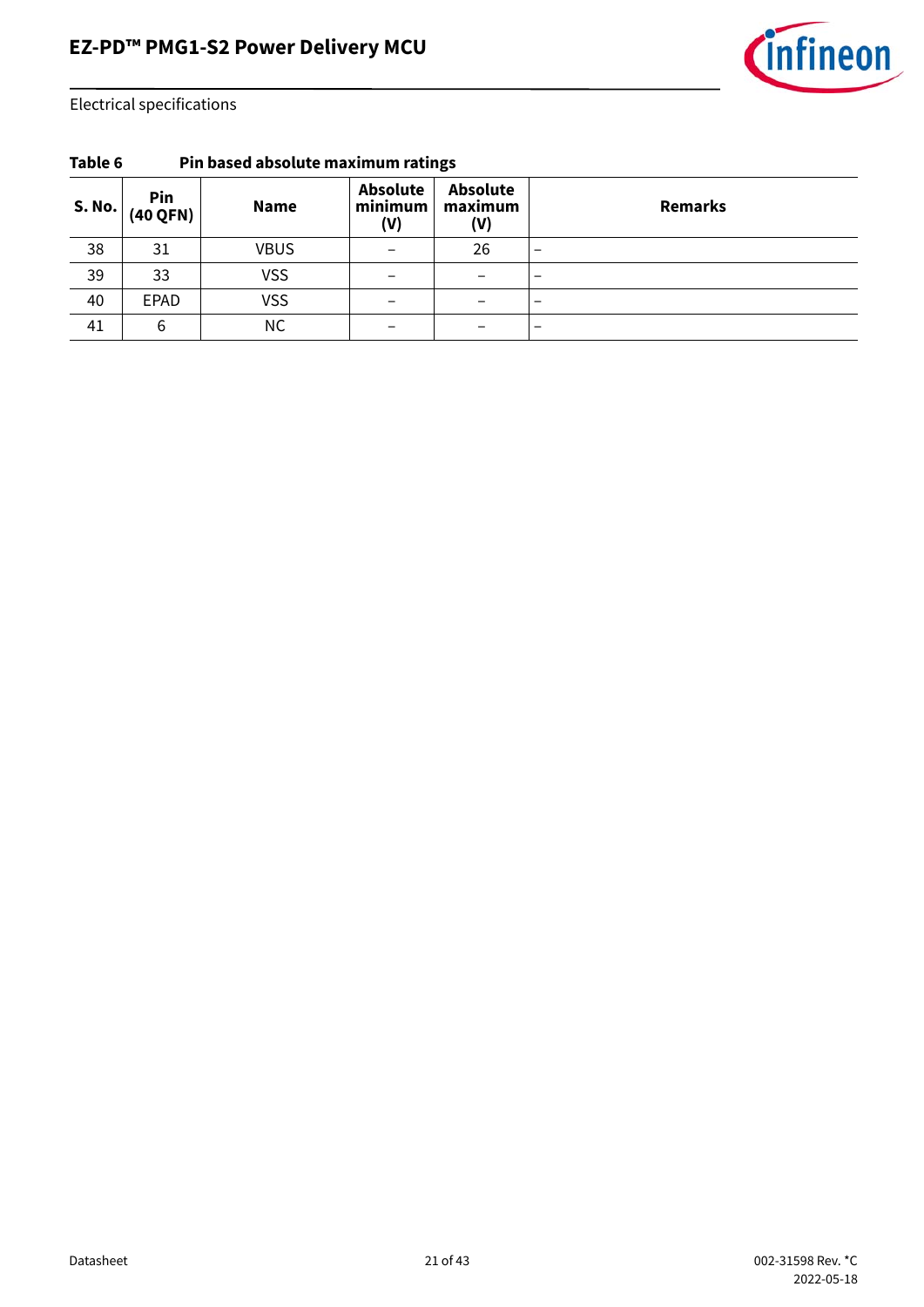

| --    |                 |             |                                   |                                   |                          |
|-------|-----------------|-------------|-----------------------------------|-----------------------------------|--------------------------|
| S.No. | Pin<br>(40 QFN) | <b>Name</b> | <b>Absolute</b><br>minimum<br>(V) | <b>Absolute</b><br>maximum<br>(V) | <b>Remarks</b>           |
| 38    | 31              | <b>VBUS</b> |                                   | 26                                | $\overline{\phantom{0}}$ |
| 39    | 33              | <b>VSS</b>  |                                   |                                   | $\overline{\phantom{m}}$ |
| 40    | <b>EPAD</b>     | <b>VSS</b>  |                                   |                                   | $\overline{\phantom{m}}$ |
| 41    | 6               | <b>NC</b>   |                                   |                                   | $\overline{\phantom{0}}$ |

**Table 6 Pin based absolute maximum ratings**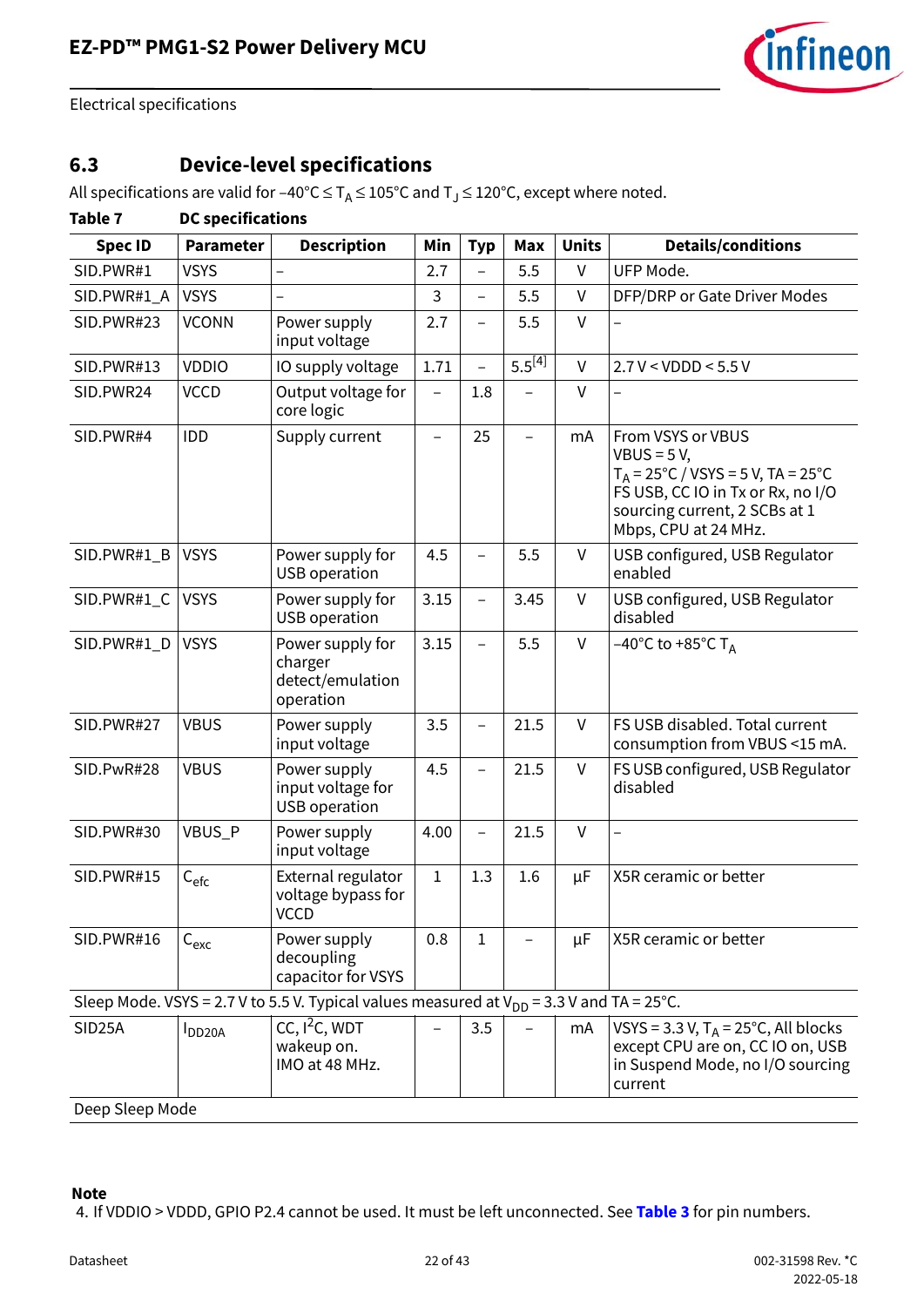

## <span id="page-21-0"></span>**6.3 Device-level specifications**

All specifications are valid for –40°C  $\leq$  T<sub>A</sub> $\leq$  105°C and T<sub>J</sub> $\leq$  120°C, except where noted.

### **Table 7 DC specifications**

| <b>Spec ID</b>  | <b>Parameter</b> | <b>Description</b>                                                                            | Min         | <b>Typ</b>               | Max         | <b>Units</b> | <b>Details/conditions</b>                                                                                                                                                              |
|-----------------|------------------|-----------------------------------------------------------------------------------------------|-------------|--------------------------|-------------|--------------|----------------------------------------------------------------------------------------------------------------------------------------------------------------------------------------|
| SID.PWR#1       | <b>VSYS</b>      |                                                                                               | 2.7         |                          | 5.5         | $\vee$       | UFP Mode.                                                                                                                                                                              |
| SID.PWR#1_A     | <b>VSYS</b>      |                                                                                               | 3           | $\overline{\phantom{0}}$ | 5.5         | $\vee$       | DFP/DRP or Gate Driver Modes                                                                                                                                                           |
| SID.PWR#23      | <b>VCONN</b>     | Power supply<br>input voltage                                                                 | 2.7         |                          | 5.5         | $\mathsf{V}$ |                                                                                                                                                                                        |
| SID.PWR#13      | <b>VDDIO</b>     | IO supply voltage                                                                             | 1.71        |                          | $5.5^{[4]}$ | $\vee$       | 2.7 V < VDDD < 5.5 V                                                                                                                                                                   |
| SID.PWR24       | <b>VCCD</b>      | Output voltage for<br>core logic                                                              |             | 1.8                      |             | $\vee$       |                                                                                                                                                                                        |
| SID.PWR#4       | <b>IDD</b>       | Supply current                                                                                |             | 25                       |             | mA           | From VSYS or VBUS<br>$VBUS = 5 V,$<br>$T_A = 25^{\circ}C / VSYS = 5 V, TA = 25^{\circ}C$<br>FS USB, CC IO in Tx or Rx, no I/O<br>sourcing current, 2 SCBs at 1<br>Mbps, CPU at 24 MHz. |
| SID.PWR#1_B     | <b>VSYS</b>      | Power supply for<br><b>USB</b> operation                                                      | 4.5         |                          | 5.5         | $\mathsf{V}$ | USB configured, USB Regulator<br>enabled                                                                                                                                               |
| SID.PWR#1_C     | <b>VSYS</b>      | Power supply for<br><b>USB</b> operation                                                      | 3.15        |                          | 3.45        | $\mathsf{V}$ | USB configured, USB Regulator<br>disabled                                                                                                                                              |
| SID.PWR#1_D     | <b>VSYS</b>      | Power supply for<br>charger<br>detect/emulation<br>operation                                  | 3.15        |                          | 5.5         | $\mathsf{V}$ | $-40^{\circ}$ C to +85 $^{\circ}$ C T <sub>A</sub>                                                                                                                                     |
| SID.PWR#27      | <b>VBUS</b>      | Power supply<br>input voltage                                                                 | 3.5         |                          | 21.5        | $\vee$       | FS USB disabled. Total current<br>consumption from VBUS <15 mA.                                                                                                                        |
| SID.PwR#28      | <b>VBUS</b>      | Power supply<br>input voltage for<br><b>USB</b> operation                                     | 4.5         |                          | 21.5        | $\mathsf{V}$ | FS USB configured, USB Regulator<br>disabled                                                                                                                                           |
| SID.PWR#30      | VBUS_P           | Power supply<br>input voltage                                                                 | 4.00        |                          | 21.5        | $\mathsf{V}$ | $\overline{a}$                                                                                                                                                                         |
| SID.PWR#15      | $C_{\text{efc}}$ | External regulator<br>voltage bypass for<br><b>VCCD</b>                                       | $\mathbf 1$ | 1.3                      | 1.6         | μF           | X5R ceramic or better                                                                                                                                                                  |
| SID.PWR#16      | $C_{\text{exc}}$ | Power supply<br>decoupling<br>capacitor for VSYS                                              | 0.8         | 1                        |             | μF           | X5R ceramic or better                                                                                                                                                                  |
|                 |                  | Sleep Mode. VSYS = 2.7 V to 5.5 V. Typical values measured at $V_{DD}$ = 3.3 V and TA = 25°C. |             |                          |             |              |                                                                                                                                                                                        |
| SID25A          | <b>DD20A</b>     | CC, $I^2C$ , WDT<br>wakeup on.<br>IMO at 48 MHz.                                              |             | 3.5                      |             | mA           | VSYS = 3.3 V, $T_A$ = 25°C, All blocks<br>except CPU are on, CC IO on, USB<br>in Suspend Mode, no I/O sourcing<br>current                                                              |
| Deep Sleep Mode |                  |                                                                                               |             |                          |             |              |                                                                                                                                                                                        |

#### **Note**

<span id="page-21-1"></span>4. If VDDIO > VDDD, GPIO P2.4 cannot be used. It must be left unconnected. See **[Table 3](#page-12-1)** for pin numbers.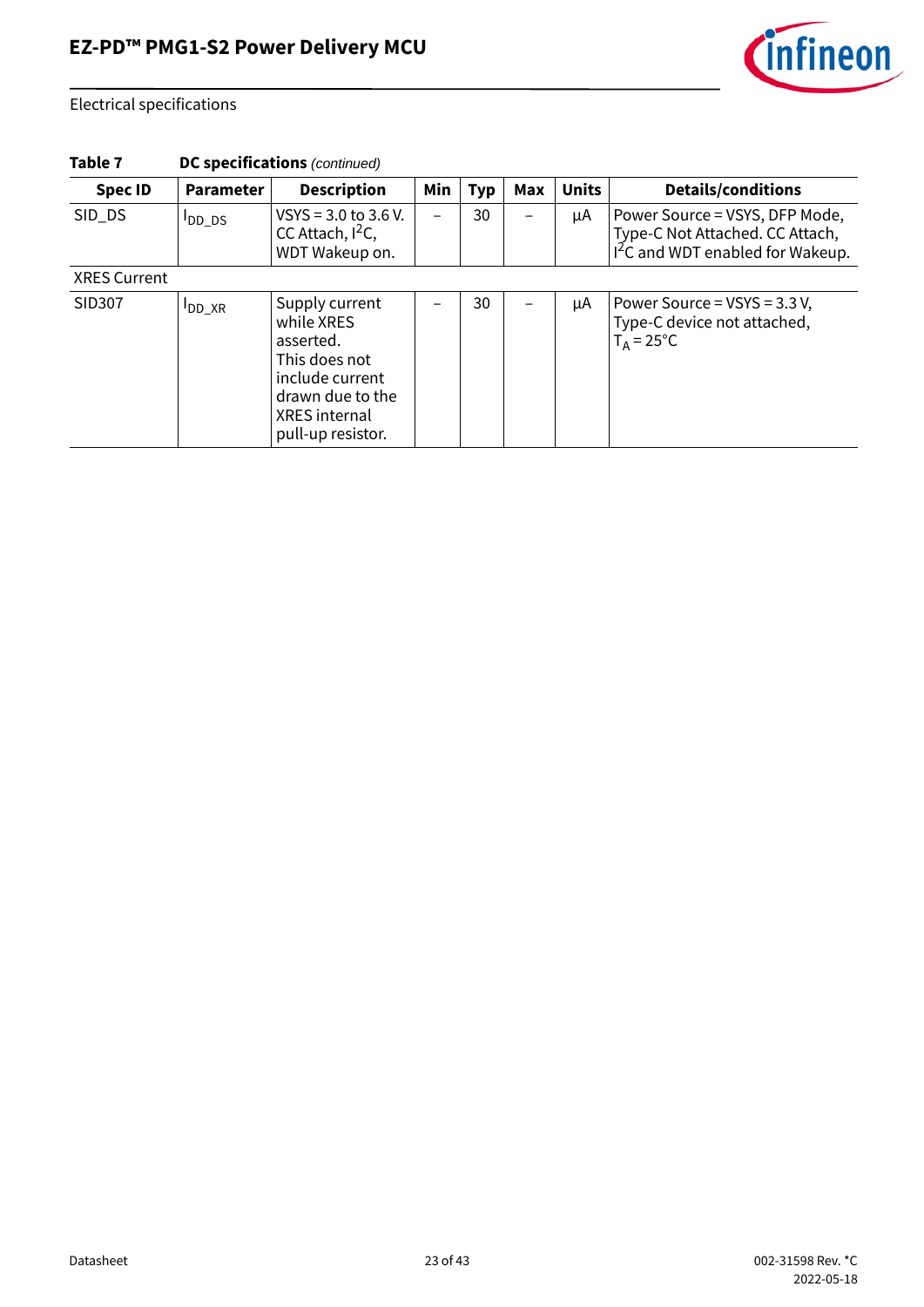

| Table 7 | <b>DC specifications</b> (continued) |  |
|---------|--------------------------------------|--|
|---------|--------------------------------------|--|

| <b>Spec ID</b>      | <b>Parameter</b> | <b>Description</b>                                                                                                                             | Min | <b>Typ</b> | Max | <b>Units</b> | <b>Details/conditions</b>                                                                                         |
|---------------------|------------------|------------------------------------------------------------------------------------------------------------------------------------------------|-----|------------|-----|--------------|-------------------------------------------------------------------------------------------------------------------|
| SID_DS              | $I_{DD\_DS}$     | VSYS = $3.0$ to $3.6$ V.<br>CC Attach, $I^2C$ ,<br>WDT Wakeup on.                                                                              |     | 30         |     | μA           | Power Source = VSYS, DFP Mode,<br>Type-C Not Attached. CC Attach,<br>I <sup>2</sup> C and WDT enabled for Wakeup. |
| <b>XRES Current</b> |                  |                                                                                                                                                |     |            |     |              |                                                                                                                   |
| SID307              | $I_{DD\_XR}$     | Supply current<br>while XRES<br>asserted.<br>This does not<br>include current<br>drawn due to the<br><b>XRES</b> internal<br>pull-up resistor. |     | 30         |     | μA           | Power Source = VSYS = 3.3 V,<br>Type-C device not attached,<br>$T_A = 25^{\circ}C$                                |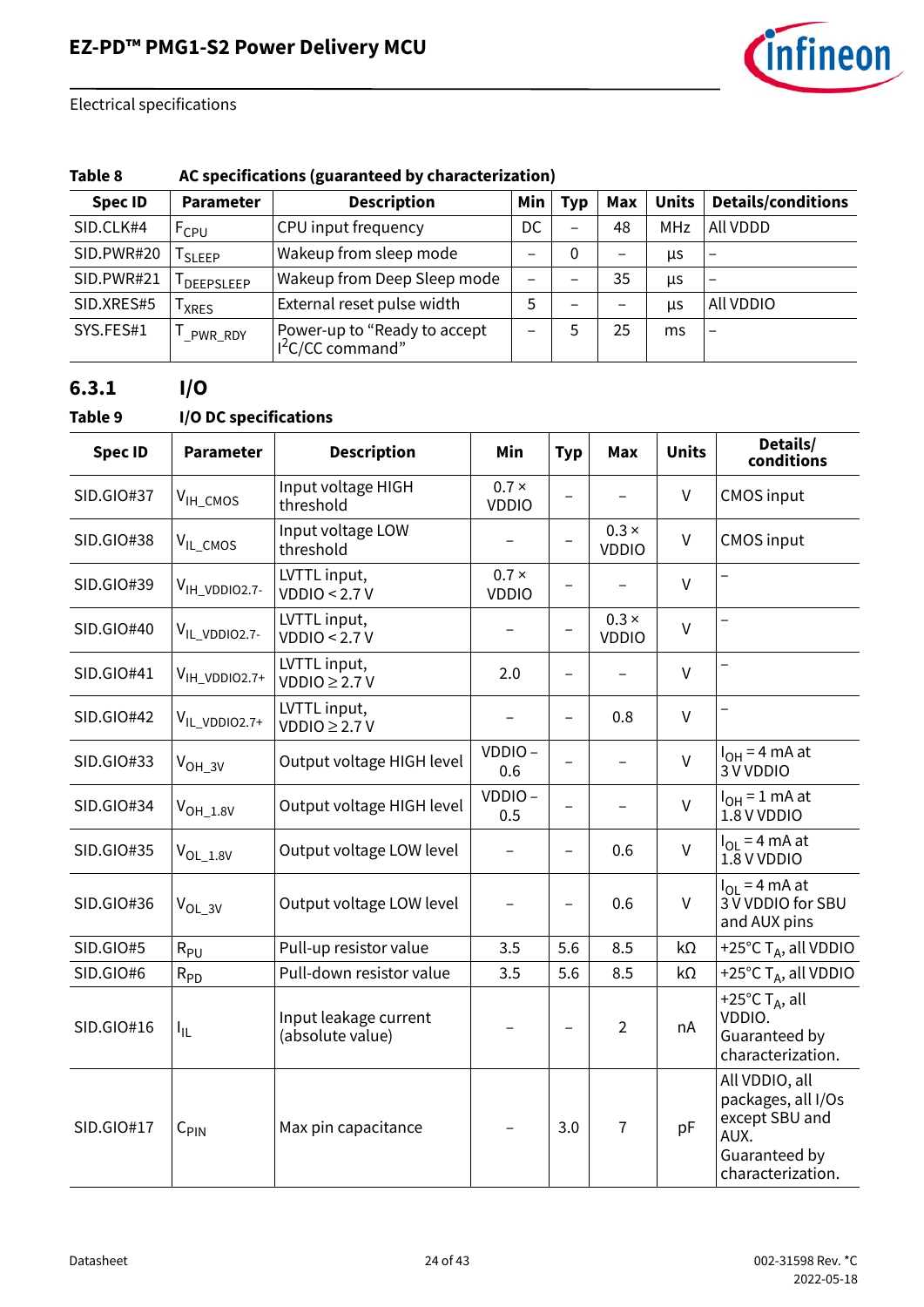

### **Table 8 AC specifications (guaranteed by characterization)**

| <b>Spec ID</b> | <b>Parameter</b>       | <b>Description</b>                                | Min | <b>Typ</b>               | Max                      | <b>Units</b> | <b>Details/conditions</b> |
|----------------|------------------------|---------------------------------------------------|-----|--------------------------|--------------------------|--------------|---------------------------|
| SID.CLK#4      | <b>FCPU</b>            | CPU input frequency                               | DC  | $\overline{\phantom{m}}$ | 48                       | MHz          | All VDDD                  |
| SID.PWR#20     | SLEEP                  | Wakeup from sleep mode                            |     | 0                        | -                        | μs           | $\overline{\phantom{0}}$  |
| SID.PWR#21     | <sup>I</sup> DEEPSLEEP | Wakeup from Deep Sleep mode                       | —   |                          | 35                       | <b>US</b>    | $\overline{\phantom{0}}$  |
| SID.XRES#5     | <b>XRES</b>            | External reset pulse width                        | 5   |                          | $\overline{\phantom{0}}$ | us           | All VDDIO                 |
| SYS.FES#1      | PWR_RDY                | Power-up to "Ready to accept<br>$I2C/CC$ command" |     |                          | 25                       | ms           | $\overline{\phantom{0}}$  |

## **6.3.1 I/O**

### **Table 9 I/O DC specifications**

| <b>Spec ID</b>    | <b>Parameter</b>          | <b>Description</b>                        | Min                          | <b>Typ</b>               | <b>Max</b>                   | <b>Units</b> | Details/<br>conditions                                                                               |
|-------------------|---------------------------|-------------------------------------------|------------------------------|--------------------------|------------------------------|--------------|------------------------------------------------------------------------------------------------------|
| <b>SID.GIO#37</b> | V <sub>IH_CMOS</sub>      | Input voltage HIGH<br>threshold           | $0.7 \times$<br><b>VDDIO</b> | $\overline{\phantom{0}}$ |                              | V            | <b>CMOS input</b>                                                                                    |
| <b>SID.GIO#38</b> | V <sub>IL_CMOS</sub>      | Input voltage LOW<br>threshold            |                              | $\overline{\phantom{0}}$ | $0.3 \times$<br><b>VDDIO</b> | $\mathsf{V}$ | <b>CMOS input</b>                                                                                    |
| SID.GIO#39        | V <sub>IH_VDDIO2.7-</sub> | LVTTL input,<br>VDDIO < 2.7 V             | $0.7 \times$<br><b>VDDIO</b> | $\overline{\phantom{0}}$ |                              | $\vee$       |                                                                                                      |
| SID.GIO#40        | V <sub>IL_VDDIO2.7-</sub> | LVTTL input,<br>VDDIO < 2.7 V             |                              | $\overline{\phantom{0}}$ | $0.3 \times$<br><b>VDDIO</b> | $\vee$       | $\qquad \qquad -$                                                                                    |
| SID.GIO#41        | V <sub>IH_VDDIO2.7+</sub> | LVTTL input,<br>VDDIO $\geq$ 2.7 V        | 2.0                          | $\overline{\phantom{0}}$ |                              | $\vee$       |                                                                                                      |
| <b>SID.GIO#42</b> | VIL_VDDIO2.7+             | LVTTL input,<br>VDDIO $\geq$ 2.7 V        |                              | $\overline{\phantom{0}}$ | 0.8                          | $\sf V$      | $\overline{\phantom{0}}$                                                                             |
| SID.GIO#33        | V <sub>OH_3V</sub>        | Output voltage HIGH level                 | VDDIO-<br>0.6                | $\overline{\phantom{0}}$ | $\overline{\phantom{0}}$     | $\vee$       | $I_{OH} = 4$ mA at<br>3 V VDDIO                                                                      |
| <b>SID.GIO#34</b> | $V_{OH\_1.8V}$            | Output voltage HIGH level                 | VDDIO-<br>0.5                | $\overline{\phantom{0}}$ |                              | $\mathsf{V}$ | $I_{OH} = 1$ mA at<br>1.8 V VDDIO                                                                    |
| <b>SID.GIO#35</b> | $V_{OL\_1.8V}$            | Output voltage LOW level                  |                              | $\overline{\phantom{0}}$ | 0.6                          | $\vee$       | $I_{OI}$ = 4 mA at<br>1.8 V VDDIO                                                                    |
| SID.GIO#36        | $V_{OL_3V}$               | Output voltage LOW level                  |                              | $\overline{\phantom{0}}$ | 0.6                          | V            | $I_{OL}$ = 4 mA at<br>3 V VDDIO for SBU<br>and AUX pins                                              |
| SID.GIO#5         | $R_{PU}$                  | Pull-up resistor value                    | 3.5                          | 5.6                      | 8.5                          | kΩ           | +25°C $T_A$ , all VDDIO                                                                              |
| SID.GIO#6         | $R_{PD}$                  | Pull-down resistor value                  | 3.5                          | 5.6                      | 8.5                          | $k\Omega$    | +25°C $T_A$ , all VDDIO                                                                              |
| SID.GIO#16        | Ι'n.                      | Input leakage current<br>(absolute value) |                              | $\overline{\phantom{0}}$ | $\overline{2}$               | nA           | +25 $^{\circ}$ C T <sub>A</sub> , all<br>VDDIO.<br>Guaranteed by<br>characterization.                |
| <b>SID.GIO#17</b> | $C_{\text{PIN}}$          | Max pin capacitance                       |                              | 3.0                      | $\overline{1}$               | pF           | All VDDIO, all<br>packages, all I/Os<br>except SBU and<br>AUX.<br>Guaranteed by<br>characterization. |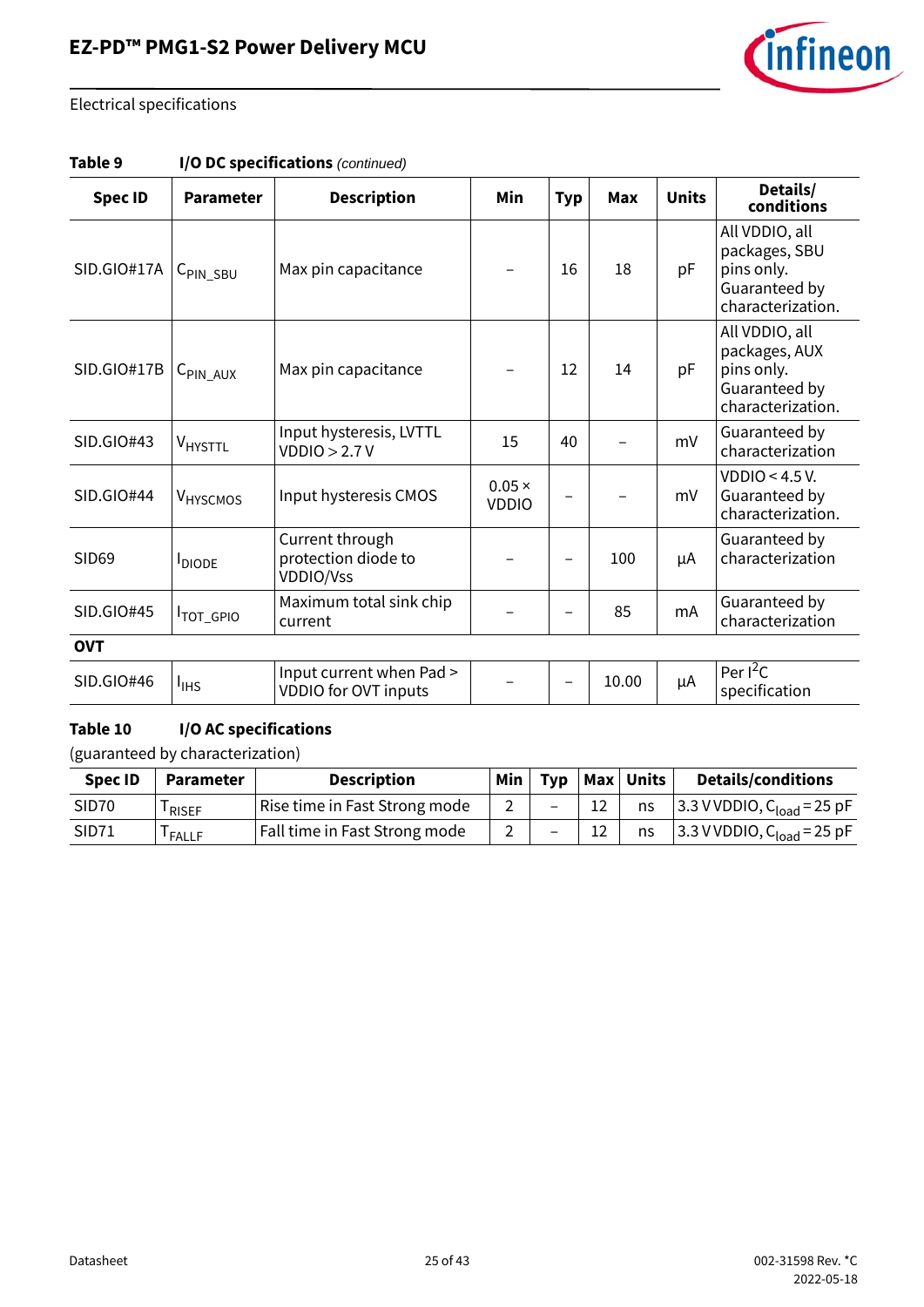

| Table 9 | I/O DC specifications (continued) |  |
|---------|-----------------------------------|--|
|---------|-----------------------------------|--|

| <b>Spec ID</b>    | <b>Parameter</b>             | <b>Description</b>                                         | Min                           | <b>Typ</b> | <b>Max</b> | <b>Units</b> | Details/<br>conditions                                                              |
|-------------------|------------------------------|------------------------------------------------------------|-------------------------------|------------|------------|--------------|-------------------------------------------------------------------------------------|
| SID.GIO#17A       | $C_{\text{PIN\_SBU}}$        | Max pin capacitance                                        |                               | 16         | 18         | pF           | All VDDIO, all<br>packages, SBU<br>pins only.<br>Guaranteed by<br>characterization. |
| SID.GIO#17B       | $C_{\text{PIN}\_\text{AUX}}$ | Max pin capacitance                                        |                               | 12         | 14         | pF           | All VDDIO, all<br>packages, AUX<br>pins only.<br>Guaranteed by<br>characterization. |
| SID.GIO#43        | V <sub>HYSTTL</sub>          | Input hysteresis, LVTTL<br>VDDIO > 2.7V                    | 15                            | 40         |            | mV           | Guaranteed by<br>characterization                                                   |
| SID.GIO#44        | V <sub>HYSCMOS</sub>         | Input hysteresis CMOS                                      | $0.05 \times$<br><b>VDDIO</b> |            |            | mV           | VDDIO < 4.5 V.<br>Guaranteed by<br>characterization.                                |
| SID <sub>69</sub> | <b>I</b> DIODE               | Current through<br>protection diode to<br><b>VDDIO/Vss</b> |                               |            | 100        | μA           | Guaranteed by<br>characterization                                                   |
| SID.GIO#45        | <b>ITOT_GPIO</b>             | Maximum total sink chip<br>current                         |                               |            | 85         | mA           | Guaranteed by<br>characterization                                                   |
| <b>OVT</b>        |                              |                                                            |                               |            |            |              |                                                                                     |
| SID.GIO#46        | $I_{\text{IHS}}$             | Input current when Pad ><br>VDDIO for OVT inputs           |                               |            | 10.00      | μA           | Per $I^2C$<br>specification                                                         |

### **Table 10 I/O AC specifications**

| <b>Spec ID</b>    | <b>Parameter</b> | <b>Description</b>            | <b>Min</b> | Typ |    | Max Units | <b>Details/conditions</b>                |
|-------------------|------------------|-------------------------------|------------|-----|----|-----------|------------------------------------------|
| SID <sub>70</sub> | RISEF            | Rise time in Fast Strong mode |            |     | 12 | ns        | $3.3$ V VDDIO, C <sub>load</sub> = 25 pF |
| SID71             | <b>FALLF</b>     | Fall time in Fast Strong mode |            |     | 12 | ns        | 3.3 V VDDIO, C <sub>load</sub> = 25 pF   |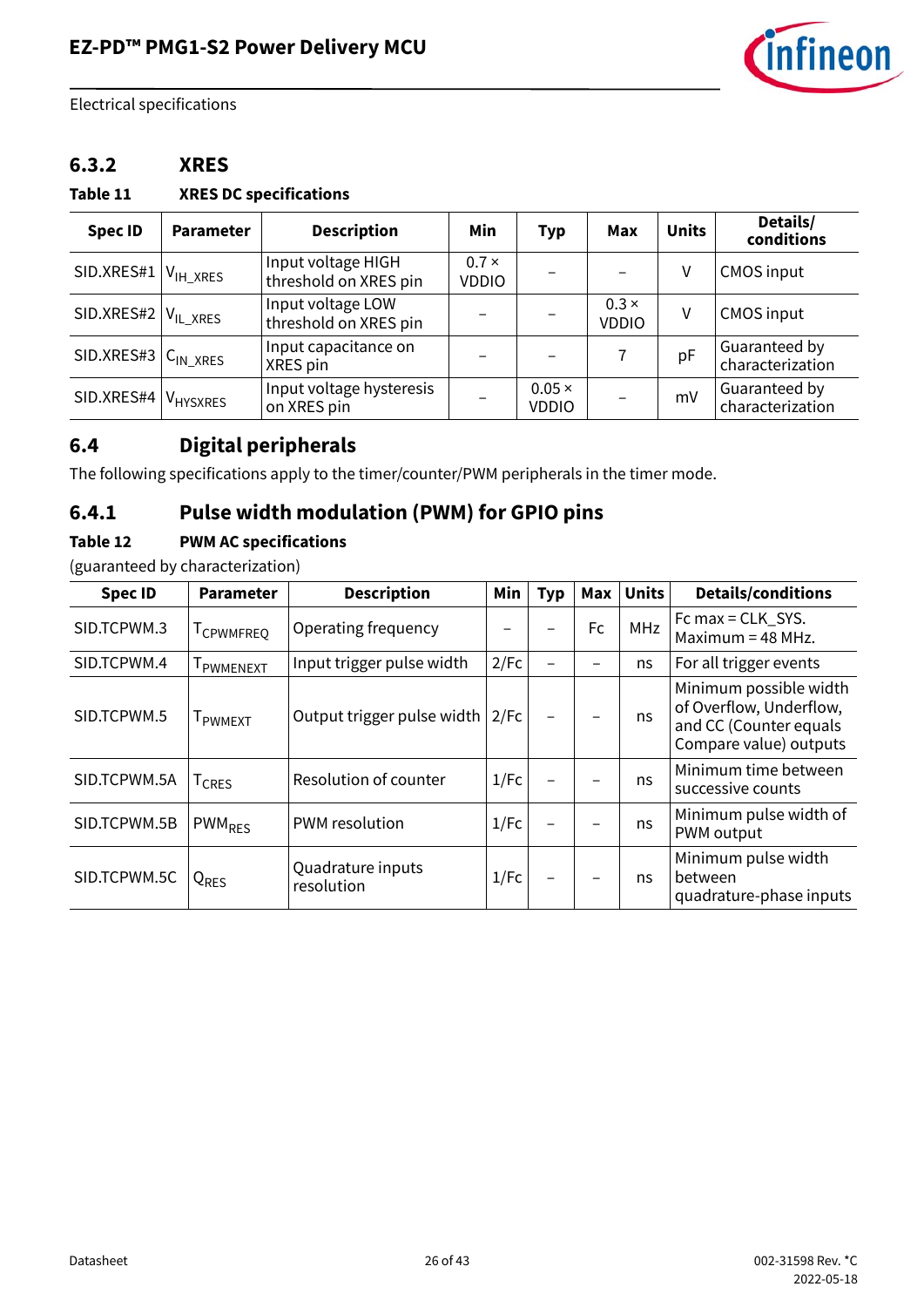

### **6.3.2 XRES**

#### **Table 11 XRES DC specifications**

| <b>Spec ID</b> | <b>Parameter</b>        | <b>Description</b>                          | Min                          | <b>Typ</b>                    | Max                          | <b>Units</b> | Details/<br>conditions            |
|----------------|-------------------------|---------------------------------------------|------------------------------|-------------------------------|------------------------------|--------------|-----------------------------------|
| SID.XRES#1     | $V_{\mathsf{IH\_XRES}}$ | Input voltage HIGH<br>threshold on XRES pin | $0.7 \times$<br><b>VDDIO</b> |                               |                              | ٧            | <b>CMOS input</b>                 |
| SID.XRES#2     | VIL XRES                | Input voltage LOW<br>threshold on XRES pin  |                              |                               | $0.3 \times$<br><b>VDDIO</b> | ٧            | <b>CMOS input</b>                 |
| SID.XRES#3     | $C_{IN,XRES}$           | Input capacitance on<br>XRES pin            |                              |                               |                              | рF           | Guaranteed by<br>characterization |
| SID.XRES#4     | VHYSXRES                | Input voltage hysteresis<br>on XRES pin     |                              | $0.05 \times$<br><b>VDDIO</b> |                              | mV           | Guaranteed by<br>characterization |

## <span id="page-25-0"></span>**6.4 Digital peripherals**

The following specifications apply to the timer/counter/PWM peripherals in the timer mode.

## **6.4.1 Pulse width modulation (PWM) for GPIO pins**

### **Table 12 PWM AC specifications**

| <b>Spec ID</b> | <b>Parameter</b>              | <b>Description</b>              | Min  | <b>Typ</b>               | Max       | <b>Units</b> | <b>Details/conditions</b>                                                                             |
|----------------|-------------------------------|---------------------------------|------|--------------------------|-----------|--------------|-------------------------------------------------------------------------------------------------------|
| SID.TCPWM.3    | <b>I</b> CPWMFREO             | Operating frequency             |      |                          | <b>Fc</b> | <b>MHz</b>   | Fc max = CLK_SYS.<br>Maximum = $48$ MHz.                                                              |
| SID.TCPWM.4    | <b>I</b> PWMENEXT             | Input trigger pulse width       | 2/Fc | $\overline{\phantom{0}}$ |           | ns           | For all trigger events                                                                                |
| SID.TCPWM.5    | <b>I</b> PWMEXT               | Output trigger pulse width      | 2/Fc | $\overline{\phantom{0}}$ |           | ns           | Minimum possible width<br>of Overflow, Underflow,<br>and CC (Counter equals<br>Compare value) outputs |
| SID.TCPWM.5A   | <sup>I</sup> CRES             | Resolution of counter           | 1/Fc |                          |           | ns           | Minimum time between<br>successive counts                                                             |
| SID.TCPWM.5B   | $PWM_{RFS}$                   | <b>PWM</b> resolution           | 1/Fc |                          |           | ns           | Minimum pulse width of<br>PWM output                                                                  |
| SID.TCPWM.5C   | <sub>I</sub> Q <sub>res</sub> | Quadrature inputs<br>resolution | 1/Fc | <b>-</b>                 |           | ns           | Minimum pulse width<br>between<br>quadrature-phase inputs                                             |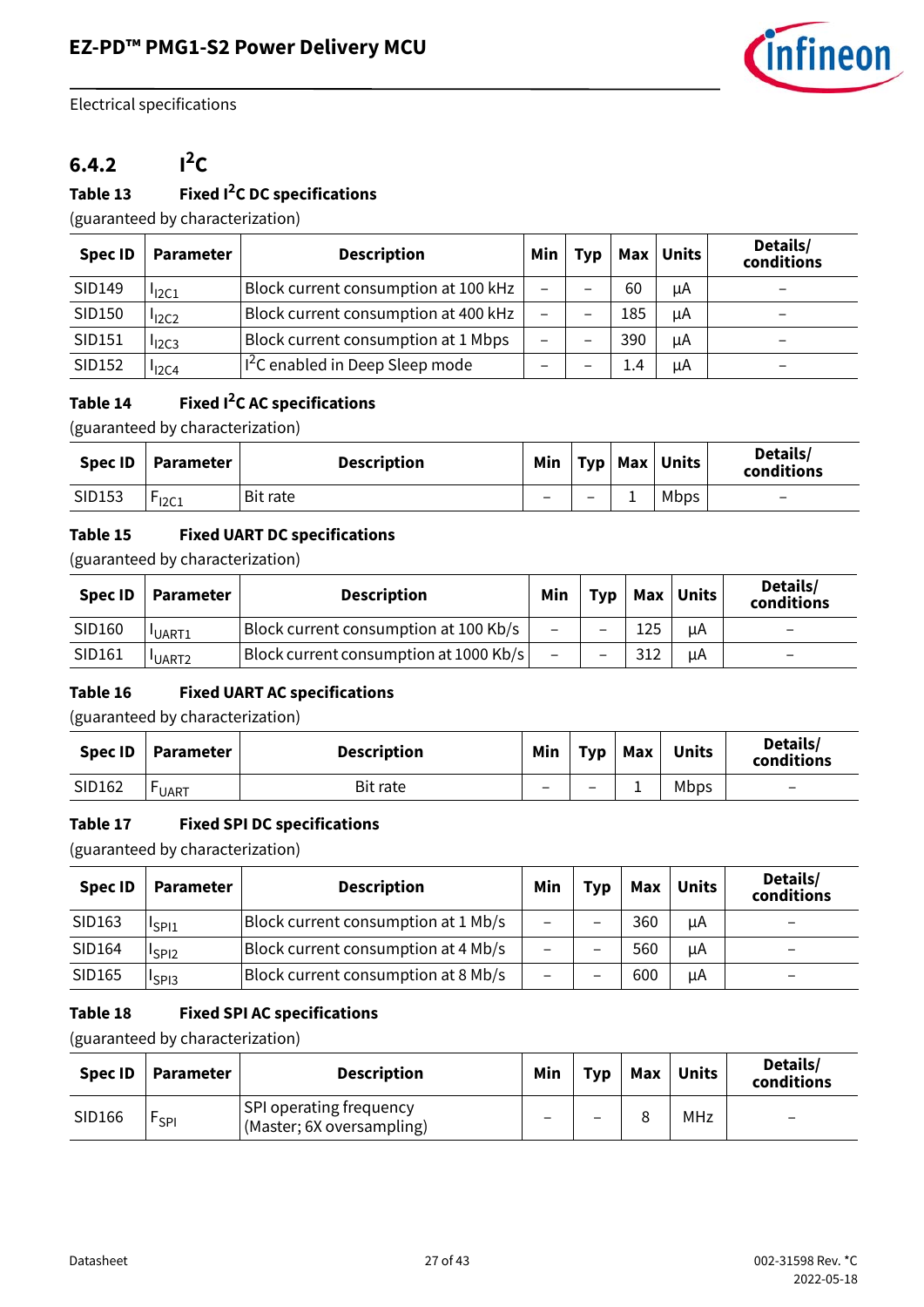

## $6.4.2$   $1^2C$

#### **Table 13 Fixed I2C DC specifications**

(guaranteed by characterization)

| <b>Spec ID</b> | <b>Parameter</b>    | <b>Description</b>                   | <b>Min</b> | Typ | Max | <b>Units</b> | Details/<br>conditions |
|----------------|---------------------|--------------------------------------|------------|-----|-----|--------------|------------------------|
| SID149         | I <sub>12C1</sub>   | Block current consumption at 100 kHz |            |     | 60  | μA           |                        |
| SID150         | 12C2                | Block current consumption at 400 kHz | -          |     | 185 | μA           |                        |
| SID151         | $I$ <sub>12C3</sub> | Block current consumption at 1 Mbps  |            |     | 390 | uA           |                        |
| SID152         | $I_{12}$ C4         | $I2C$ enabled in Deep Sleep mode     |            |     | 1.4 | uA           |                        |

### **Table 14 Fixed I2C AC specifications**

(guaranteed by characterization)

|        | Spec ID   Parameter | <b>Description</b> | Min l |   |   | Typ   Max   Units | Details/<br>conditions   |
|--------|---------------------|--------------------|-------|---|---|-------------------|--------------------------|
| SID153 | $r_{12C1}$          | Bit rate           |       | - | - | Mbps              | $\overline{\phantom{0}}$ |

#### **Table 15 Fixed UART DC specifications**

(guaranteed by characterization)

| Spec ID | Parameter         | <b>Description</b>                     | Min |                          |     | Typ   Max   Units | Details/<br>conditions   |
|---------|-------------------|----------------------------------------|-----|--------------------------|-----|-------------------|--------------------------|
| SID160  | <b>UART1</b>      | Block current consumption at 100 Kb/s  | -   | $\overline{\phantom{0}}$ | 125 | uΑ                | -                        |
| SID161  | UART <sub>2</sub> | Block current consumption at 1000 Kb/s | -   | $\qquad \qquad$          | 312 | uA                | $\overline{\phantom{0}}$ |

#### **Table 16 Fixed UART AC specifications**

(guaranteed by characterization)

| <b>Spec ID</b> | Parameter    | <b>Description</b> | Min | <b>Typ</b>      | Max | <b>Units</b> | Details/<br>conditions   |
|----------------|--------------|--------------------|-----|-----------------|-----|--------------|--------------------------|
| SID162         | <b>LUART</b> | Bit rate           | -   | $\qquad \qquad$ |     | Mbps         | $\overline{\phantom{0}}$ |

#### **Table 17 Fixed SPI DC specifications**

(guaranteed by characterization)

| <b>Spec ID</b> | <b>Parameter</b>              | <b>Description</b>                  | Min | <b>Typ</b> | Max | <b>Units</b> | Details/<br>conditions   |
|----------------|-------------------------------|-------------------------------------|-----|------------|-----|--------------|--------------------------|
| SID163         | I <sub>SP11</sub>             | Block current consumption at 1 Mb/s |     |            | 360 | μA           |                          |
| SID164         | <sup>I</sup> SPI <sub>2</sub> | Block current consumption at 4 Mb/s |     |            | 560 | μA           | $\overline{\phantom{0}}$ |
| SID165         | <sup>I</sup> SPI3             | Block current consumption at 8 Mb/s | -   |            | 600 | μA           | $\overline{\phantom{0}}$ |

#### **Table 18 Fixed SPI AC specifications**

| Spec ID | Parameter | <b>Description</b>                                   | Min | Typ | Max | <b>Units</b> | Details/<br>conditions   |
|---------|-----------|------------------------------------------------------|-----|-----|-----|--------------|--------------------------|
| SID166  | $r_{SPI}$ | SPI operating frequency<br>(Master; 6X oversampling) |     | -   |     | MHz          | $\overline{\phantom{0}}$ |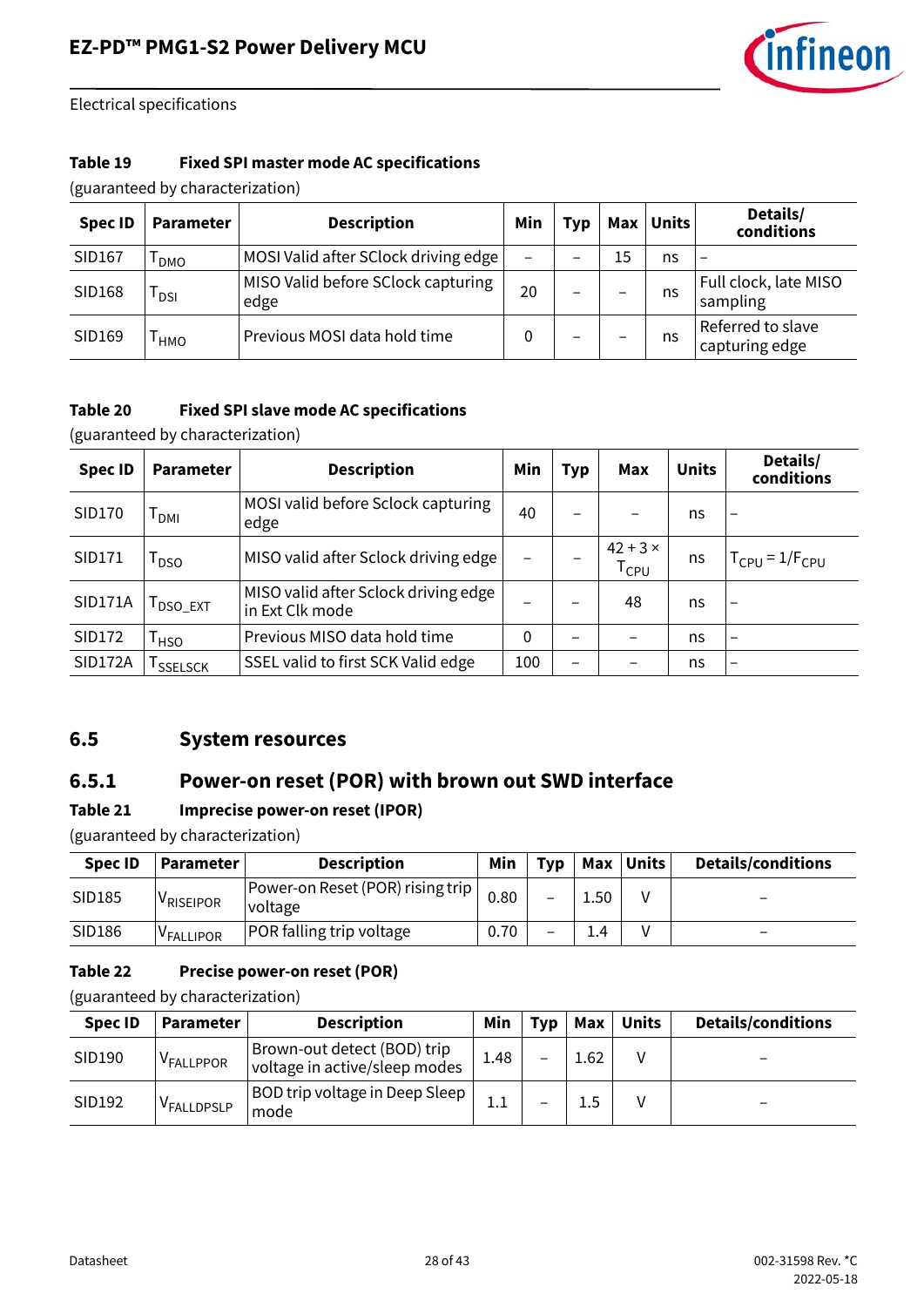

#### **Table 19 Fixed SPI master mode AC specifications**

(guaranteed by characterization)

| <b>Spec ID</b> | <b>Parameter</b> | <b>Description</b>                         | Min                      | Typ | Max                      | <b>Units</b> | Details/<br>conditions              |
|----------------|------------------|--------------------------------------------|--------------------------|-----|--------------------------|--------------|-------------------------------------|
| SID167         | <b>DMO</b>       | MOSI Valid after SClock driving edge       | $\overline{\phantom{0}}$ |     | 15                       | ns           | $\overline{\phantom{0}}$            |
| SID168         | l dsi            | MISO Valid before SClock capturing<br>edge | 20                       | -   | $\overline{\phantom{0}}$ | ns           | Full clock, late MISO<br>sampling   |
| SID169         | <b>HMO</b>       | Previous MOSI data hold time               | 0                        |     | -                        | ns           | Referred to slave<br>capturing edge |

#### **Table 20 Fixed SPI slave mode AC specifications**

(guaranteed by characterization)

| <b>Spec ID</b> | Parameter        | <b>Description</b>                                      | Min | Typ | Max                          | <b>Units</b> | Details/<br>conditions   |
|----------------|------------------|---------------------------------------------------------|-----|-----|------------------------------|--------------|--------------------------|
| SID170         | Т <sub>рмі</sub> | MOSI valid before Sclock capturing<br>edge              | 40  |     |                              | ns           | $\overline{\phantom{0}}$ |
| SID171         | T <sub>DSO</sub> | MISO valid after Sclock driving edge                    |     |     | $42 + 3 \times$<br>$T_{CPU}$ | ns           | $T_{CPU} = 1/F_{CPU}$    |
| <b>SID171A</b> | <b>I</b> DSO_EXT | MISO valid after Sclock driving edge<br>in Ext Clk mode |     |     | 48                           | ns           |                          |
| SID172         | <sup>I</sup> HSO | Previous MISO data hold time                            | 0   |     |                              | ns           | $\overline{\phantom{0}}$ |
| <b>SID172A</b> | <b>SSELSCK</b>   | SSEL valid to first SCK Valid edge                      | 100 |     |                              | ns           | $\overline{\phantom{0}}$ |

### <span id="page-27-0"></span>**6.5 System resources**

### **6.5.1 Power-on reset (POR) with brown out SWD interface**

#### **Table 21 Imprecise power-on reset (IPOR)**

(guaranteed by characterization)

| <b>Spec ID</b> | Parameter             | <b>Description</b>                          | Min  | <b>Tvp</b> | Max  | Units | <b>Details/conditions</b> |
|----------------|-----------------------|---------------------------------------------|------|------------|------|-------|---------------------------|
| SID185         | <sup>V</sup> RISEIPOR | Power-on Reset (POR) rising trip<br>voltage | 0.80 |            | 1.50 |       | -                         |
| SID186         | V <sub>FALLIPOR</sub> | <b>POR falling trip voltage</b>             | 0.70 |            | 1.4  |       | -                         |

#### **Table 22 Precise power-on reset (POR)**

| <b>Spec ID</b> | <b>Parameter</b>       | <b>Description</b>                                           | Min  | Tvp | Max  | <b>Units</b> | <b>Details/conditions</b> |
|----------------|------------------------|--------------------------------------------------------------|------|-----|------|--------------|---------------------------|
| SID190         | V <sub>FALLPPOR</sub>  | Brown-out detect (BOD) trip<br>voltage in active/sleep modes | 1.48 |     | 1.62 |              | -                         |
| SID192         | V <sub>FALLDPSLP</sub> | BOD trip voltage in Deep Sleep<br>mode                       |      |     |      |              | -                         |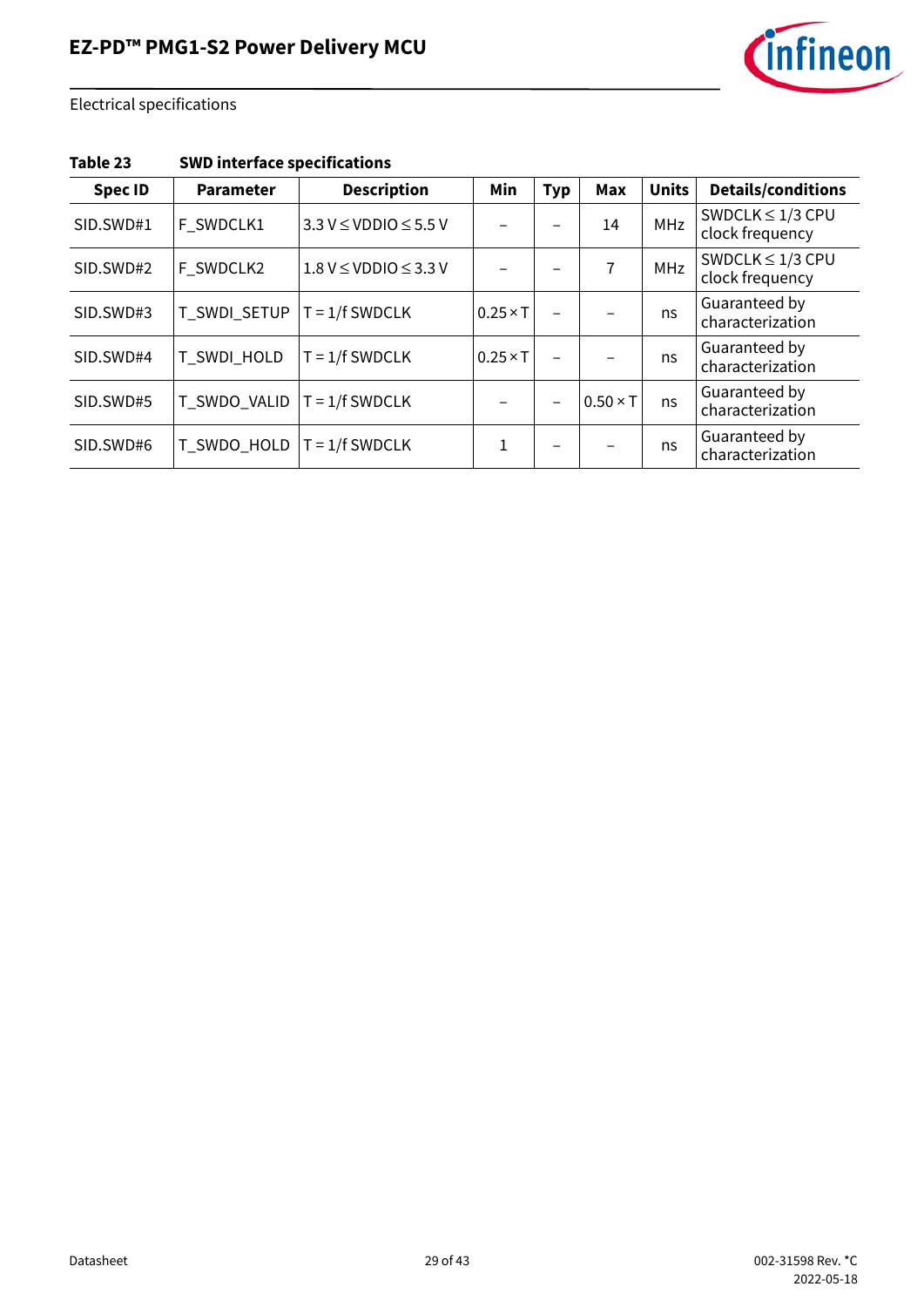

| Table 23 | <b>SWD interface specifications</b> |  |
|----------|-------------------------------------|--|
|----------|-------------------------------------|--|

| <b>Spec ID</b> | <b>Parameter</b> | <b>Description</b>                | Min             | <b>Typ</b> | <b>Max</b>      | <b>Units</b> | <b>Details/conditions</b>                |
|----------------|------------------|-----------------------------------|-----------------|------------|-----------------|--------------|------------------------------------------|
| SID.SWD#1      | F SWDCLK1        | $3.3 V \leq VDDIO \leq 5.5 V$     |                 |            | 14              | <b>MHz</b>   | SWDCLK $\leq 1/3$ CPU<br>clock frequency |
| SID.SWD#2      | F_SWDCLK2        | $1.8$ V $\leq$ VDDIO $\leq$ 3.3 V |                 |            | 7               | MHz          | SWDCLK $\leq$ 1/3 CPU<br>clock frequency |
| SID.SWD#3      | T_SWDI_SETUP     | $T = 1/f$ SWDCLK                  | $0.25 \times T$ |            |                 | ns           | Guaranteed by<br>characterization        |
| SID.SWD#4      | T_SWDI_HOLD      | $T = 1/f$ SWDCLK                  | $0.25 \times T$ |            |                 | ns           | Guaranteed by<br>characterization        |
| SID.SWD#5      | T_SWDO_VALID     | $T = 1/f$ SWDCLK                  |                 |            | $0.50 \times T$ | ns           | Guaranteed by<br>characterization        |
| SID.SWD#6      | T_SWDO_HOLD      | $T = 1/f$ SWDCLK                  | 1               |            |                 | ns           | Guaranteed by<br>characterization        |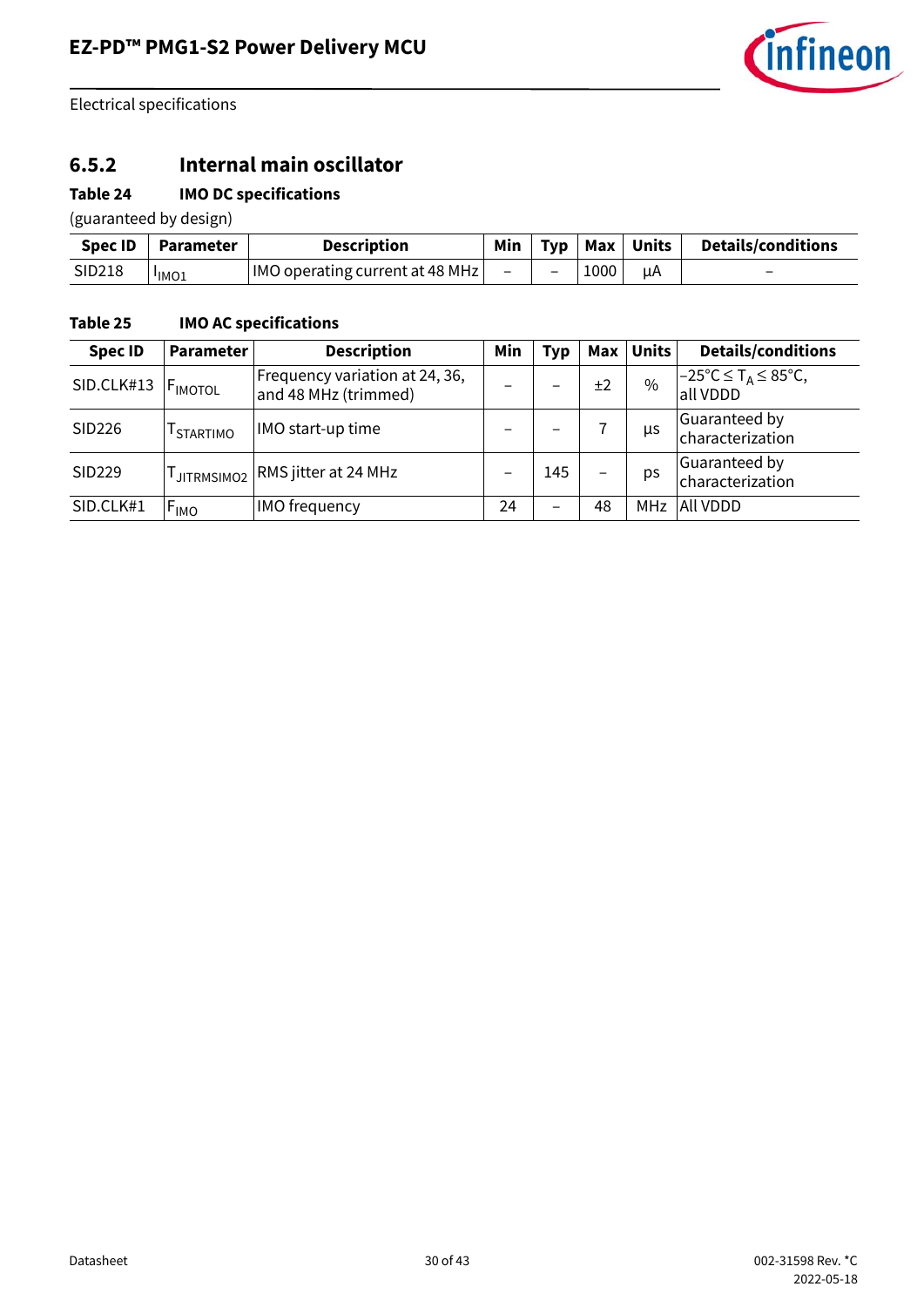

### **6.5.2 Internal main oscillator**

### **Table 24 IMO DC specifications**

(guaranteed by design)

| Spec ID | <b>Parameter</b>  | <b>Description</b>              | Min                      |                          |      | Typ   Max   Units | <b>Details/conditions</b> |
|---------|-------------------|---------------------------------|--------------------------|--------------------------|------|-------------------|---------------------------|
| SID218  | <sup>I</sup> IMO1 | IMO operating current at 48 MHz | $\overline{\phantom{0}}$ | $\overline{\phantom{0}}$ | 1000 | uA                | $\overline{\phantom{0}}$  |

### **Table 25 IMO AC specifications**

| <b>Spec ID</b> | <b>Parameter</b>      | <b>Description</b>                                     | Min                      | <b>Typ</b>               | Max | <b>Units</b> | <b>Details/conditions</b>                                      |
|----------------|-----------------------|--------------------------------------------------------|--------------------------|--------------------------|-----|--------------|----------------------------------------------------------------|
| SID.CLK#13     | FIMOTOL               | Frequency variation at 24, 36,<br>and 48 MHz (trimmed) |                          |                          | ±2  | $\%$         | $-25^{\circ}$ C $\leq$ T <sub>A</sub> $\leq$ 85°C,<br>all VDDD |
| SID226         | <sup>I</sup> STARTIMO | IMO start-up time                                      | $\overline{\phantom{0}}$ |                          |     | μs           | Guaranteed by<br>characterization                              |
| SID229         | JITRMSIMO2            | RMS jitter at 24 MHz                                   |                          | 145                      |     | ps           | Guaranteed by<br>characterization                              |
| SID.CLK#1      | $F_{IMO}$             | IMO frequency                                          | 24                       | $\overline{\phantom{0}}$ | 48  | MHz          | All VDDD                                                       |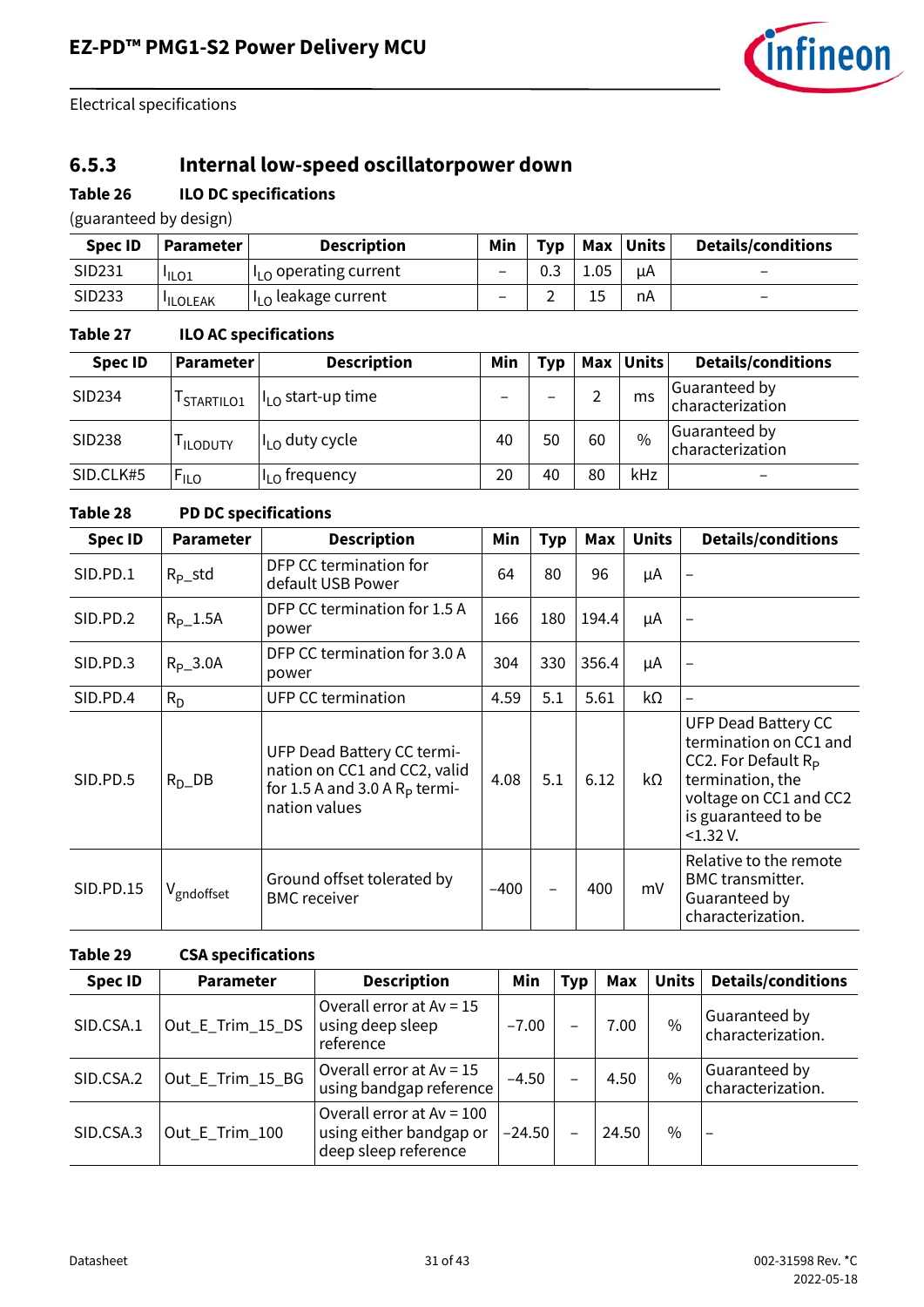

## **6.5.3 Internal low-speed oscillatorpower down**

#### **Table 26 ILO DC specifications**

(guaranteed by design)

| <b>Spec ID</b> | <b>Parameter</b> I | <b>Description</b>              | Min | Typ | Max  | <b>Units</b> | <b>Details/conditions</b> |
|----------------|--------------------|---------------------------------|-----|-----|------|--------------|---------------------------|
| SID231         | <sup>I</sup> ILO1  | $I_{10}$ operating current      | -   | U.3 | 1.05 | цA           | -                         |
| SID233         | <b>ILOLEAK</b>     | $I_{\text{LO}}$ leakage current | -   | -   |      | nA           | $\overline{\phantom{0}}$  |

### **Table 27 ILO AC specifications**

| <b>Spec ID</b> | <b>Parameter</b>       | <b>Description</b>          | Min | Tvp | Max | <b>Units</b> | <b>Details/conditions</b>         |
|----------------|------------------------|-----------------------------|-----|-----|-----|--------------|-----------------------------------|
| SID234         | <sup>I</sup> STARTILO1 | $ILO$ start-up time         |     |     |     | ms           | Guaranteed by<br>characterization |
| SID238         | <sup>I</sup> ILODUTY   | II <sub>LO</sub> duty cycle | 40  | 50  | 60  | $\%$         | Guaranteed by<br>characterization |
| SID.CLK#5      | $F_{ILO}$              | I <sub>LO</sub> frequency   | 20  | 40  | 80  | kHz          | $\overline{\phantom{m}}$          |

#### **Table 28 PD DC specifications**

| <b>Spec ID</b> | <b>Parameter</b>       | <b>Description</b>                                                                                                    | Min    | <b>Typ</b> | Max   | <b>Units</b> | <b>Details/conditions</b>                                                                                                                                       |
|----------------|------------------------|-----------------------------------------------------------------------------------------------------------------------|--------|------------|-------|--------------|-----------------------------------------------------------------------------------------------------------------------------------------------------------------|
| SID.PD.1       | $R_{p}\_std$           | DFP CC termination for<br>default USB Power                                                                           | 64     | 80         | 96    | μA           |                                                                                                                                                                 |
| SID.PD.2       | $R_{P-}1.5A$           | DFP CC termination for 1.5 A<br>power                                                                                 | 166    | 180        | 194.4 | μA           | $\qquad \qquad -$                                                                                                                                               |
| SID.PD.3       | $R_{p}$ _3.0A          | DFP CC termination for 3.0 A<br>power                                                                                 | 304    | 330        | 356.4 | μA           | $\overline{\phantom{0}}$                                                                                                                                        |
| SID.PD.4       | $R_D$                  | <b>UFP CC termination</b>                                                                                             | 4.59   | 5.1        | 5.61  | kΩ           | $\overline{\phantom{0}}$                                                                                                                                        |
| SID.PD.5       | $R_{D}$ DB             | <b>UFP Dead Battery CC termi-</b><br>nation on CC1 and CC2, valid<br>for 1.5 A and 3.0 A $Rp$ termi-<br>nation values | 4.08   | 5.1        | 6.12  | kΩ           | UFP Dead Battery CC<br>termination on CC1 and<br>CC2. For Default $R_{\rm p}$<br>termination, the<br>voltage on CC1 and CC2<br>is guaranteed to be<br>< 1.32 V. |
| SID.PD.15      | V <sub>gndoffset</sub> | Ground offset tolerated by<br><b>BMC</b> receiver                                                                     | $-400$ |            | 400   | mV           | Relative to the remote<br><b>BMC</b> transmitter.<br>Guaranteed by<br>characterization.                                                                         |

#### **Table 29 CSA specifications**

| <b>Spec ID</b> | <b>Parameter</b> | <b>Description</b>                                                             | Min      | Typ | Max   | Units | <b>Details/conditions</b>          |
|----------------|------------------|--------------------------------------------------------------------------------|----------|-----|-------|-------|------------------------------------|
| SID.CSA.1      | Out_E_Trim_15_DS | Overall error at $Av = 15$<br>using deep sleep<br>reference                    | $-7.00$  |     | 7.00  | $\%$  | Guaranteed by<br>characterization. |
| SID.CSA.2      | Out_E_Trim_15_BG | Overall error at $Av = 15$<br>using bandgap reference                          | $-4.50$  |     | 4.50  | $\%$  | Guaranteed by<br>characterization. |
| SID.CSA.3      | Out_E_Trim_100   | Overall error at $Av = 100$<br>using either bandgap or<br>deep sleep reference | $-24.50$ |     | 24.50 | $\%$  |                                    |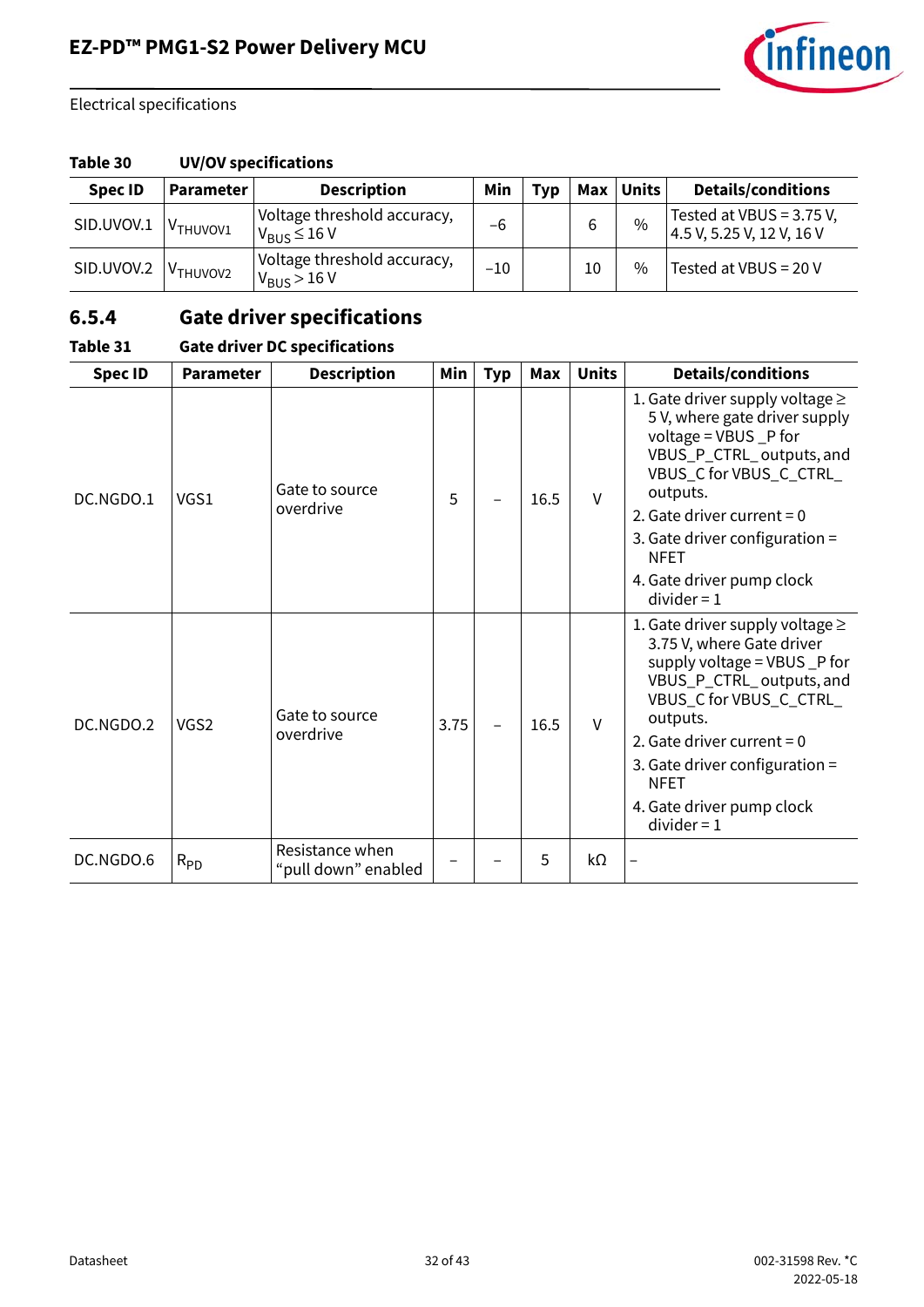

#### **Table 30 UV/OV specifications**

| <b>Spec ID</b> | Parameter            | <b>Description</b>                                       | Min   | Tvp | Max | <b>Units</b>  | <b>Details/conditions</b>                               |
|----------------|----------------------|----------------------------------------------------------|-------|-----|-----|---------------|---------------------------------------------------------|
| SID.UVOV.1     | V <sub>THUVOV1</sub> | Voltage threshold accuracy,<br>$V_{\rm RUS}$ $\leq$ 16 V | -6    |     | 6   | $\%$          | Tested at VBUS = $3.75$ V,<br>4.5 V, 5.25 V, 12 V, 16 V |
| SID.UVOV.2     | V <sub>THUVOV2</sub> | Voltage threshold accuracy,<br>$V_{\rm BUS}$ > 16 V      | $-10$ |     | 10  | $\frac{0}{0}$ | Tested at VBUS = 20 V                                   |

## **6.5.4 Gate driver specifications**

| <b>Spec ID</b> | <b>Parameter</b> | <b>Description</b>                     | Min  | <b>Typ</b> | Max  | <b>Units</b> | <b>Details/conditions</b>                                                                                                                                                                                                                                                                             |
|----------------|------------------|----------------------------------------|------|------------|------|--------------|-------------------------------------------------------------------------------------------------------------------------------------------------------------------------------------------------------------------------------------------------------------------------------------------------------|
| DC.NGDO.1      | VGS1             | Gate to source<br>overdrive            | 5    |            | 16.5 | $\vee$       | 1. Gate driver supply voltage $\geq$<br>5 V, where gate driver supply<br>voltage = VBUS _P for<br>VBUS_P_CTRL_outputs, and<br>VBUS_C for VBUS_C_CTRL_<br>outputs.<br>2. Gate driver current = $0$<br>3. Gate driver configuration =<br><b>NFET</b><br>4. Gate driver pump clock<br>$divider = 1$      |
| DC.NGDO.2      | VGS <sub>2</sub> | Gate to source<br>overdrive            | 3.75 |            | 16.5 | $\vee$       | 1. Gate driver supply voltage $\geq$<br>3.75 V, where Gate driver<br>supply voltage = VBUS _P for<br>VBUS_P_CTRL_outputs, and<br>VBUS_C for VBUS_C_CTRL_<br>outputs.<br>2. Gate driver current = $0$<br>3. Gate driver configuration $=$<br><b>NFET</b><br>4. Gate driver pump clock<br>$divider = 1$ |
| DC.NGDO.6      | $R_{PD}$         | Resistance when<br>"pull down" enabled |      |            | 5    | $k\Omega$    |                                                                                                                                                                                                                                                                                                       |

### **Table 31 Gate driver DC specifications**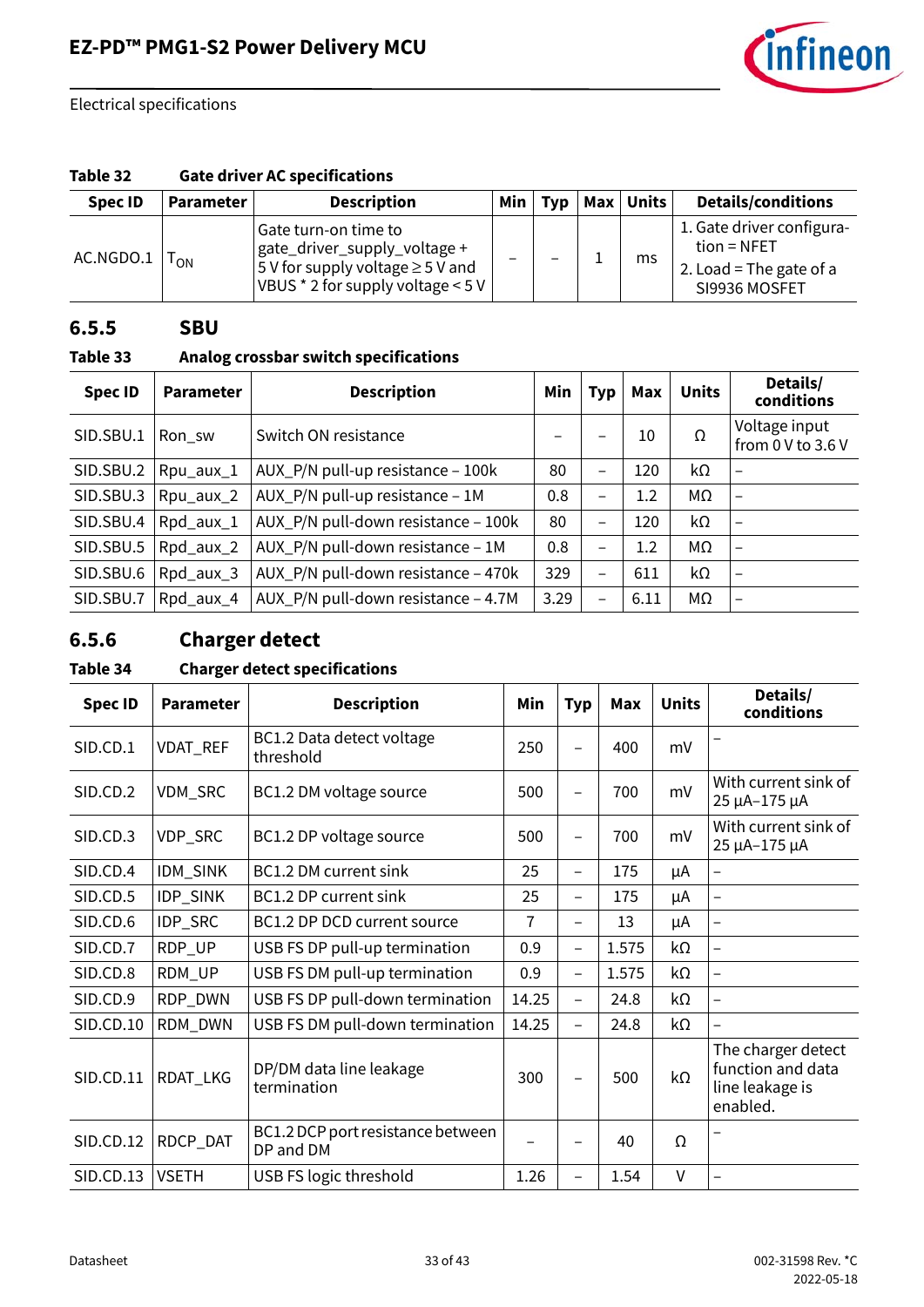

#### **Table 32 Gate driver AC specifications**

| <b>Spec ID</b> | <b>Parameter</b> | <b>Description</b>                                                                                                                       | Min | <b>Typ</b> | <b>Max</b> | Units | <b>Details/conditions</b>                                                              |
|----------------|------------------|------------------------------------------------------------------------------------------------------------------------------------------|-----|------------|------------|-------|----------------------------------------------------------------------------------------|
| AC.NGDO.1      | $T_{ON}$         | Gate turn-on time to<br>gate_driver_supply_voltage +<br>$5$ V for supply voltage $\geq 5$ V and<br>VBUS $*$ 2 for supply voltage $<$ 5 V | -   | -          |            | ms    | 1. Gate driver configura-<br>$tion = NFET$<br>2. Load = The gate of a<br>SI9936 MOSFET |

#### **6.5.5 SBU**

### **Table 33 Analog crossbar switch specifications**

| <b>Spec ID</b> | <b>Parameter</b> | <b>Description</b>                  | Min  | <b>Typ</b>               | Max  | <b>Units</b> | Details/<br>conditions             |
|----------------|------------------|-------------------------------------|------|--------------------------|------|--------------|------------------------------------|
| SID.SBU.1      | Ron_sw           | Switch ON resistance                |      | -                        | 10   | Ω            | Voltage input<br>from 0 V to 3.6 V |
| SID.SBU.2      | Rpu_aux_1        | AUX_P/N pull-up resistance - 100k   | 80   | -                        | 120  | kΩ           |                                    |
| SID.SBU.3      | Rpu_aux_2        | AUX_P/N pull-up resistance - 1M     | 0.8  | -                        | 1.2  | МΩ           |                                    |
| SID.SBU.4      | Rpd_aux_1        | AUX_P/N pull-down resistance - 100k | 80   | -                        | 120  | kΩ           |                                    |
| SID.SBU.5      | Rpd_aux_2        | AUX_P/N pull-down resistance - 1M   | 0.8  | -                        | 1.2  | MΩ           |                                    |
| SID.SBU.6      | Rpd_aux_3        | AUX_P/N pull-down resistance - 470k | 329  | $\overline{\phantom{0}}$ | 611  | kΩ           | $\overline{\phantom{0}}$           |
| SID.SBU.7      | Rpd_aux_4        | AUX_P/N pull-down resistance - 4.7M | 3.29 | -                        | 6.11 | MΩ           |                                    |

## **6.5.6 Charger detect**

#### **Table 34 Charger detect specifications**

| <b>Spec ID</b>   | <b>Parameter</b> | <b>Description</b>                             | Min            | <b>Typ</b>               | <b>Max</b> | <b>Units</b> | Details/<br>conditions                                                 |
|------------------|------------------|------------------------------------------------|----------------|--------------------------|------------|--------------|------------------------------------------------------------------------|
| SID.CD.1         | VDAT_REF         | BC1.2 Data detect voltage<br>threshold         | 250            | $\overline{\phantom{0}}$ | 400        | mV           |                                                                        |
| SID.CD.2         | VDM_SRC          | BC1.2 DM voltage source                        | 500            | —                        | 700        | mV           | With current sink of<br>25 µA-175 µA                                   |
| SID.CD.3         | VDP_SRC          | BC1.2 DP voltage source                        | 500            | $\overline{\phantom{0}}$ | 700        | mV           | With current sink of<br>25 µA-175 µA                                   |
| SID.CD.4         | IDM_SINK         | BC1.2 DM current sink                          | 25             | $\overline{\phantom{0}}$ | 175        | μA           |                                                                        |
| SID.CD.5         | IDP_SINK         | BC1.2 DP current sink                          | 25             | $\overline{\phantom{0}}$ | 175        | μA           | $\overline{\phantom{0}}$                                               |
| SID.CD.6         | IDP_SRC          | BC1.2 DP DCD current source                    | $\overline{1}$ | $\overline{\phantom{0}}$ | 13         | μA           | $\overline{\phantom{0}}$                                               |
| SID.CD.7         | RDP_UP           | USB FS DP pull-up termination                  | 0.9            | $\overline{\phantom{0}}$ | 1.575      | kΩ           |                                                                        |
| SID.CD.8         | RDM_UP           | USB FS DM pull-up termination                  | 0.9            | $\overline{\phantom{0}}$ | 1.575      | kΩ           | $\overline{\phantom{0}}$                                               |
| SID.CD.9         | RDP_DWN          | USB FS DP pull-down termination                | 14.25          | $\overline{\phantom{0}}$ | 24.8       | kΩ           |                                                                        |
| <b>SID.CD.10</b> | RDM_DWN          | USB FS DM pull-down termination                | 14.25          | $\overline{\phantom{0}}$ | 24.8       | kΩ           | $\overline{\phantom{0}}$                                               |
| SID.CD.11        | RDAT_LKG         | DP/DM data line leakage<br>termination         | 300            | -                        | 500        | kΩ           | The charger detect<br>function and data<br>line leakage is<br>enabled. |
| <b>SID.CD.12</b> | RDCP_DAT         | BC1.2 DCP port resistance between<br>DP and DM |                |                          | 40         | Ω            |                                                                        |
| <b>SID.CD.13</b> | <b>VSETH</b>     | USB FS logic threshold                         | 1.26           | -                        | 1.54       | V            |                                                                        |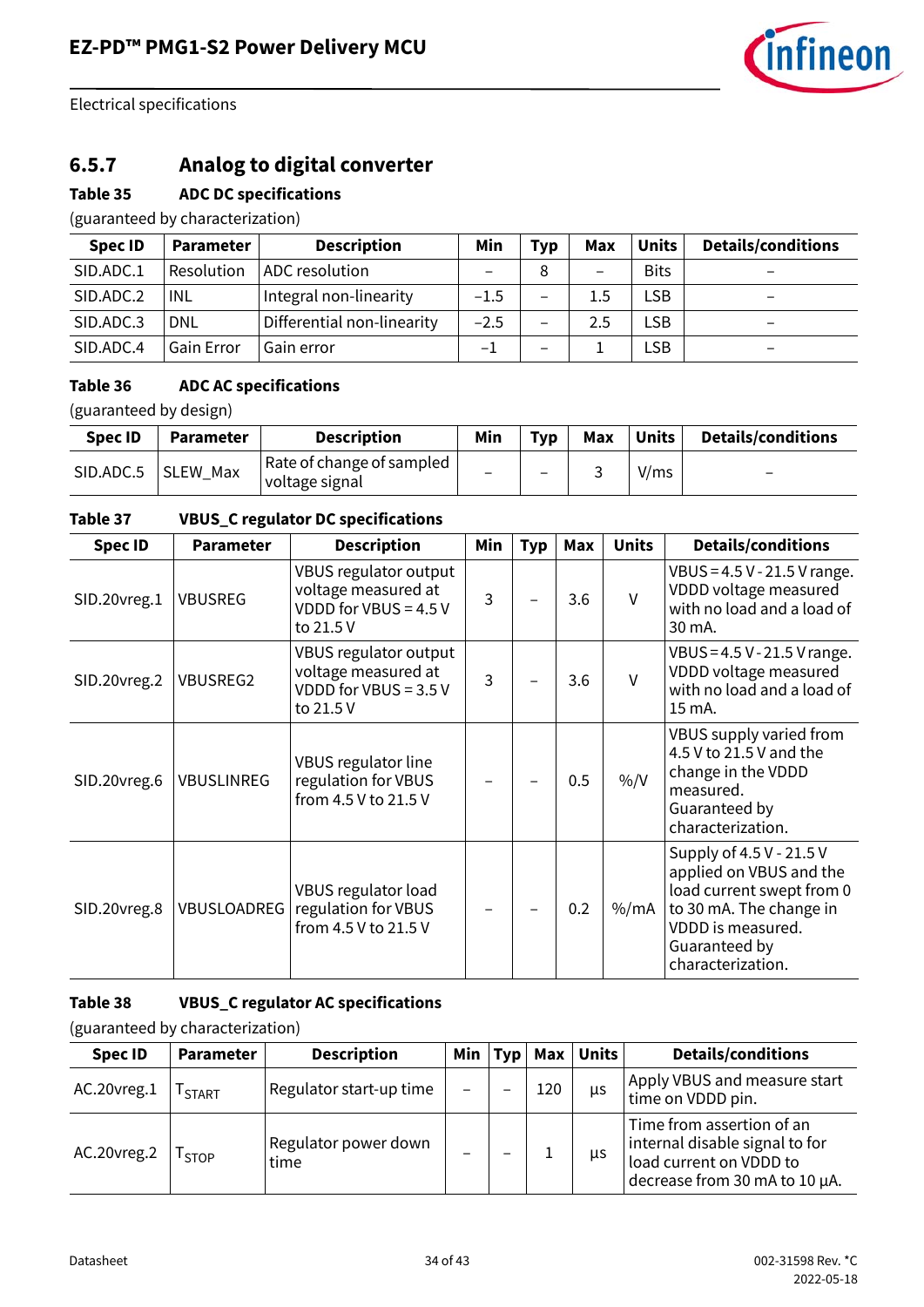

## **6.5.7 Analog to digital converter**

#### **Table 35 ADC DC specifications**

(guaranteed by characterization)

| <b>Spec ID</b> | <b>Parameter</b>  | <b>Description</b>         | Min                      | <b>Typ</b>               | Max | <b>Units</b> | <b>Details/conditions</b> |
|----------------|-------------------|----------------------------|--------------------------|--------------------------|-----|--------------|---------------------------|
| SID.ADC.1      | Resolution        | ADC resolution             | $\overline{\phantom{m}}$ |                          | -   | <b>Bits</b>  | $\overline{\phantom{0}}$  |
| SID.ADC.2      | INL               | Integral non-linearity     | $-1.5$                   | $\overline{\phantom{0}}$ | 1.5 | LSB          | $\overline{\phantom{0}}$  |
| SID.ADC.3      | <b>DNL</b>        | Differential non-linearity | $-2.5$                   | $\qquad \qquad$          | 2.5 | LSB          | $\qquad \qquad$           |
| SID.ADC.4      | <b>Gain Error</b> | Gain error                 | — I                      | -                        |     | LSB          | $\overline{\phantom{0}}$  |

#### **Table 36 ADC AC specifications**

(guaranteed by design)

| <b>Spec ID</b> | <b>Parameter</b> | <b>Description</b>                          | Min | Typ | Max | <b>Units</b> | <b>Details/conditions</b> |
|----------------|------------------|---------------------------------------------|-----|-----|-----|--------------|---------------------------|
| SID.ADC.5      | SLEW Max         | Rate of change of sampled<br>voltage signal |     | -   |     | V/ms         | $\overline{\phantom{0}}$  |

#### **Table 37 VBUS\_C regulator DC specifications**

| <b>Spec ID</b> | <b>Parameter</b>   | <b>Description</b>                                                                   | Min | <b>Typ</b> | Max | <b>Units</b>  | <b>Details/conditions</b>                                                                                                                                              |
|----------------|--------------------|--------------------------------------------------------------------------------------|-----|------------|-----|---------------|------------------------------------------------------------------------------------------------------------------------------------------------------------------------|
| SID.20vreg.1   | <b>VBUSREG</b>     | VBUS regulator output<br>voltage measured at<br>VDDD for VBUS = $4.5$ V<br>to 21.5 V | 3   |            | 3.6 | $\vee$        | VBUS = $4.5$ V - 21.5 V range.<br>VDDD voltage measured<br>with no load and a load of<br>30 mA.                                                                        |
| SID.20vreg.2   | <b>VBUSREG2</b>    | VBUS regulator output<br>voltage measured at<br>VDDD for VBUS = 3.5 V<br>to 21.5 V   | 3   |            | 3.6 | $\vee$        | VBUS = 4.5 V - 21.5 V range.<br>VDDD voltage measured<br>with no load and a load of<br>15 mA.                                                                          |
| SID.20vreg.6   | <b>VBUSLINREG</b>  | VBUS regulator line<br>regulation for VBUS<br>from 4.5 V to 21.5 V                   |     |            | 0.5 | $\frac{0}{0}$ | VBUS supply varied from<br>4.5 V to 21.5 V and the<br>change in the VDDD<br>measured.<br>Guaranteed by<br>characterization.                                            |
| SID.20vreg.8   | <b>VBUSLOADREG</b> | VBUS regulator load<br>regulation for VBUS<br>from 4.5 V to 21.5 V                   |     |            | 0.2 | $%$ /mA       | Supply of 4.5 V - 21.5 V<br>applied on VBUS and the<br>load current swept from 0<br>to 30 mA. The change in<br>VDDD is measured.<br>Guaranteed by<br>characterization. |

#### **Table 38 VBUS\_C regulator AC specifications**

| <b>Spec ID</b> | <b>Parameter</b> | <b>Description</b>           | Min | Typ | Max | Units | <b>Details/conditions</b>                                                                                               |
|----------------|------------------|------------------------------|-----|-----|-----|-------|-------------------------------------------------------------------------------------------------------------------------|
| AC.20vreg.1    | <b>START</b>     | Regulator start-up time      |     |     | 120 | μs    | Apply VBUS and measure start<br>time on VDDD pin.                                                                       |
| AC.20vreg.2    | <b>STOP</b>      | Regulator power down<br>time |     |     |     | us    | Time from assertion of an<br>internal disable signal to for<br>load current on VDDD to<br>decrease from 30 mA to 10 µA. |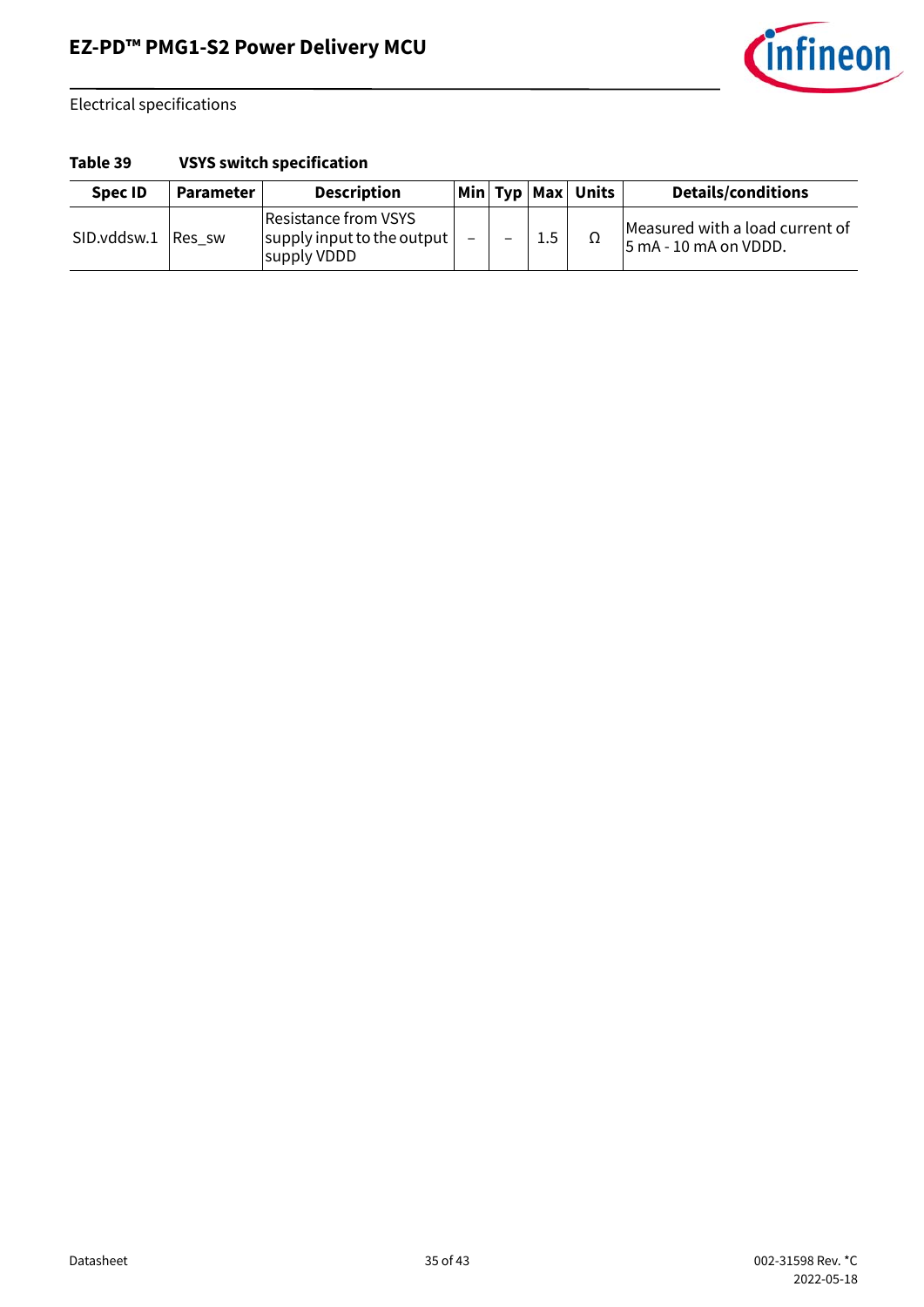

#### **Table 39 VSYS switch specification**

| Spec ID     | Parameter | <b>Description</b>                                                        |                          |         | Min Typ Max Units | <b>Details/conditions</b>                                |
|-------------|-----------|---------------------------------------------------------------------------|--------------------------|---------|-------------------|----------------------------------------------------------|
| SID.vddsw.1 | Res sw    | Resistance from VSYS<br>$ $ supply input to the output $ $<br>supply VDDD | $\overline{\phantom{0}}$ | $1.5\,$ | 77                | Measured with a load current of<br>5 mA - 10 mA on VDDD. |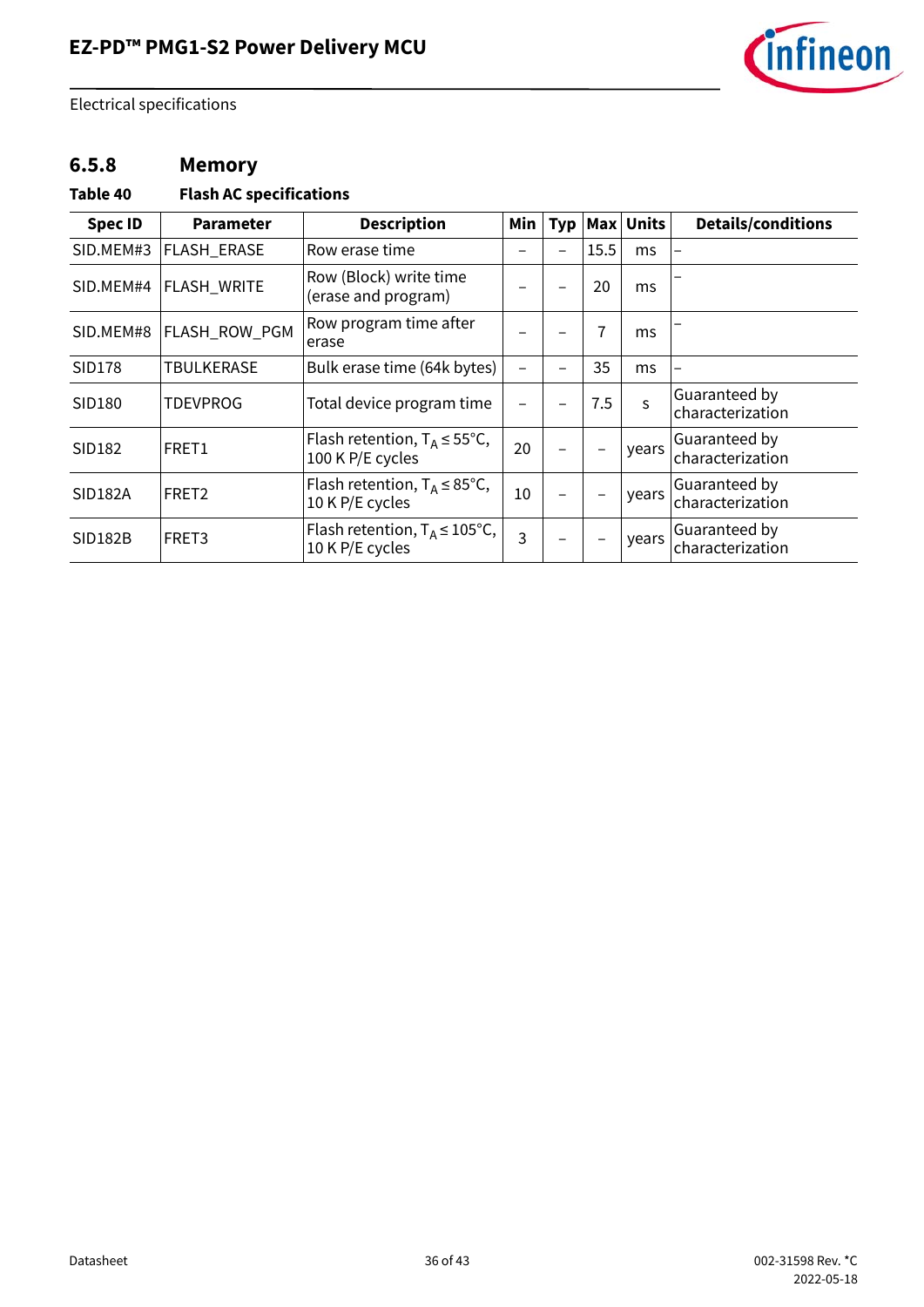

### **6.5.8 Memory**

#### **Table 40 Flash AC specifications**

| <b>Spec ID</b> | <b>Parameter</b>   | <b>Description</b>                                           | Min | Тур |                | Max Units | <b>Details/conditions</b>         |
|----------------|--------------------|--------------------------------------------------------------|-----|-----|----------------|-----------|-----------------------------------|
| SID.MEM#3      | FLASH_ERASE        | Row erase time                                               |     |     | 15.5           | ms        |                                   |
| SID.MEM#4      | <b>FLASH_WRITE</b> | Row (Block) write time<br>(erase and program)                |     |     | 20             | ms        |                                   |
| SID.MEM#8      | FLASH_ROW_PGM      | Row program time after<br>erase                              |     |     | $\overline{1}$ | ms        |                                   |
| <b>SID178</b>  | <b>TBULKERASE</b>  | Bulk erase time (64k bytes)                                  |     |     | 35             | ms        |                                   |
| SID180         | <b>TDEVPROG</b>    | Total device program time                                    |     |     | 7.5            | S         | Guaranteed by<br>characterization |
| SID182         | FRET1              | Flash retention, $T_A \le 55^{\circ}$ C,<br>100 K P/E cycles | 20  |     | -              | years     | Guaranteed by<br>characterization |
| <b>SID182A</b> | FRET <sub>2</sub>  | Flash retention, $T_A \leq 85^{\circ}C$ ,<br>10 K P/E cycles | 10  |     | -              | years     | Guaranteed by<br>characterization |
| SID182B        | FRET3              | Flash retention, $T_A \le 105^{\circ}C$ ,<br>10 K P/E cycles | 3   |     | -              | years     | Guaranteed by<br>characterization |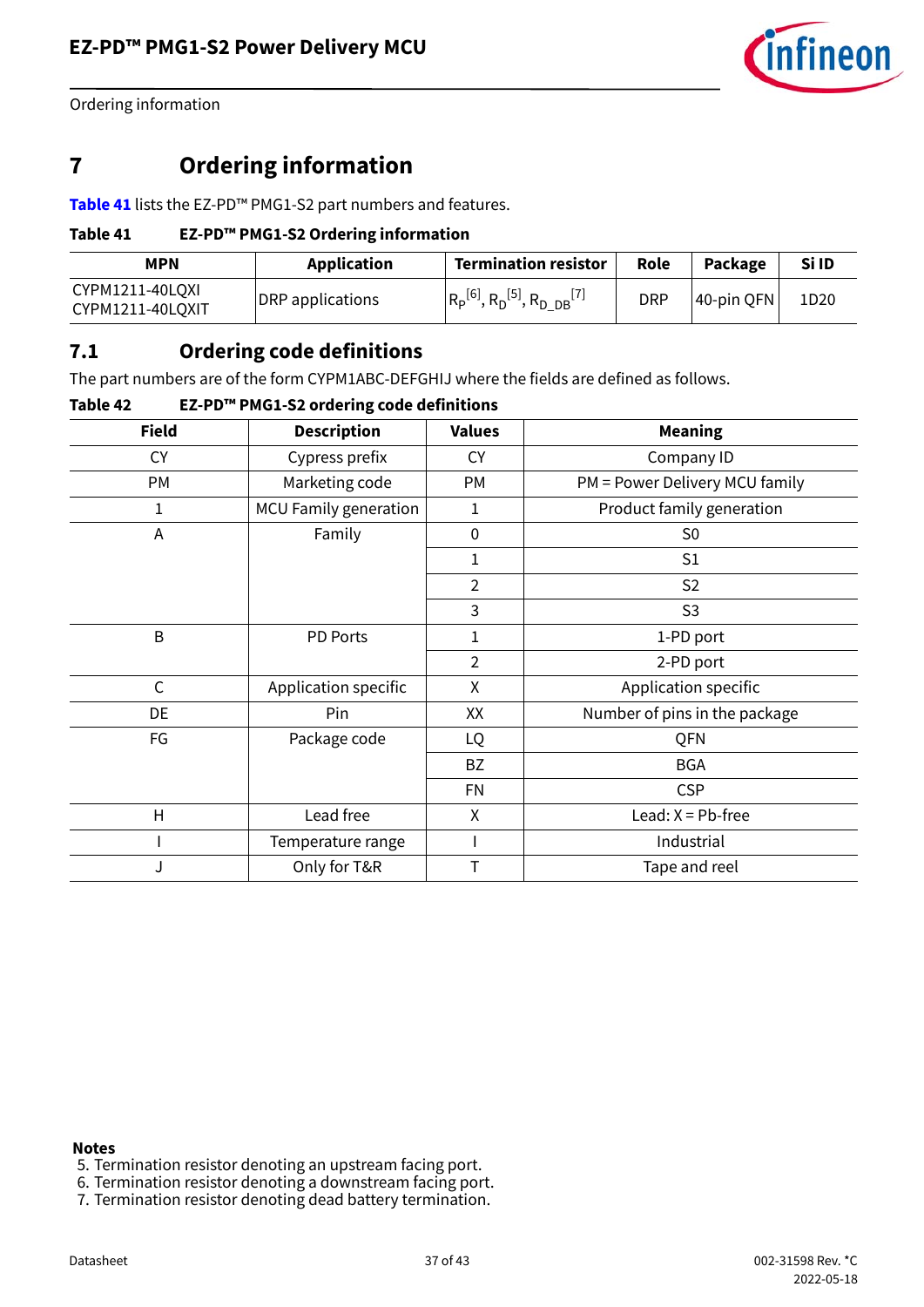

Ordering information

## <span id="page-36-0"></span>**7 Ordering information**

**[Table 41](#page-36-2)** lists the EZ-PD™ PMG1-S2 part numbers and features.

#### <span id="page-36-2"></span>**Table 41 EZ-PD™ PMG1-S2 Ordering information**

| <b>MPN</b>                          | <b>Application</b> | <b>Termination resistor</b>                                        | Role       | Package    | Si ID |
|-------------------------------------|--------------------|--------------------------------------------------------------------|------------|------------|-------|
| CYPM1211-40LQXI<br>CYPM1211-40LQXIT | DRP applications   | $R_{\rm P}^{[6]}$ , $R_{\rm D}^{[5]}$ , $R_{\rm D}_{\rm DB}^{[7]}$ | <b>DRP</b> | 40-pin QFN | 1D20  |

### <span id="page-36-1"></span>**7.1 Ordering code definitions**

The part numbers are of the form CYPM1ABC-DEFGHIJ where the fields are defined as follows.

#### **Table 42 EZ-PD™ PMG1-S2 ordering code definitions**

| <b>Field</b>            | <b>Description</b>           | <b>Values</b>  | <b>Meaning</b>                 |
|-------------------------|------------------------------|----------------|--------------------------------|
| <b>CY</b>               | Cypress prefix               | <b>CY</b>      | Company ID                     |
| <b>PM</b>               | Marketing code               | PM             | PM = Power Delivery MCU family |
| 1                       | <b>MCU Family generation</b> | 1              | Product family generation      |
| A                       | Family                       | $\mathbf 0$    | S <sub>0</sub>                 |
|                         |                              | 1              | S <sub>1</sub>                 |
|                         |                              | $\overline{2}$ | S <sub>2</sub>                 |
|                         |                              | 3              | S <sub>3</sub>                 |
| B                       | PD Ports                     | 1              | 1-PD port                      |
|                         |                              | $\overline{2}$ | 2-PD port                      |
| $\mathsf{C}$            | Application specific         | Χ              | Application specific           |
| DE                      | Pin                          | XX             | Number of pins in the package  |
| FG                      | Package code                 | LQ             | QFN                            |
|                         |                              | <b>BZ</b>      | <b>BGA</b>                     |
|                         |                              | <b>FN</b>      | <b>CSP</b>                     |
| $\overline{\mathsf{H}}$ | Lead free                    | Χ              | Lead: $X = Pb$ -free           |
|                         | Temperature range            |                | Industrial                     |
| J                       | Only for T&R                 | T              | Tape and reel                  |

#### **Notes**

- <span id="page-36-4"></span>5. Termination resistor denoting an upstream facing port.
- <span id="page-36-3"></span>6. Termination resistor denoting a downstream facing port.
- <span id="page-36-5"></span>7. Termination resistor denoting dead battery termination.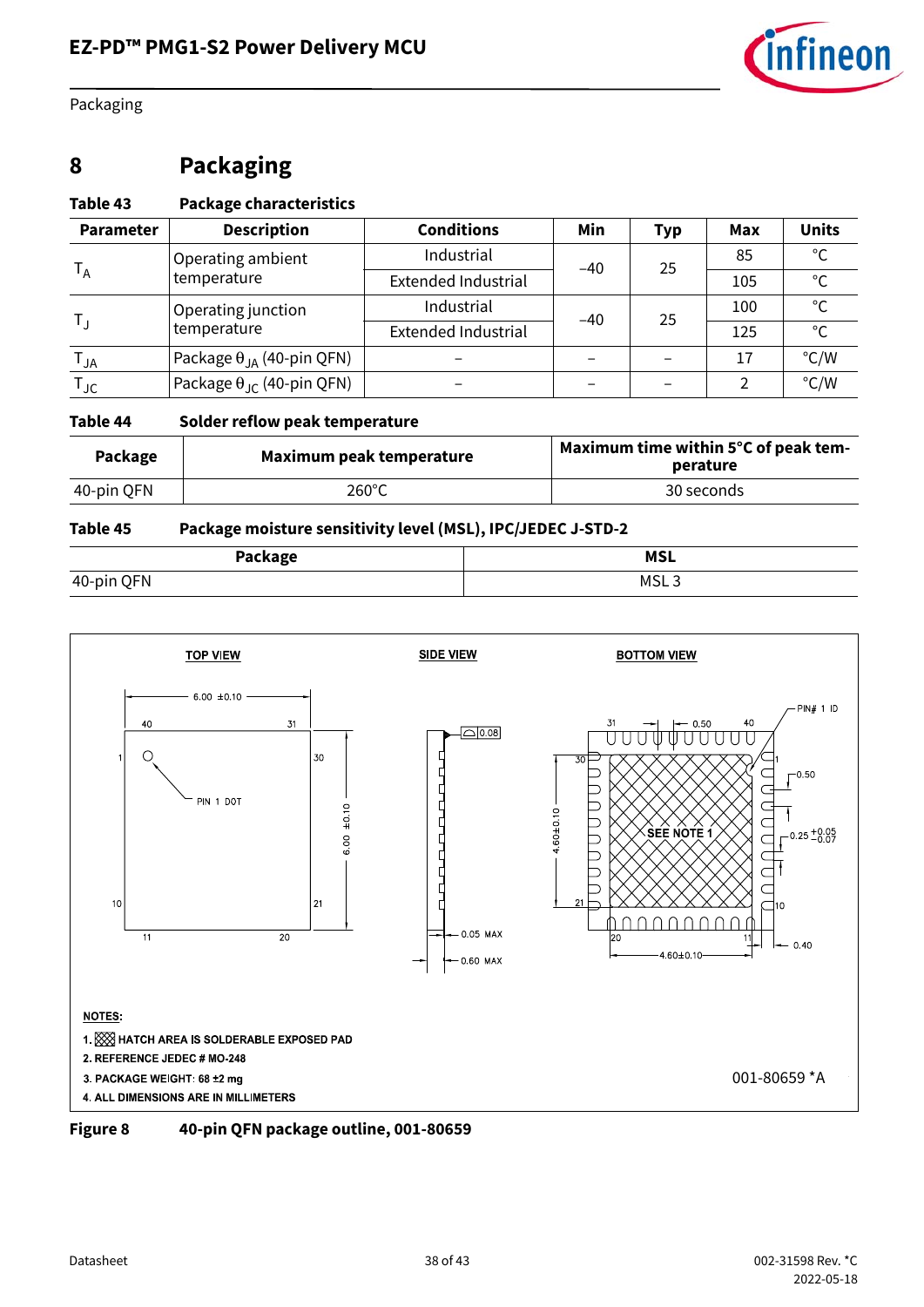

Packaging

## <span id="page-37-0"></span>**8 Packaging**

#### **Table 43 Package characteristics**

| <b>Parameter</b>  | <b>Description</b>                                | <b>Conditions</b>          | Min   | <b>Typ</b> | Max | <b>Units</b>  |
|-------------------|---------------------------------------------------|----------------------------|-------|------------|-----|---------------|
|                   | Operating ambient                                 | Industrial                 | $-40$ | 25         | 85  | $\circ$       |
| $T_A$             | temperature                                       | <b>Extended Industrial</b> |       |            | 105 | $\circ$       |
| $T_{\perp}$       | Operating junction                                | Industrial                 | $-40$ | 25         | 100 | ۰             |
|                   | temperature                                       | <b>Extended Industrial</b> |       |            | 125 | $\mathcal{C}$ |
| $T_{JA}$          | <sup>'</sup> Package θ <sub>JA</sub> (40-pin QFN) |                            |       |            | 17  | $\degree$ C/W |
| $T_{\mathsf{JC}}$ | Package $\theta_{\text{JC}}$ (40-pin QFN)         |                            |       |            |     | $\degree$ C/W |

#### **Table 44 Solder reflow peak temperature**

| Maximum peak temperature |                 | Maximum time within 5°C of peak tem- |  |  |
|--------------------------|-----------------|--------------------------------------|--|--|
| Package                  |                 | perature                             |  |  |
| 40-pin QFN               | $260^{\circ}$ C | 30 seconds                           |  |  |

#### **Table 45 Package moisture sensitivity level (MSL), IPC/JEDEC J-STD-2**

| Package    | <b>MSL</b> |
|------------|------------|
| 40-pin QFN | MSL J      |



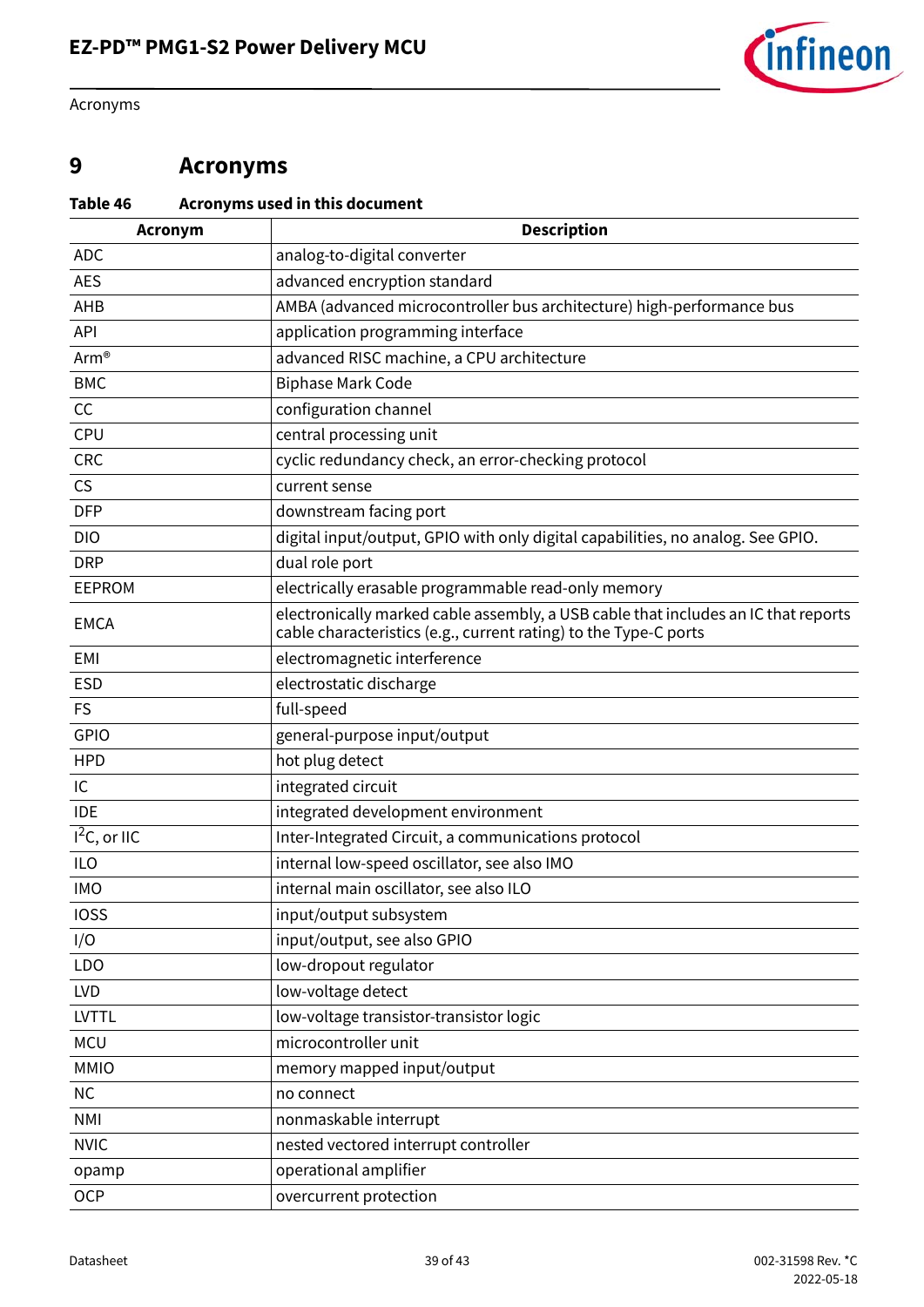

Acronyms

## <span id="page-38-0"></span>**9 Acronyms**

### **Table 46 Acronyms used in this document**

| <b>Acronym</b>  | <b>Description</b>                                                                                                                                     |
|-----------------|--------------------------------------------------------------------------------------------------------------------------------------------------------|
| <b>ADC</b>      | analog-to-digital converter                                                                                                                            |
| <b>AES</b>      | advanced encryption standard                                                                                                                           |
| AHB             | AMBA (advanced microcontroller bus architecture) high-performance bus                                                                                  |
| API             | application programming interface                                                                                                                      |
| Arm®            | advanced RISC machine, a CPU architecture                                                                                                              |
| <b>BMC</b>      | <b>Biphase Mark Code</b>                                                                                                                               |
| cc              | configuration channel                                                                                                                                  |
| CPU             | central processing unit                                                                                                                                |
| <b>CRC</b>      | cyclic redundancy check, an error-checking protocol                                                                                                    |
| CS              | current sense                                                                                                                                          |
| <b>DFP</b>      | downstream facing port                                                                                                                                 |
| <b>DIO</b>      | digital input/output, GPIO with only digital capabilities, no analog. See GPIO.                                                                        |
| <b>DRP</b>      | dual role port                                                                                                                                         |
| <b>EEPROM</b>   | electrically erasable programmable read-only memory                                                                                                    |
| <b>EMCA</b>     | electronically marked cable assembly, a USB cable that includes an IC that reports<br>cable characteristics (e.g., current rating) to the Type-C ports |
| <b>EMI</b>      | electromagnetic interference                                                                                                                           |
| <b>ESD</b>      | electrostatic discharge                                                                                                                                |
| <b>FS</b>       | full-speed                                                                                                                                             |
| GPIO            | general-purpose input/output                                                                                                                           |
| <b>HPD</b>      | hot plug detect                                                                                                                                        |
| IC              | integrated circuit                                                                                                                                     |
| <b>IDE</b>      | integrated development environment                                                                                                                     |
| $I^2C$ , or IIC | Inter-Integrated Circuit, a communications protocol                                                                                                    |
| <b>ILO</b>      | internal low-speed oscillator, see also IMO                                                                                                            |
| <b>IMO</b>      | internal main oscillator, see also ILO                                                                                                                 |
| <b>IOSS</b>     | input/output subsystem                                                                                                                                 |
| I/O             | input/output, see also GPIO                                                                                                                            |
| LDO             | low-dropout regulator                                                                                                                                  |
| <b>LVD</b>      | low-voltage detect                                                                                                                                     |
| <b>LVTTL</b>    | low-voltage transistor-transistor logic                                                                                                                |
| <b>MCU</b>      | microcontroller unit                                                                                                                                   |
| <b>MMIO</b>     | memory mapped input/output                                                                                                                             |
| NC              | no connect                                                                                                                                             |
| <b>NMI</b>      | nonmaskable interrupt                                                                                                                                  |
| <b>NVIC</b>     | nested vectored interrupt controller                                                                                                                   |
| opamp           | operational amplifier                                                                                                                                  |
| <b>OCP</b>      | overcurrent protection                                                                                                                                 |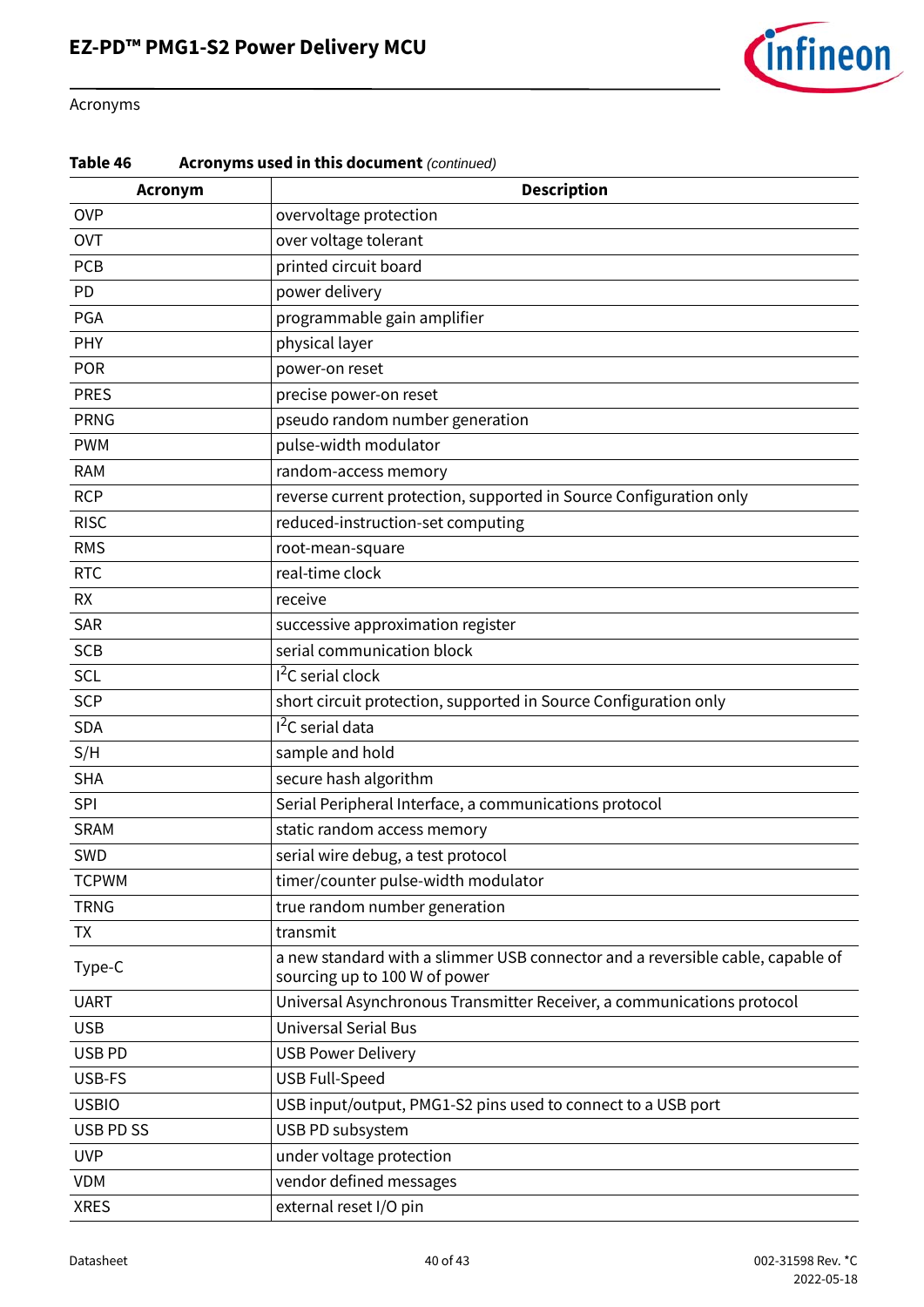

#### Acronyms

#### **Table 46 Acronyms used in this document** *(continued)*

| Acronym      | <b>Description</b>                                                                                              |
|--------------|-----------------------------------------------------------------------------------------------------------------|
| <b>OVP</b>   | overvoltage protection                                                                                          |
| <b>OVT</b>   | over voltage tolerant                                                                                           |
| PCB          | printed circuit board                                                                                           |
| PD           | power delivery                                                                                                  |
| PGA          | programmable gain amplifier                                                                                     |
| PHY          | physical layer                                                                                                  |
| POR          | power-on reset                                                                                                  |
| <b>PRES</b>  | precise power-on reset                                                                                          |
| <b>PRNG</b>  | pseudo random number generation                                                                                 |
| <b>PWM</b>   | pulse-width modulator                                                                                           |
| <b>RAM</b>   | random-access memory                                                                                            |
| <b>RCP</b>   | reverse current protection, supported in Source Configuration only                                              |
| <b>RISC</b>  | reduced-instruction-set computing                                                                               |
| <b>RMS</b>   | root-mean-square                                                                                                |
| <b>RTC</b>   | real-time clock                                                                                                 |
| <b>RX</b>    | receive                                                                                                         |
| SAR          | successive approximation register                                                                               |
| <b>SCB</b>   | serial communication block                                                                                      |
| SCL          | $12C$ serial clock                                                                                              |
| <b>SCP</b>   | short circuit protection, supported in Source Configuration only                                                |
| <b>SDA</b>   | I <sup>2</sup> C serial data                                                                                    |
| S/H          | sample and hold                                                                                                 |
| <b>SHA</b>   | secure hash algorithm                                                                                           |
| SPI          | Serial Peripheral Interface, a communications protocol                                                          |
| <b>SRAM</b>  | static random access memory                                                                                     |
| SWD          | serial wire debug, a test protocol                                                                              |
| <b>TCPWM</b> | timer/counter pulse-width modulator                                                                             |
| <b>TRNG</b>  | true random number generation                                                                                   |
| <b>TX</b>    | transmit                                                                                                        |
| Type-C       | a new standard with a slimmer USB connector and a reversible cable, capable of<br>sourcing up to 100 W of power |
| <b>UART</b>  | Universal Asynchronous Transmitter Receiver, a communications protocol                                          |
| <b>USB</b>   | <b>Universal Serial Bus</b>                                                                                     |
| USB PD       | <b>USB Power Delivery</b>                                                                                       |
| USB-FS       | <b>USB Full-Speed</b>                                                                                           |
| <b>USBIO</b> | USB input/output, PMG1-S2 pins used to connect to a USB port                                                    |
| USB PD SS    | USB PD subsystem                                                                                                |
| <b>UVP</b>   | under voltage protection                                                                                        |
| <b>VDM</b>   | vendor defined messages                                                                                         |
| <b>XRES</b>  | external reset I/O pin                                                                                          |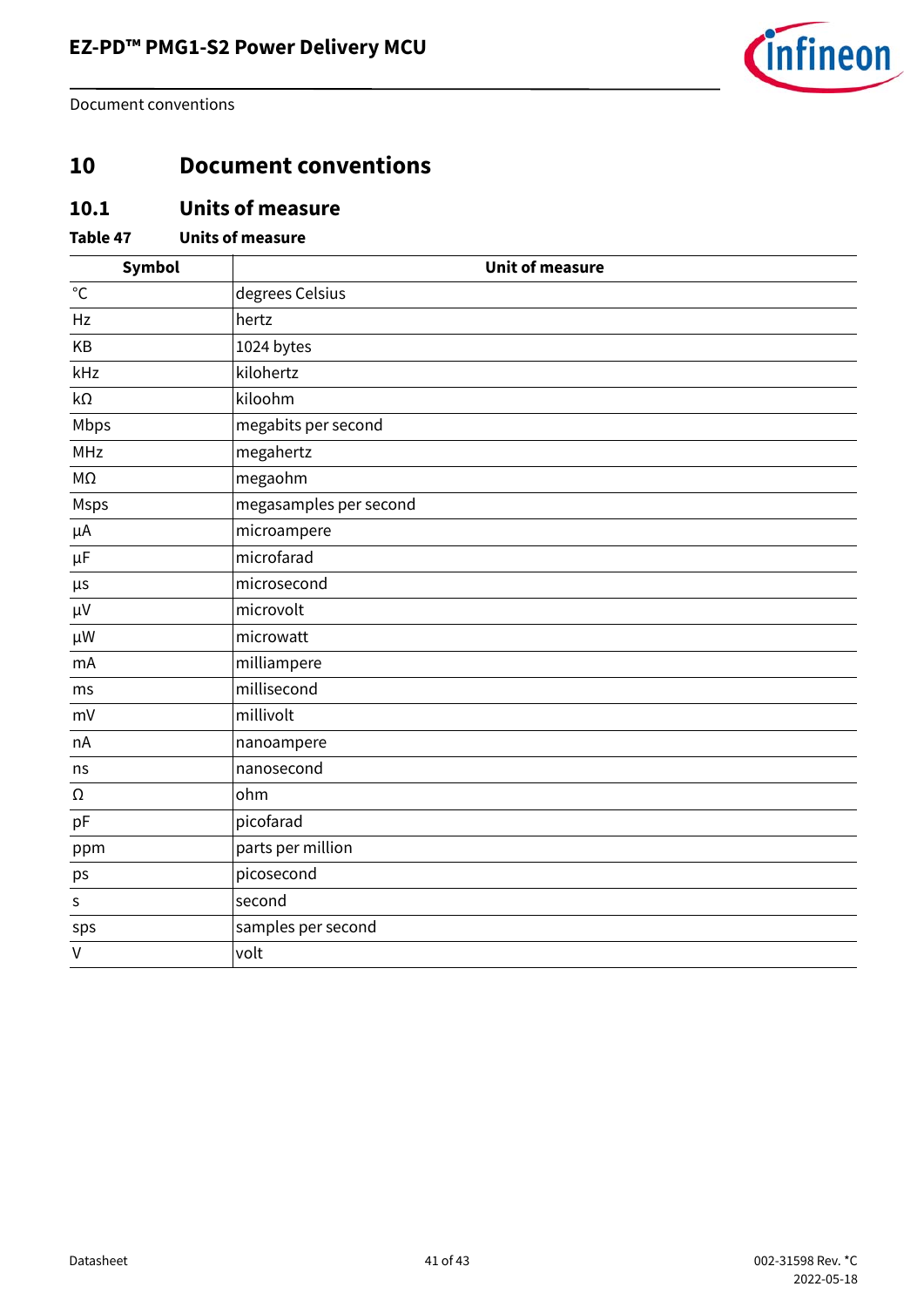

Document conventions

## <span id="page-40-0"></span>**10 Document conventions**

### <span id="page-40-1"></span>**10.1 Units of measure**

#### **Table 47 Units of measure**

| Symbol            | <b>Unit of measure</b> |
|-------------------|------------------------|
| $^{\circ}{\rm C}$ | degrees Celsius        |
| Hz                | hertz                  |
| KB                | 1024 bytes             |
| kHz               | kilohertz              |
| kΩ                | kiloohm                |
| Mbps              | megabits per second    |
| <b>MHz</b>        | megahertz              |
| МΩ                | megaohm                |
| <b>Msps</b>       | megasamples per second |
| μA                | microampere            |
| $\mu$ F           | microfarad             |
| μs                | microsecond            |
| $\mu V$           | microvolt              |
| $\mu$ W           | microwatt              |
| mA                | milliampere            |
| ms                | millisecond            |
| mV                | millivolt              |
| nA                | nanoampere             |
| ns                | nanosecond             |
| Ω                 | ohm                    |
| pF                | picofarad              |
| ppm               | parts per million      |
| ps                | picosecond             |
| $\sf S$           | second                 |
| sps               | samples per second     |
| $\vee$            | volt                   |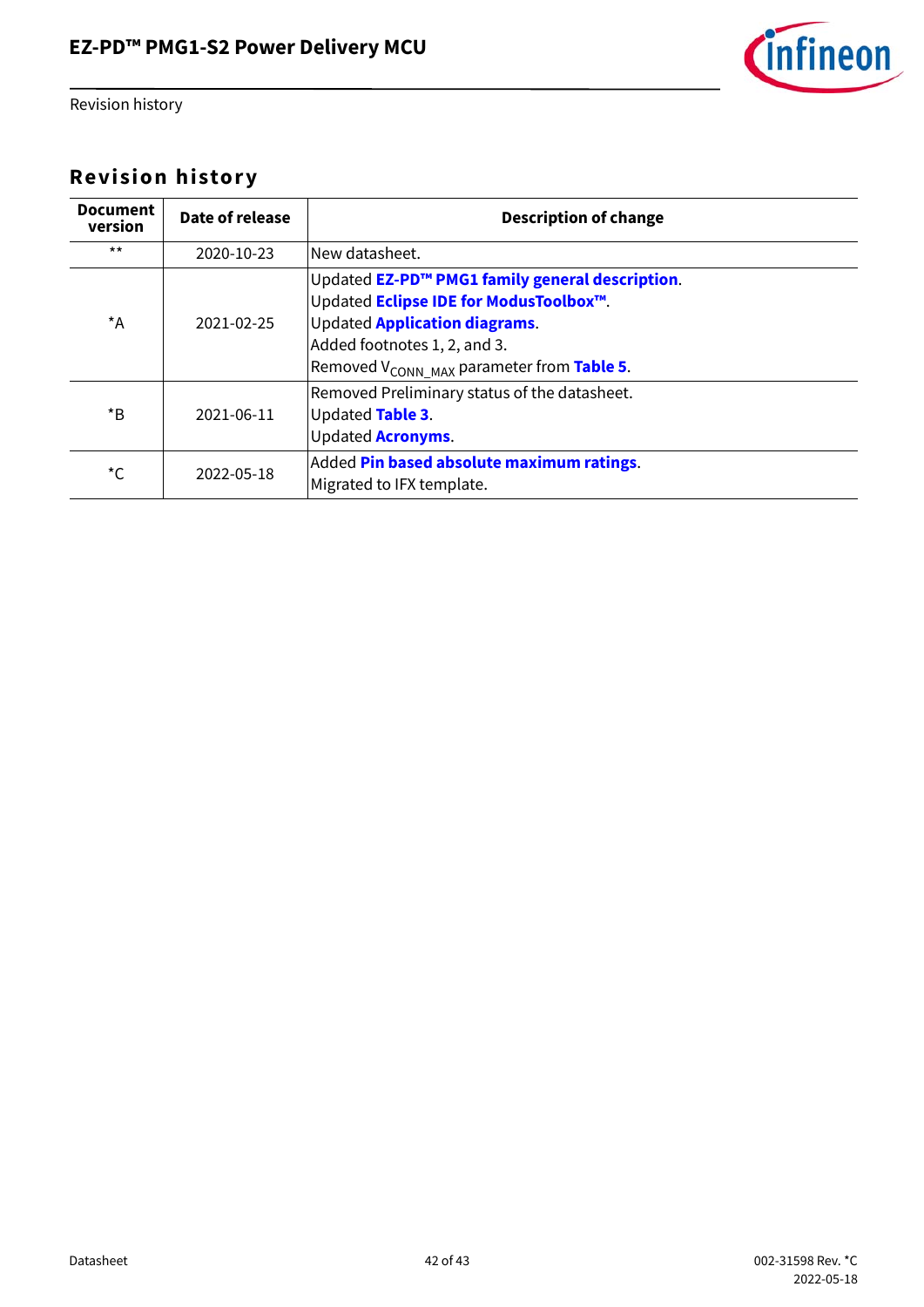

Revision history

## <span id="page-41-0"></span>**Revision history**

| <b>Document</b><br>version | Date of release | <b>Description of change</b>                                                                                                                                                                                               |
|----------------------------|-----------------|----------------------------------------------------------------------------------------------------------------------------------------------------------------------------------------------------------------------------|
| $***$                      | 2020-10-23      | New datasheet.                                                                                                                                                                                                             |
| $^{\star}$ A               | 2021-02-25      | Updated EZ-PD™ PMG1 family general description.<br>Updated Eclipse IDE for ModusToolbox™.<br><b>Updated Application diagrams.</b><br>Added footnotes 1, 2, and 3.<br>Removed V <sub>CONN MAX</sub> parameter from Table 5. |
| $*_{\mathsf{B}}$           | 2021-06-11      | Removed Preliminary status of the datasheet.<br>Updated Table 3.<br><b>Updated Acronyms.</b>                                                                                                                               |
| *C                         | 2022-05-18      | Added Pin based absolute maximum ratings.<br>Migrated to IFX template.                                                                                                                                                     |